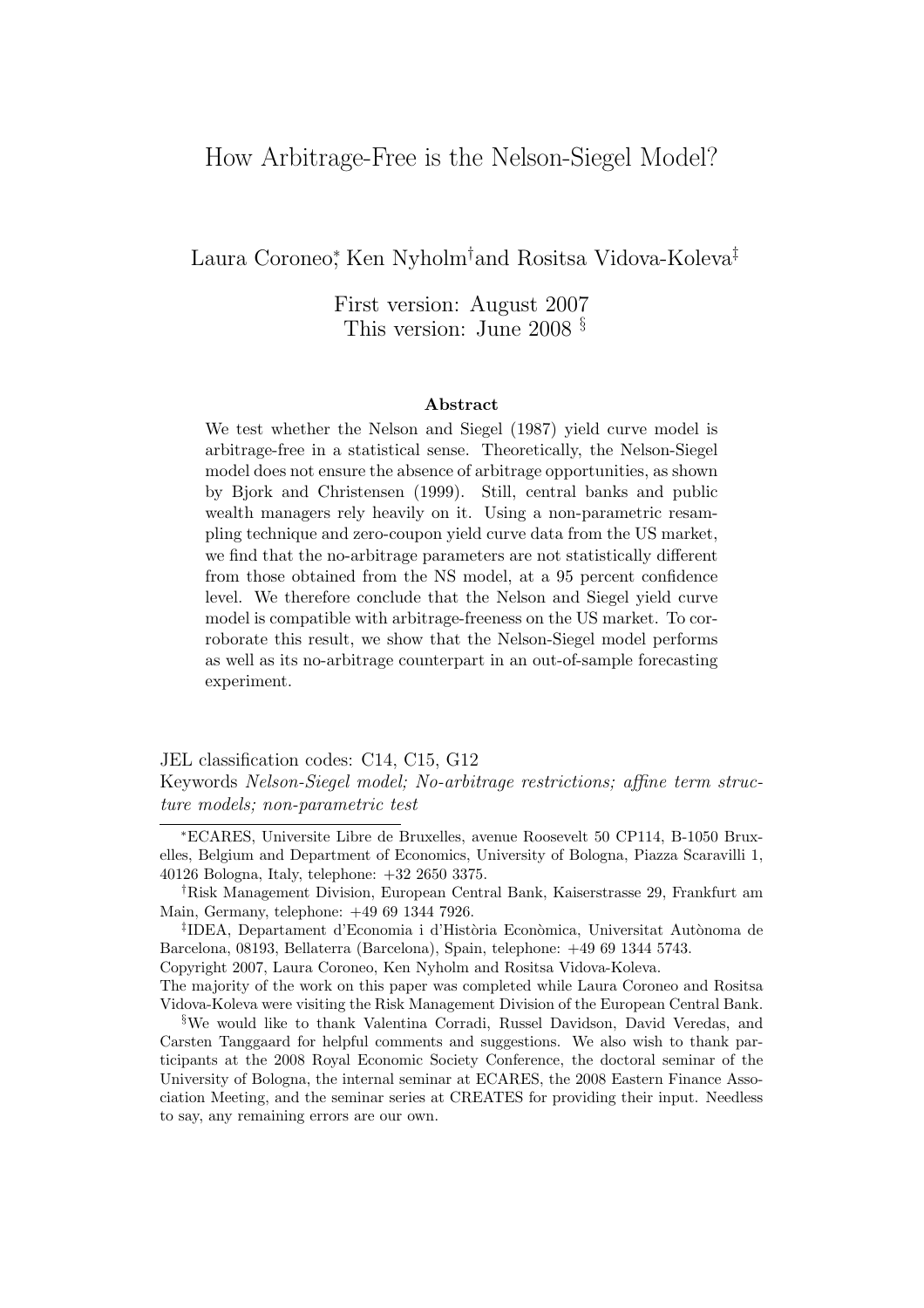## How Arbitrage-Free is the Nelson-Siegel Model?

Laura Coroneo<sup>∗</sup> , Ken Nyholm†and Rositsa Vidova-Koleva‡

First version: August 2007 This version: June 2008 §

#### Abstract

We test whether the Nelson and Siegel (1987) yield curve model is arbitrage-free in a statistical sense. Theoretically, the Nelson-Siegel model does not ensure the absence of arbitrage opportunities, as shown by Bjork and Christensen (1999). Still, central banks and public wealth managers rely heavily on it. Using a non-parametric resampling technique and zero-coupon yield curve data from the US market, we find that the no-arbitrage parameters are not statistically different from those obtained from the NS model, at a 95 percent confidence level. We therefore conclude that the Nelson and Siegel yield curve model is compatible with arbitrage-freeness on the US market. To corroborate this result, we show that the Nelson-Siegel model performs as well as its no-arbitrage counterpart in an out-of-sample forecasting experiment.

JEL classification codes: C14, C15, G12 Keywords Nelson-Siegel model; No-arbitrage restrictions; affine term structure models; non-parametric test

<sup>∗</sup>ECARES, Universite Libre de Bruxelles, avenue Roosevelt 50 CP114, B-1050 Bruxelles, Belgium and Department of Economics, University of Bologna, Piazza Scaravilli 1, 40126 Bologna, Italy, telephone: +32 2650 3375.

<sup>†</sup>Risk Management Division, European Central Bank, Kaiserstrasse 29, Frankfurt am Main, Germany, telephone: +49 69 1344 7926.

<sup>‡</sup>IDEA, Departament d'Economia i d'Història Econòmica, Universitat Autònoma de Barcelona, 08193, Bellaterra (Barcelona), Spain, telephone: +49 69 1344 5743.

Copyright 2007, Laura Coroneo, Ken Nyholm and Rositsa Vidova-Koleva. The majority of the work on this paper was completed while Laura Coroneo and Rositsa

Vidova-Koleva were visiting the Risk Management Division of the European Central Bank. §We would like to thank Valentina Corradi, Russel Davidson, David Veredas, and

Carsten Tanggaard for helpful comments and suggestions. We also wish to thank participants at the 2008 Royal Economic Society Conference, the doctoral seminar of the University of Bologna, the internal seminar at ECARES, the 2008 Eastern Finance Association Meeting, and the seminar series at CREATES for providing their input. Needless to say, any remaining errors are our own.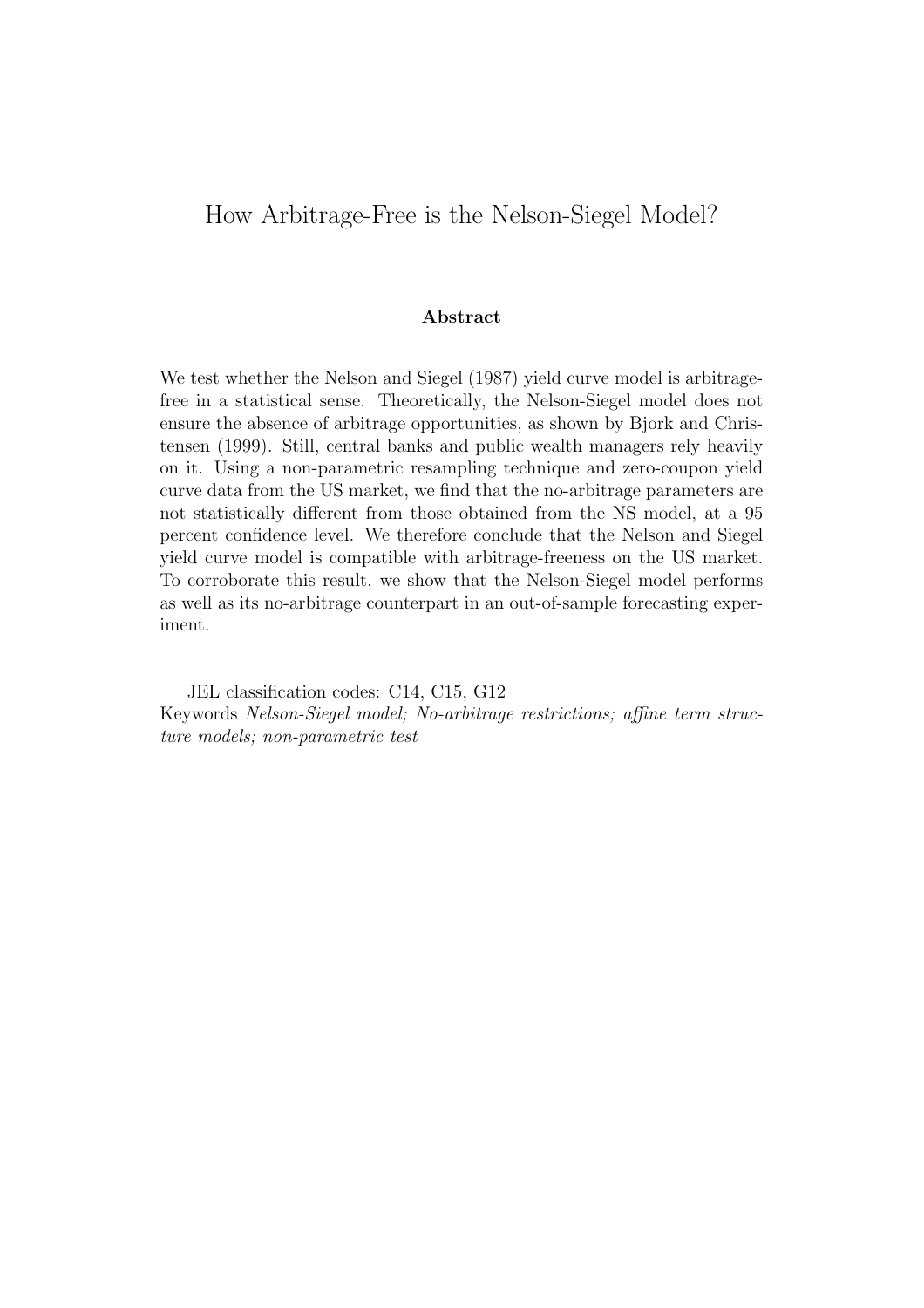## How Arbitrage-Free is the Nelson-Siegel Model?

#### Abstract

We test whether the Nelson and Siegel (1987) yield curve model is arbitragefree in a statistical sense. Theoretically, the Nelson-Siegel model does not ensure the absence of arbitrage opportunities, as shown by Bjork and Christensen (1999). Still, central banks and public wealth managers rely heavily on it. Using a non-parametric resampling technique and zero-coupon yield curve data from the US market, we find that the no-arbitrage parameters are not statistically different from those obtained from the NS model, at a 95 percent confidence level. We therefore conclude that the Nelson and Siegel yield curve model is compatible with arbitrage-freeness on the US market. To corroborate this result, we show that the Nelson-Siegel model performs as well as its no-arbitrage counterpart in an out-of-sample forecasting experiment.

JEL classification codes: C14, C15, G12 Keywords Nelson-Siegel model; No-arbitrage restrictions; affine term structure models; non-parametric test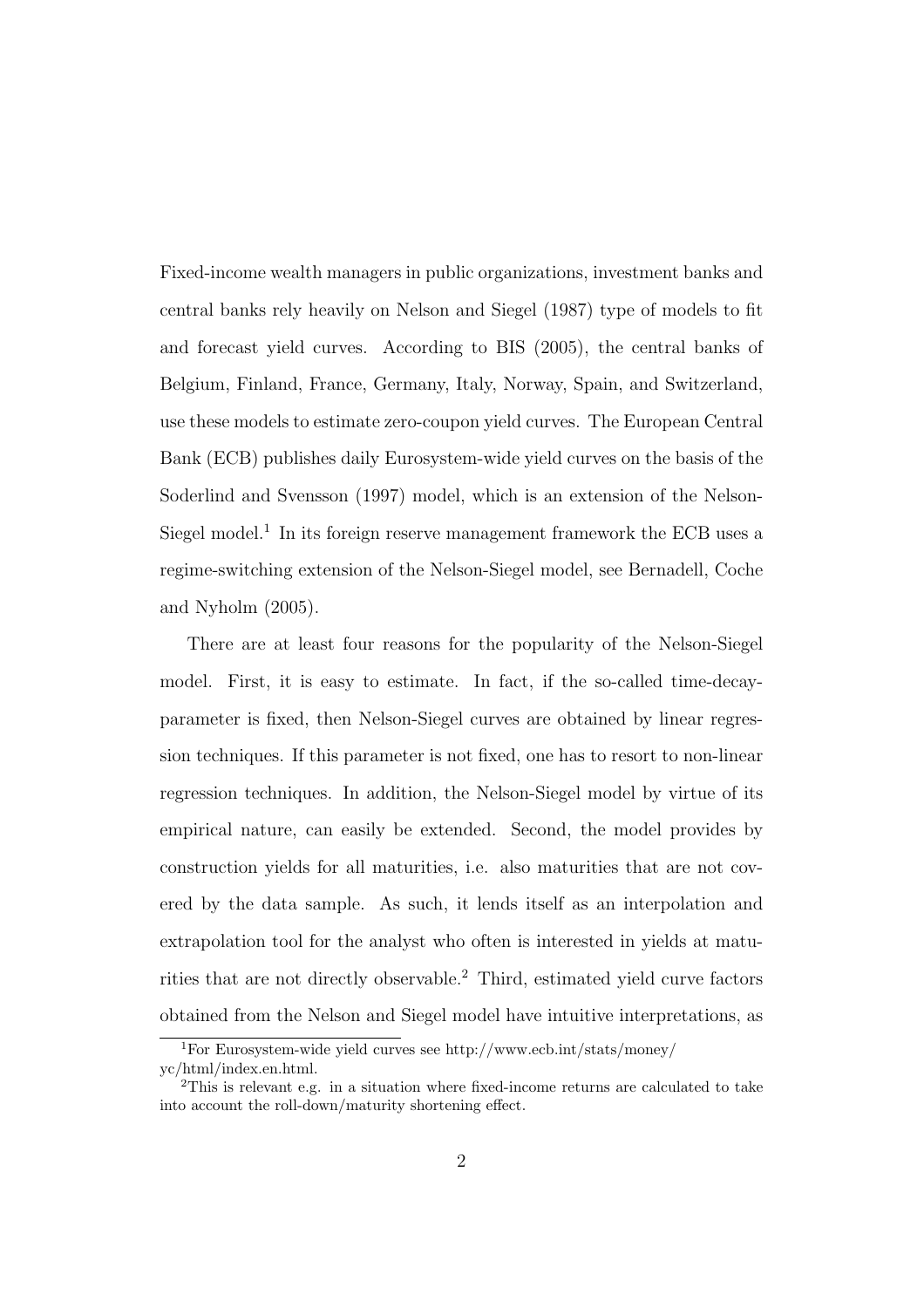Fixed-income wealth managers in public organizations, investment banks and central banks rely heavily on Nelson and Siegel (1987) type of models to fit and forecast yield curves. According to BIS (2005), the central banks of Belgium, Finland, France, Germany, Italy, Norway, Spain, and Switzerland, use these models to estimate zero-coupon yield curves. The European Central Bank (ECB) publishes daily Eurosystem-wide yield curves on the basis of the Soderlind and Svensson (1997) model, which is an extension of the Nelson-Siegel model.<sup>1</sup> In its foreign reserve management framework the ECB uses a regime-switching extension of the Nelson-Siegel model, see Bernadell, Coche and Nyholm (2005).

There are at least four reasons for the popularity of the Nelson-Siegel model. First, it is easy to estimate. In fact, if the so-called time-decayparameter is fixed, then Nelson-Siegel curves are obtained by linear regression techniques. If this parameter is not fixed, one has to resort to non-linear regression techniques. In addition, the Nelson-Siegel model by virtue of its empirical nature, can easily be extended. Second, the model provides by construction yields for all maturities, i.e. also maturities that are not covered by the data sample. As such, it lends itself as an interpolation and extrapolation tool for the analyst who often is interested in yields at maturities that are not directly observable.<sup>2</sup> Third, estimated yield curve factors obtained from the Nelson and Siegel model have intuitive interpretations, as

<sup>1</sup>For Eurosystem-wide yield curves see http://www.ecb.int/stats/money/ yc/html/index.en.html.

<sup>2</sup>This is relevant e.g. in a situation where fixed-income returns are calculated to take into account the roll-down/maturity shortening effect.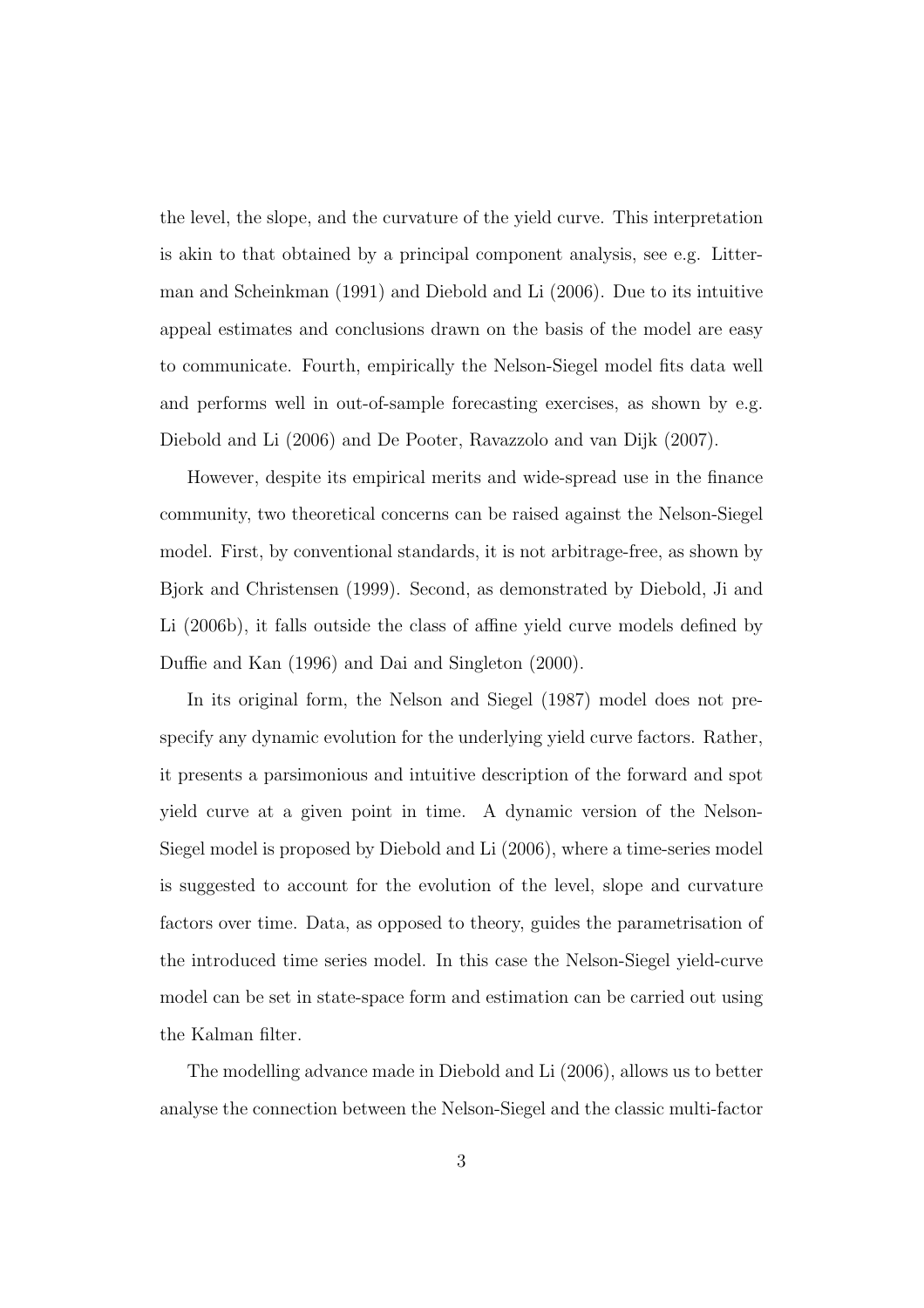the level, the slope, and the curvature of the yield curve. This interpretation is akin to that obtained by a principal component analysis, see e.g. Litterman and Scheinkman (1991) and Diebold and Li (2006). Due to its intuitive appeal estimates and conclusions drawn on the basis of the model are easy to communicate. Fourth, empirically the Nelson-Siegel model fits data well and performs well in out-of-sample forecasting exercises, as shown by e.g. Diebold and Li (2006) and De Pooter, Ravazzolo and van Dijk (2007).

However, despite its empirical merits and wide-spread use in the finance community, two theoretical concerns can be raised against the Nelson-Siegel model. First, by conventional standards, it is not arbitrage-free, as shown by Bjork and Christensen (1999). Second, as demonstrated by Diebold, Ji and Li (2006b), it falls outside the class of affine yield curve models defined by Duffie and Kan (1996) and Dai and Singleton (2000).

In its original form, the Nelson and Siegel (1987) model does not prespecify any dynamic evolution for the underlying yield curve factors. Rather, it presents a parsimonious and intuitive description of the forward and spot yield curve at a given point in time. A dynamic version of the Nelson-Siegel model is proposed by Diebold and Li (2006), where a time-series model is suggested to account for the evolution of the level, slope and curvature factors over time. Data, as opposed to theory, guides the parametrisation of the introduced time series model. In this case the Nelson-Siegel yield-curve model can be set in state-space form and estimation can be carried out using the Kalman filter.

The modelling advance made in Diebold and Li (2006), allows us to better analyse the connection between the Nelson-Siegel and the classic multi-factor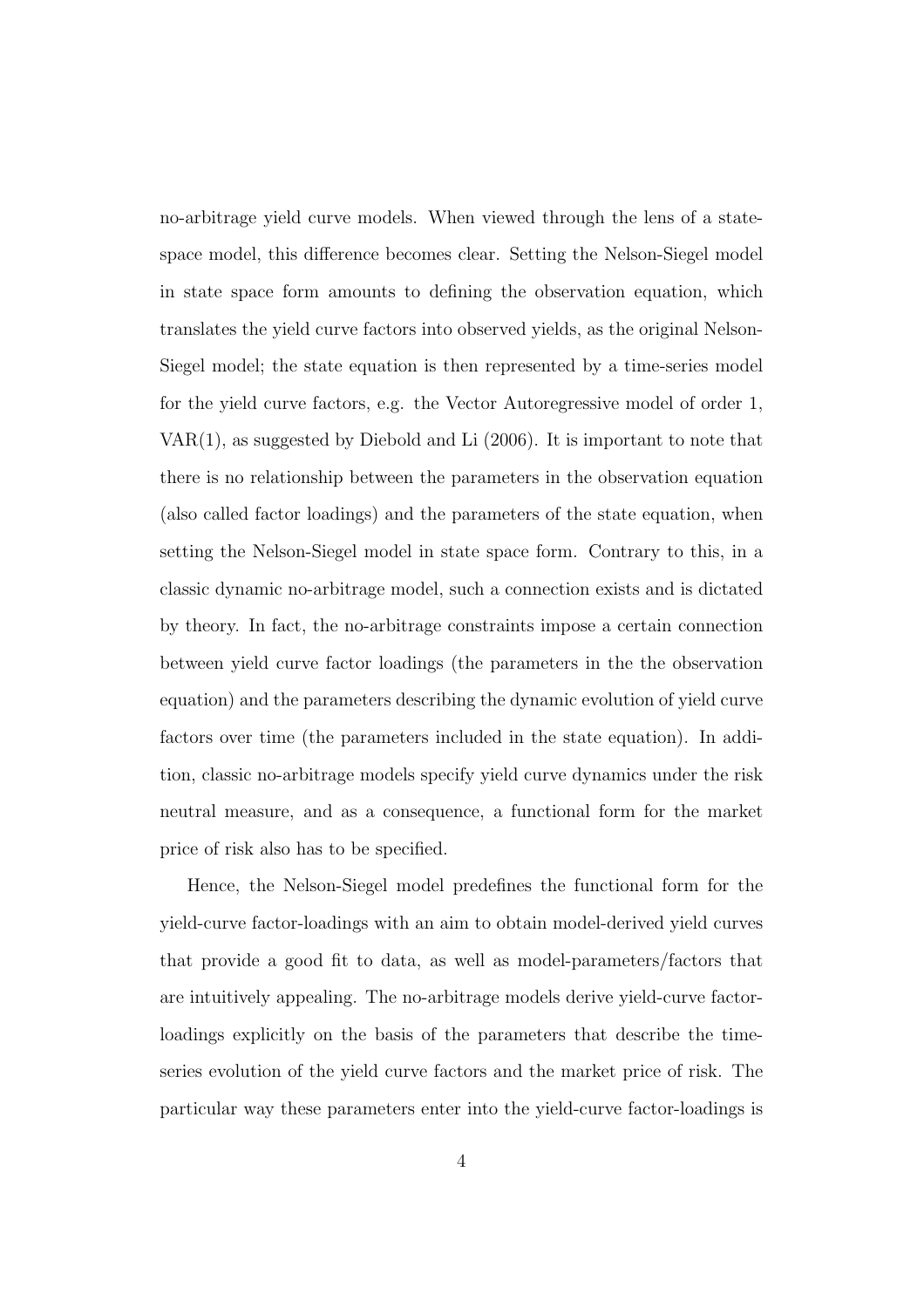no-arbitrage yield curve models. When viewed through the lens of a statespace model, this difference becomes clear. Setting the Nelson-Siegel model in state space form amounts to defining the observation equation, which translates the yield curve factors into observed yields, as the original Nelson-Siegel model; the state equation is then represented by a time-series model for the yield curve factors, e.g. the Vector Autoregressive model of order 1,  $VAR(1)$ , as suggested by Diebold and Li  $(2006)$ . It is important to note that there is no relationship between the parameters in the observation equation (also called factor loadings) and the parameters of the state equation, when setting the Nelson-Siegel model in state space form. Contrary to this, in a classic dynamic no-arbitrage model, such a connection exists and is dictated by theory. In fact, the no-arbitrage constraints impose a certain connection between yield curve factor loadings (the parameters in the the observation equation) and the parameters describing the dynamic evolution of yield curve factors over time (the parameters included in the state equation). In addition, classic no-arbitrage models specify yield curve dynamics under the risk neutral measure, and as a consequence, a functional form for the market price of risk also has to be specified.

Hence, the Nelson-Siegel model predefines the functional form for the yield-curve factor-loadings with an aim to obtain model-derived yield curves that provide a good fit to data, as well as model-parameters/factors that are intuitively appealing. The no-arbitrage models derive yield-curve factorloadings explicitly on the basis of the parameters that describe the timeseries evolution of the yield curve factors and the market price of risk. The particular way these parameters enter into the yield-curve factor-loadings is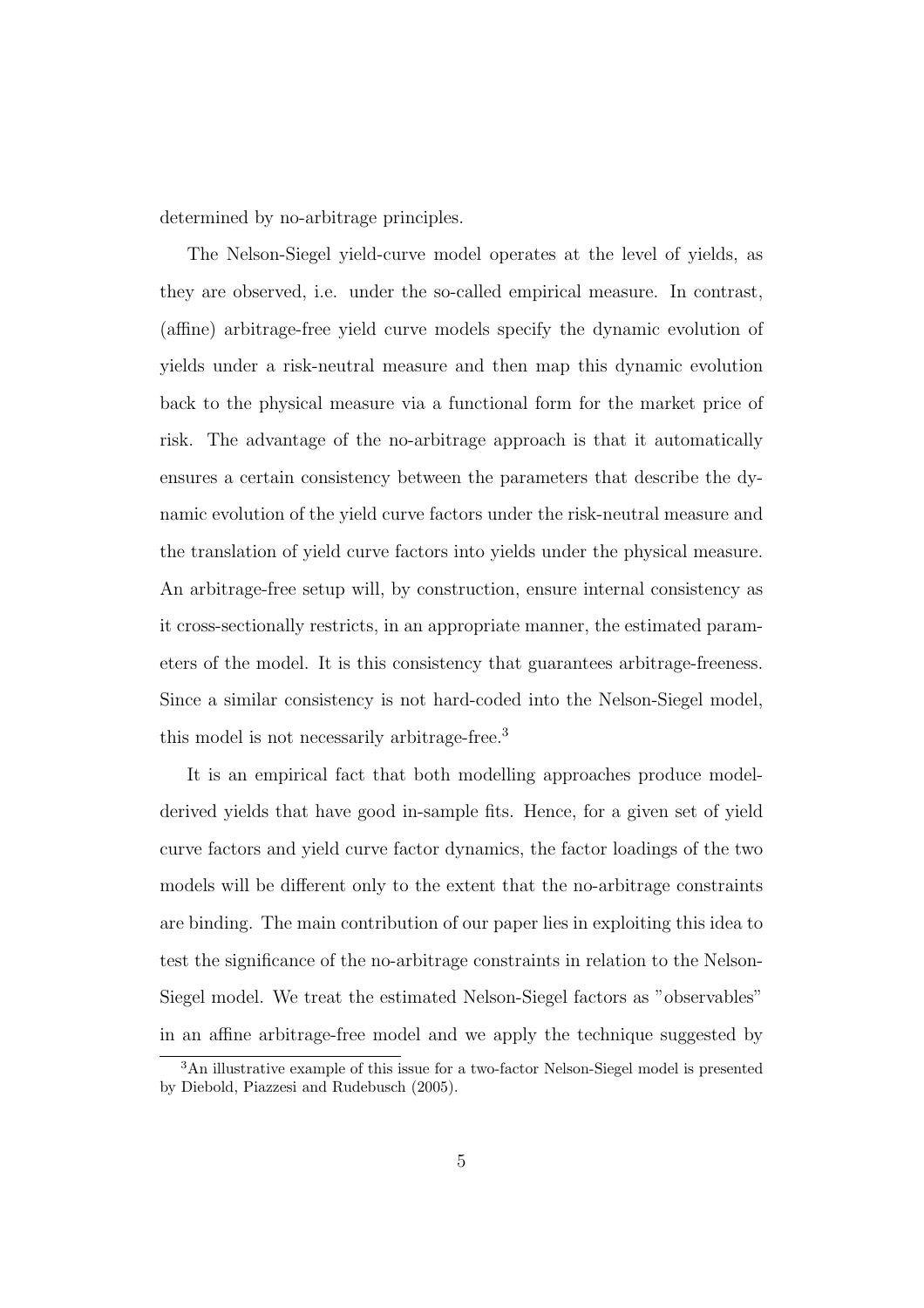determined by no-arbitrage principles.

The Nelson-Siegel yield-curve model operates at the level of yields, as they are observed, i.e. under the so-called empirical measure. In contrast, (affine) arbitrage-free yield curve models specify the dynamic evolution of yields under a risk-neutral measure and then map this dynamic evolution back to the physical measure via a functional form for the market price of risk. The advantage of the no-arbitrage approach is that it automatically ensures a certain consistency between the parameters that describe the dynamic evolution of the yield curve factors under the risk-neutral measure and the translation of yield curve factors into yields under the physical measure. An arbitrage-free setup will, by construction, ensure internal consistency as it cross-sectionally restricts, in an appropriate manner, the estimated parameters of the model. It is this consistency that guarantees arbitrage-freeness. Since a similar consistency is not hard-coded into the Nelson-Siegel model, this model is not necessarily arbitrage-free.<sup>3</sup>

It is an empirical fact that both modelling approaches produce modelderived yields that have good in-sample fits. Hence, for a given set of yield curve factors and yield curve factor dynamics, the factor loadings of the two models will be different only to the extent that the no-arbitrage constraints are binding. The main contribution of our paper lies in exploiting this idea to test the significance of the no-arbitrage constraints in relation to the Nelson-Siegel model. We treat the estimated Nelson-Siegel factors as "observables" in an affine arbitrage-free model and we apply the technique suggested by

<sup>3</sup>An illustrative example of this issue for a two-factor Nelson-Siegel model is presented by Diebold, Piazzesi and Rudebusch (2005).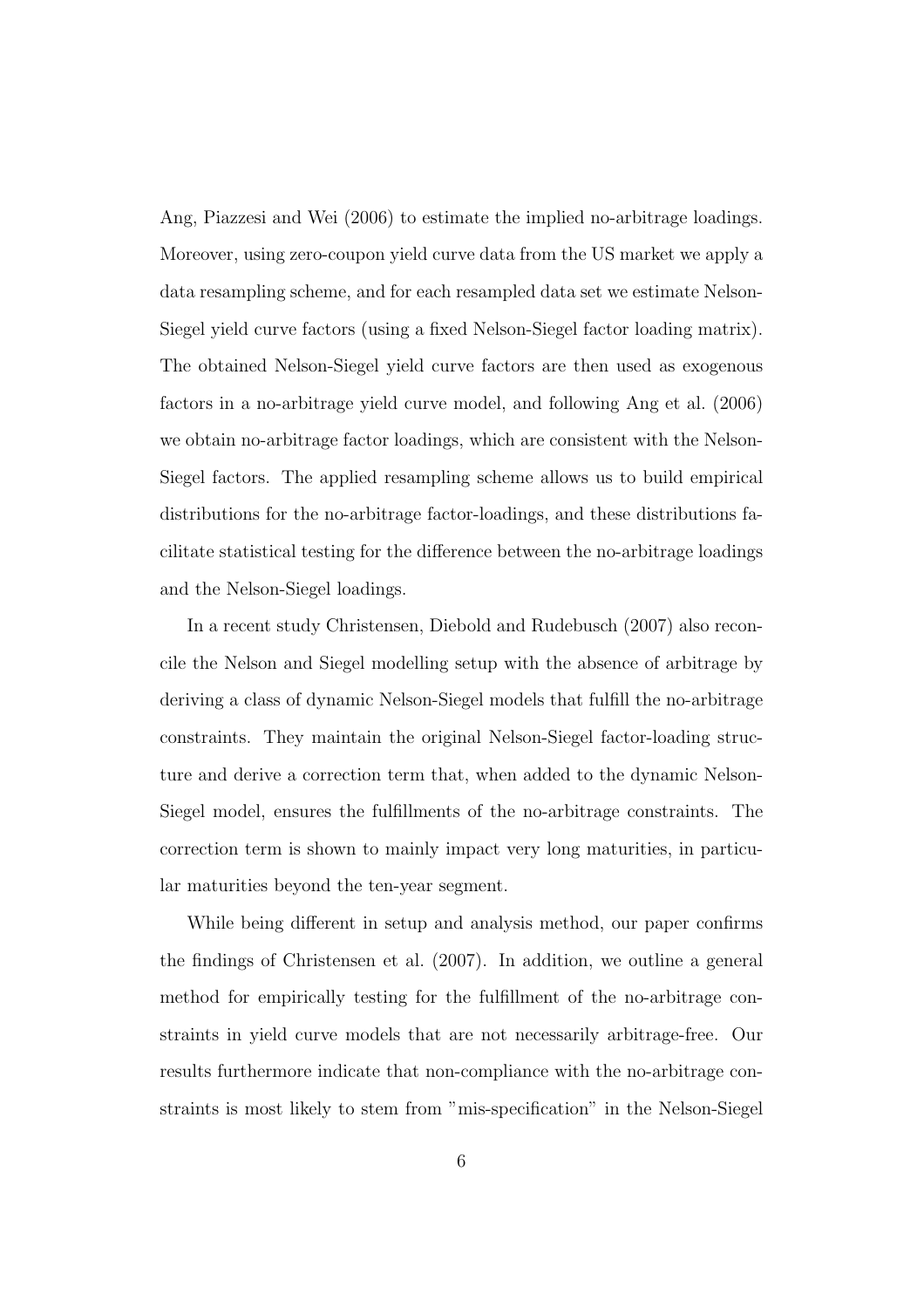Ang, Piazzesi and Wei (2006) to estimate the implied no-arbitrage loadings. Moreover, using zero-coupon yield curve data from the US market we apply a data resampling scheme, and for each resampled data set we estimate Nelson-Siegel yield curve factors (using a fixed Nelson-Siegel factor loading matrix). The obtained Nelson-Siegel yield curve factors are then used as exogenous factors in a no-arbitrage yield curve model, and following Ang et al. (2006) we obtain no-arbitrage factor loadings, which are consistent with the Nelson-Siegel factors. The applied resampling scheme allows us to build empirical distributions for the no-arbitrage factor-loadings, and these distributions facilitate statistical testing for the difference between the no-arbitrage loadings and the Nelson-Siegel loadings.

In a recent study Christensen, Diebold and Rudebusch (2007) also reconcile the Nelson and Siegel modelling setup with the absence of arbitrage by deriving a class of dynamic Nelson-Siegel models that fulfill the no-arbitrage constraints. They maintain the original Nelson-Siegel factor-loading structure and derive a correction term that, when added to the dynamic Nelson-Siegel model, ensures the fulfillments of the no-arbitrage constraints. The correction term is shown to mainly impact very long maturities, in particular maturities beyond the ten-year segment.

While being different in setup and analysis method, our paper confirms the findings of Christensen et al. (2007). In addition, we outline a general method for empirically testing for the fulfillment of the no-arbitrage constraints in yield curve models that are not necessarily arbitrage-free. Our results furthermore indicate that non-compliance with the no-arbitrage constraints is most likely to stem from "mis-specification" in the Nelson-Siegel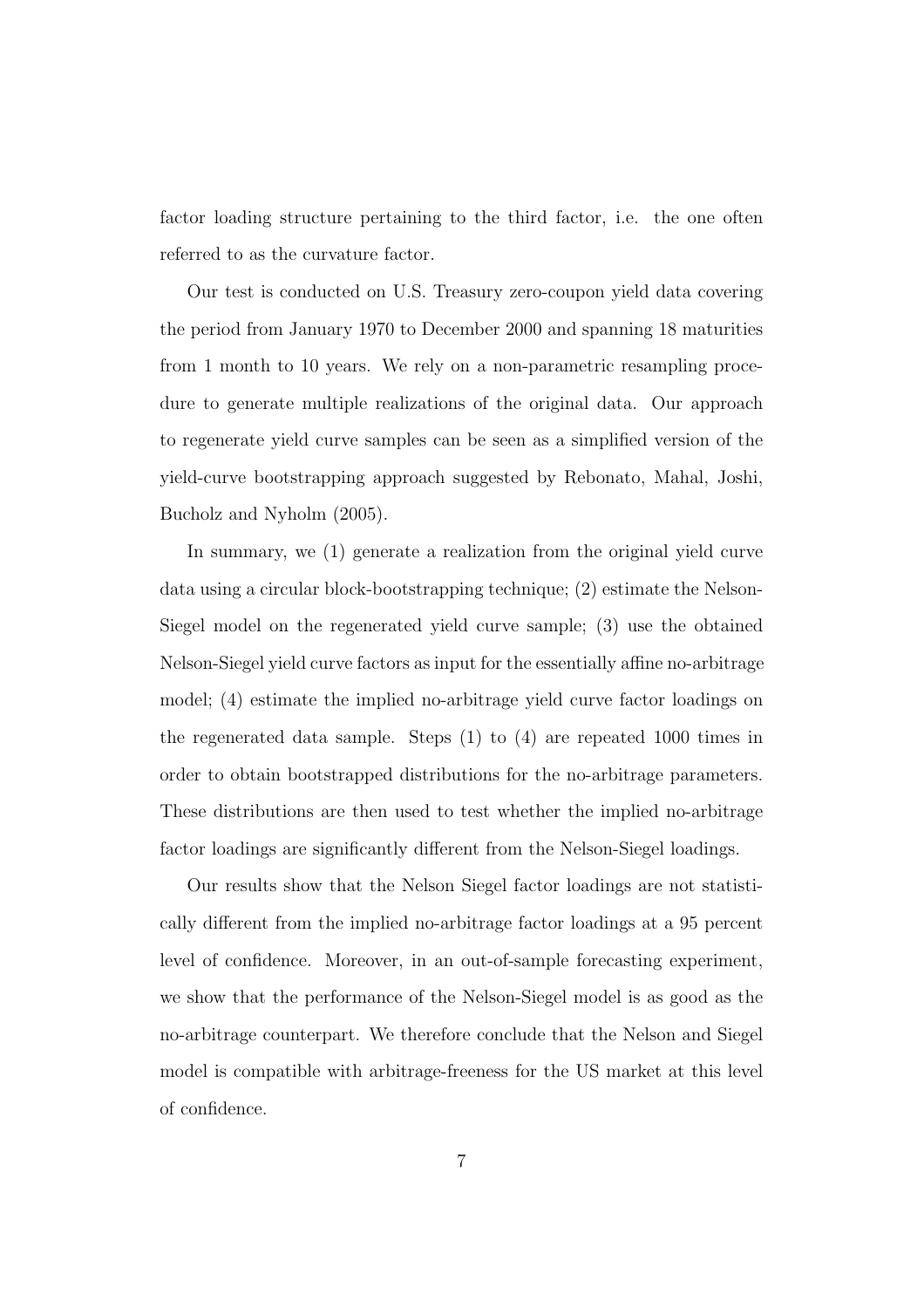factor loading structure pertaining to the third factor, i.e. the one often referred to as the curvature factor.

Our test is conducted on U.S. Treasury zero-coupon yield data covering the period from January 1970 to December 2000 and spanning 18 maturities from 1 month to 10 years. We rely on a non-parametric resampling procedure to generate multiple realizations of the original data. Our approach to regenerate yield curve samples can be seen as a simplified version of the yield-curve bootstrapping approach suggested by Rebonato, Mahal, Joshi, Bucholz and Nyholm (2005).

In summary, we (1) generate a realization from the original yield curve data using a circular block-bootstrapping technique; (2) estimate the Nelson-Siegel model on the regenerated yield curve sample; (3) use the obtained Nelson-Siegel yield curve factors as input for the essentially affine no-arbitrage model; (4) estimate the implied no-arbitrage yield curve factor loadings on the regenerated data sample. Steps (1) to (4) are repeated 1000 times in order to obtain bootstrapped distributions for the no-arbitrage parameters. These distributions are then used to test whether the implied no-arbitrage factor loadings are significantly different from the Nelson-Siegel loadings.

Our results show that the Nelson Siegel factor loadings are not statistically different from the implied no-arbitrage factor loadings at a 95 percent level of confidence. Moreover, in an out-of-sample forecasting experiment, we show that the performance of the Nelson-Siegel model is as good as the no-arbitrage counterpart. We therefore conclude that the Nelson and Siegel model is compatible with arbitrage-freeness for the US market at this level of confidence.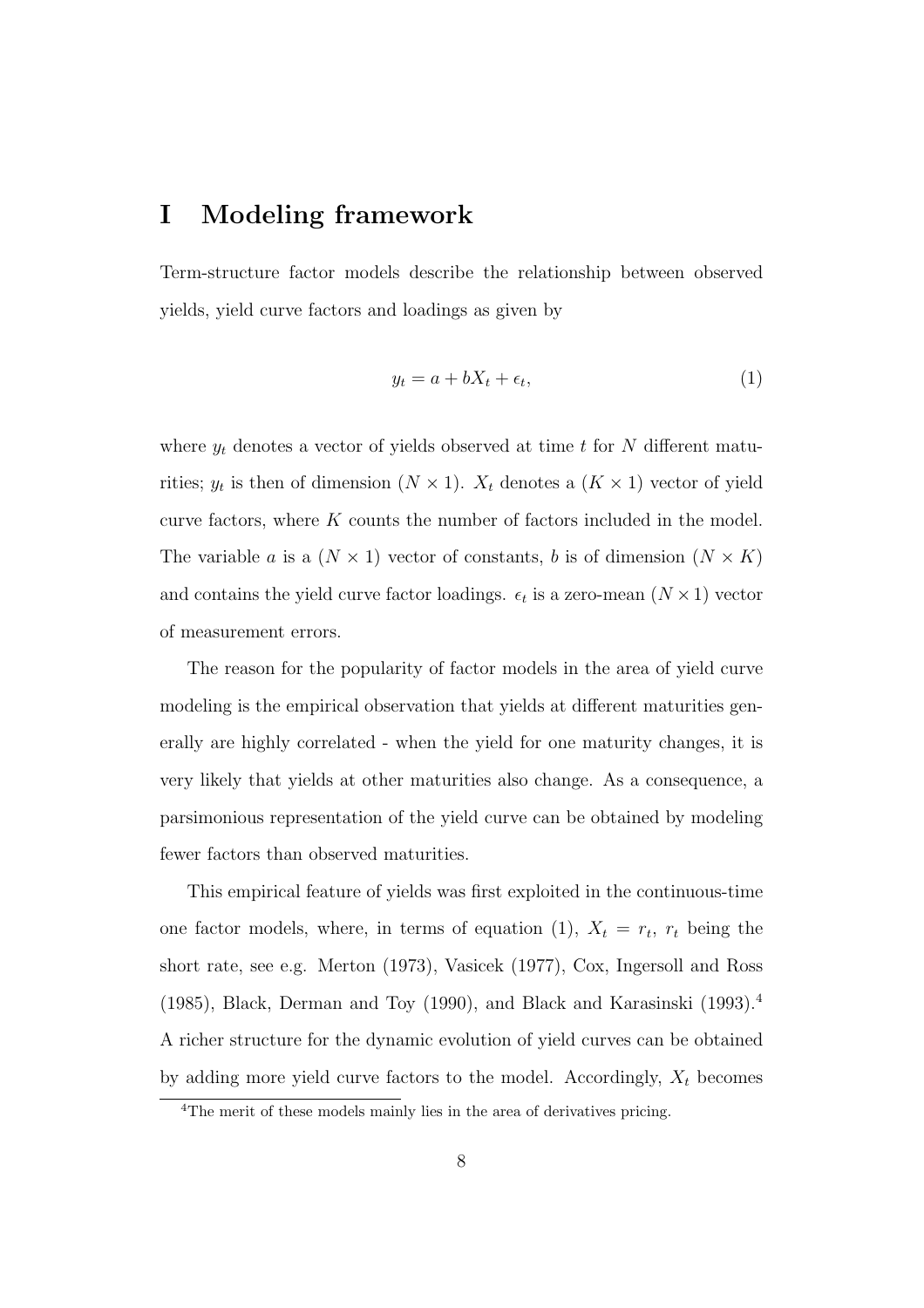## I Modeling framework

Term-structure factor models describe the relationship between observed yields, yield curve factors and loadings as given by

$$
y_t = a + bX_t + \epsilon_t,\tag{1}
$$

where  $y_t$  denotes a vector of yields observed at time t for N different maturities;  $y_t$  is then of dimension  $(N \times 1)$ .  $X_t$  denotes a  $(K \times 1)$  vector of yield curve factors, where  $K$  counts the number of factors included in the model. The variable a is a  $(N \times 1)$  vector of constants, b is of dimension  $(N \times K)$ and contains the yield curve factor loadings.  $\epsilon_t$  is a zero-mean  $(N \times 1)$  vector of measurement errors.

The reason for the popularity of factor models in the area of yield curve modeling is the empirical observation that yields at different maturities generally are highly correlated - when the yield for one maturity changes, it is very likely that yields at other maturities also change. As a consequence, a parsimonious representation of the yield curve can be obtained by modeling fewer factors than observed maturities.

This empirical feature of yields was first exploited in the continuous-time one factor models, where, in terms of equation (1),  $X_t = r_t$ ,  $r_t$  being the short rate, see e.g. Merton (1973), Vasicek (1977), Cox, Ingersoll and Ross (1985), Black, Derman and Toy (1990), and Black and Karasinski (1993).<sup>4</sup> A richer structure for the dynamic evolution of yield curves can be obtained by adding more yield curve factors to the model. Accordingly,  $X_t$  becomes

<sup>&</sup>lt;sup>4</sup>The merit of these models mainly lies in the area of derivatives pricing.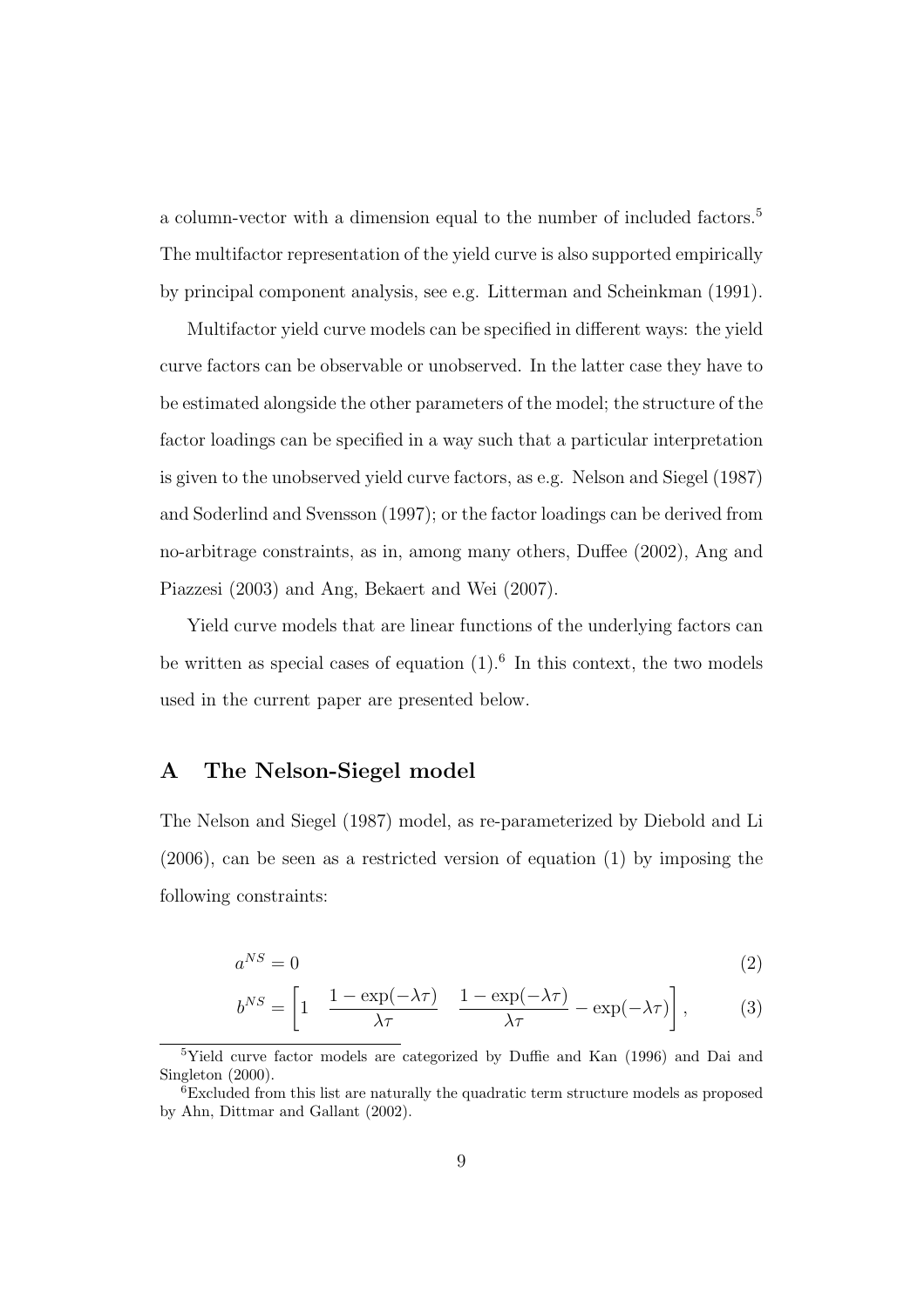a column-vector with a dimension equal to the number of included factors.<sup>5</sup> The multifactor representation of the yield curve is also supported empirically by principal component analysis, see e.g. Litterman and Scheinkman (1991).

Multifactor yield curve models can be specified in different ways: the yield curve factors can be observable or unobserved. In the latter case they have to be estimated alongside the other parameters of the model; the structure of the factor loadings can be specified in a way such that a particular interpretation is given to the unobserved yield curve factors, as e.g. Nelson and Siegel (1987) and Soderlind and Svensson (1997); or the factor loadings can be derived from no-arbitrage constraints, as in, among many others, Duffee (2002), Ang and Piazzesi (2003) and Ang, Bekaert and Wei (2007).

Yield curve models that are linear functions of the underlying factors can be written as special cases of equation  $(1)$ .<sup>6</sup> In this context, the two models used in the current paper are presented below.

### A The Nelson-Siegel model

The Nelson and Siegel (1987) model, as re-parameterized by Diebold and Li (2006), can be seen as a restricted version of equation (1) by imposing the following constraints:

$$
a^{NS} = 0\tag{2}
$$

$$
b^{NS} = \left[1 - \frac{1 - \exp(-\lambda \tau)}{\lambda \tau} \frac{1 - \exp(-\lambda \tau)}{\lambda \tau} - \exp(-\lambda \tau)\right],\tag{3}
$$

<sup>5</sup>Yield curve factor models are categorized by Duffie and Kan (1996) and Dai and Singleton (2000).

<sup>6</sup>Excluded from this list are naturally the quadratic term structure models as proposed by Ahn, Dittmar and Gallant (2002).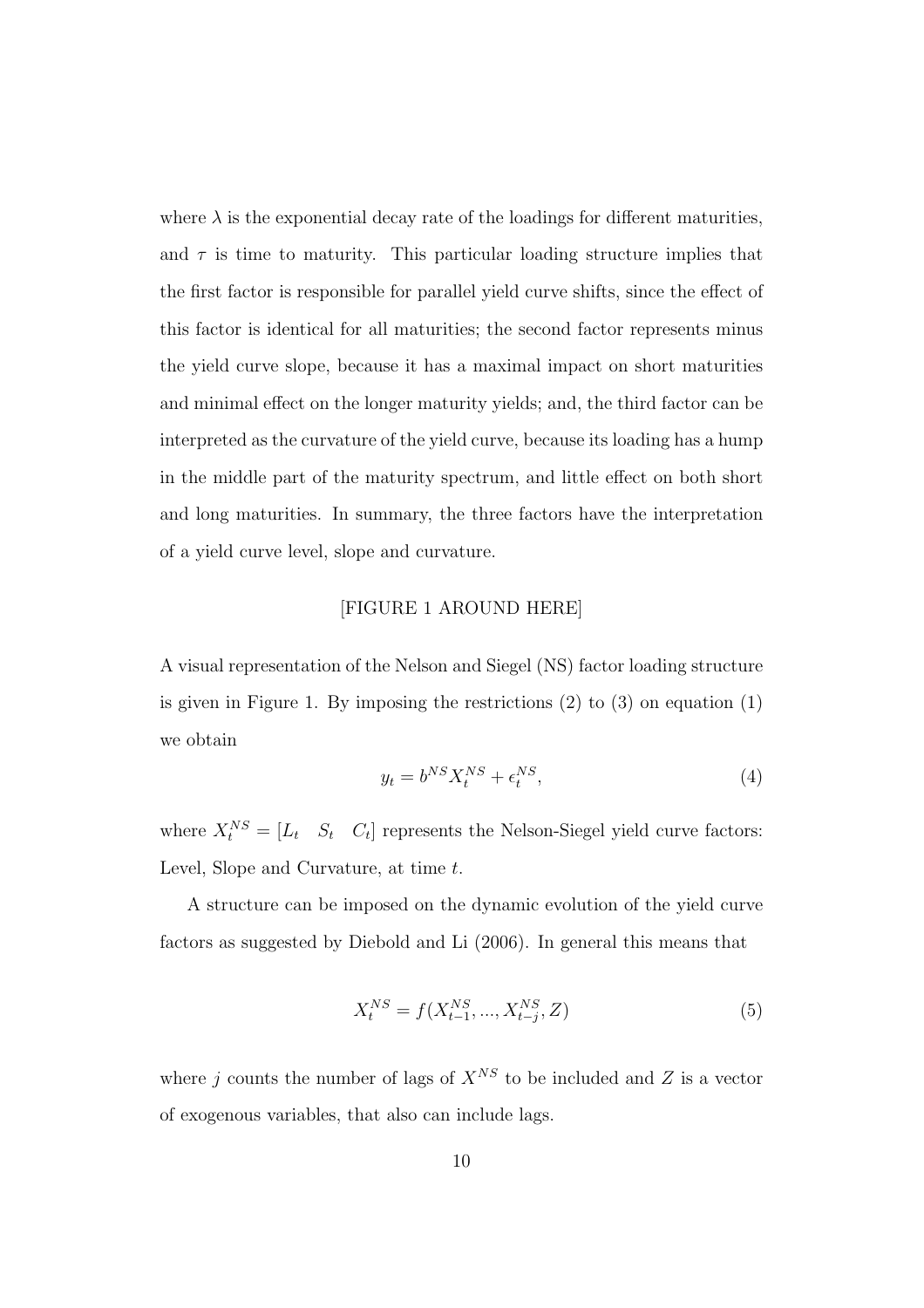where  $\lambda$  is the exponential decay rate of the loadings for different maturities, and  $\tau$  is time to maturity. This particular loading structure implies that the first factor is responsible for parallel yield curve shifts, since the effect of this factor is identical for all maturities; the second factor represents minus the yield curve slope, because it has a maximal impact on short maturities and minimal effect on the longer maturity yields; and, the third factor can be interpreted as the curvature of the yield curve, because its loading has a hump in the middle part of the maturity spectrum, and little effect on both short and long maturities. In summary, the three factors have the interpretation of a yield curve level, slope and curvature.

#### [FIGURE 1 AROUND HERE]

A visual representation of the Nelson and Siegel (NS) factor loading structure is given in Figure 1. By imposing the restrictions (2) to (3) on equation (1) we obtain

$$
y_t = b^{NS} X_t^{NS} + \epsilon_t^{NS},\tag{4}
$$

where  $X_t^{NS} = [L_t \quad S_t \quad C_t]$  represents the Nelson-Siegel yield curve factors: Level, Slope and Curvature, at time t.

A structure can be imposed on the dynamic evolution of the yield curve factors as suggested by Diebold and Li (2006). In general this means that

$$
X_t^{NS} = f(X_{t-1}^{NS}, ..., X_{t-j}^{NS}, Z)
$$
\n(5)

where j counts the number of lags of  $X^{NS}$  to be included and Z is a vector of exogenous variables, that also can include lags.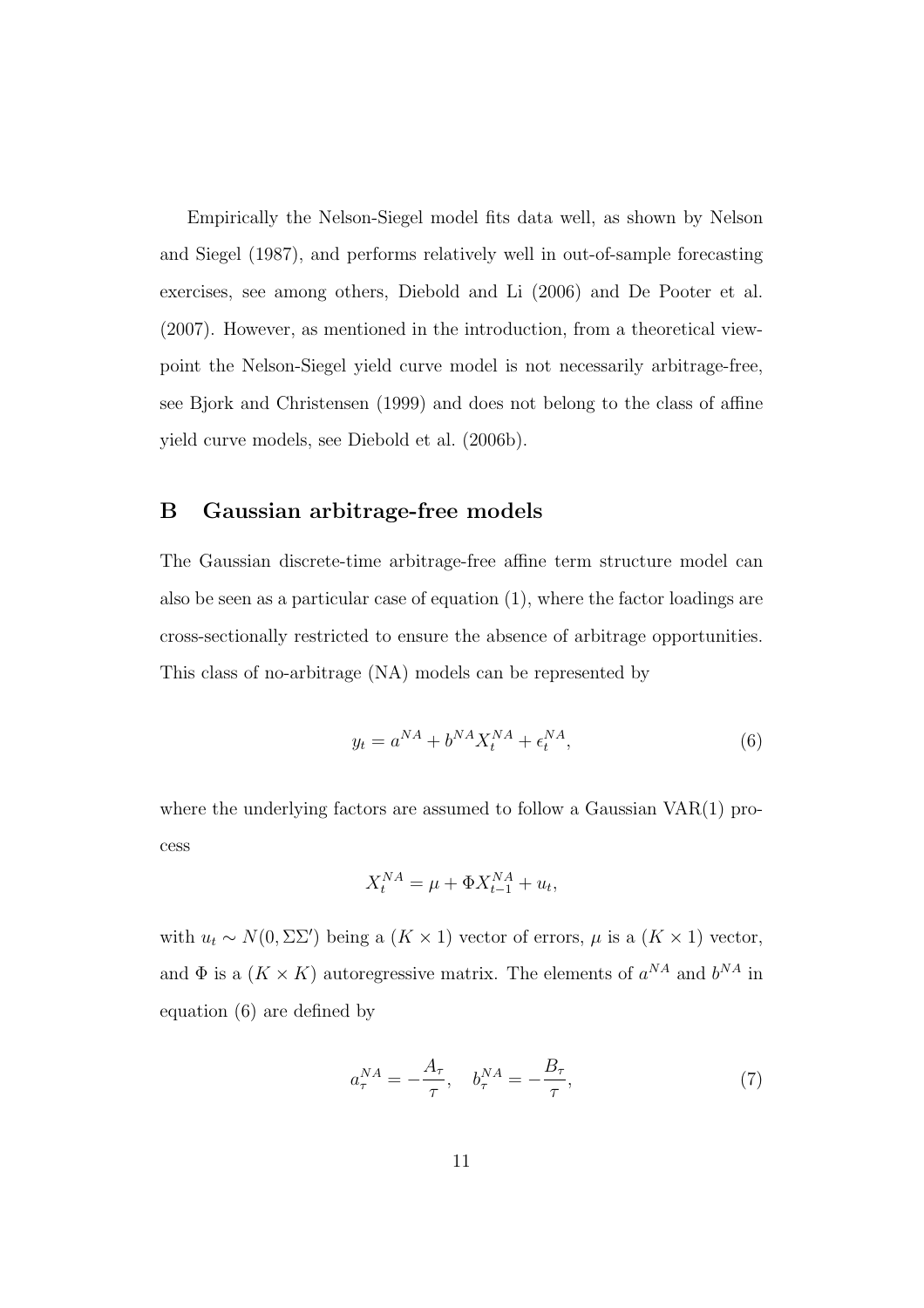Empirically the Nelson-Siegel model fits data well, as shown by Nelson and Siegel (1987), and performs relatively well in out-of-sample forecasting exercises, see among others, Diebold and Li (2006) and De Pooter et al. (2007). However, as mentioned in the introduction, from a theoretical viewpoint the Nelson-Siegel yield curve model is not necessarily arbitrage-free, see Bjork and Christensen (1999) and does not belong to the class of affine yield curve models, see Diebold et al. (2006b).

#### B Gaussian arbitrage-free models

The Gaussian discrete-time arbitrage-free affine term structure model can also be seen as a particular case of equation (1), where the factor loadings are cross-sectionally restricted to ensure the absence of arbitrage opportunities. This class of no-arbitrage (NA) models can be represented by

$$
y_t = a^{NA} + b^{NA} X_t^{NA} + \epsilon_t^{NA}, \tag{6}
$$

where the underlying factors are assumed to follow a Gaussian VAR(1) process

$$
X_t^{NA} = \mu + \Phi X_{t-1}^{NA} + u_t,
$$

with  $u_t \sim N(0, \Sigma \Sigma')$  being a  $(K \times 1)$  vector of errors,  $\mu$  is a  $(K \times 1)$  vector, and  $\Phi$  is a  $(K \times K)$  autoregressive matrix. The elements of  $a^{NA}$  and  $b^{NA}$  in equation (6) are defined by

$$
a_{\tau}^{NA} = -\frac{A_{\tau}}{\tau}, \quad b_{\tau}^{NA} = -\frac{B_{\tau}}{\tau}, \tag{7}
$$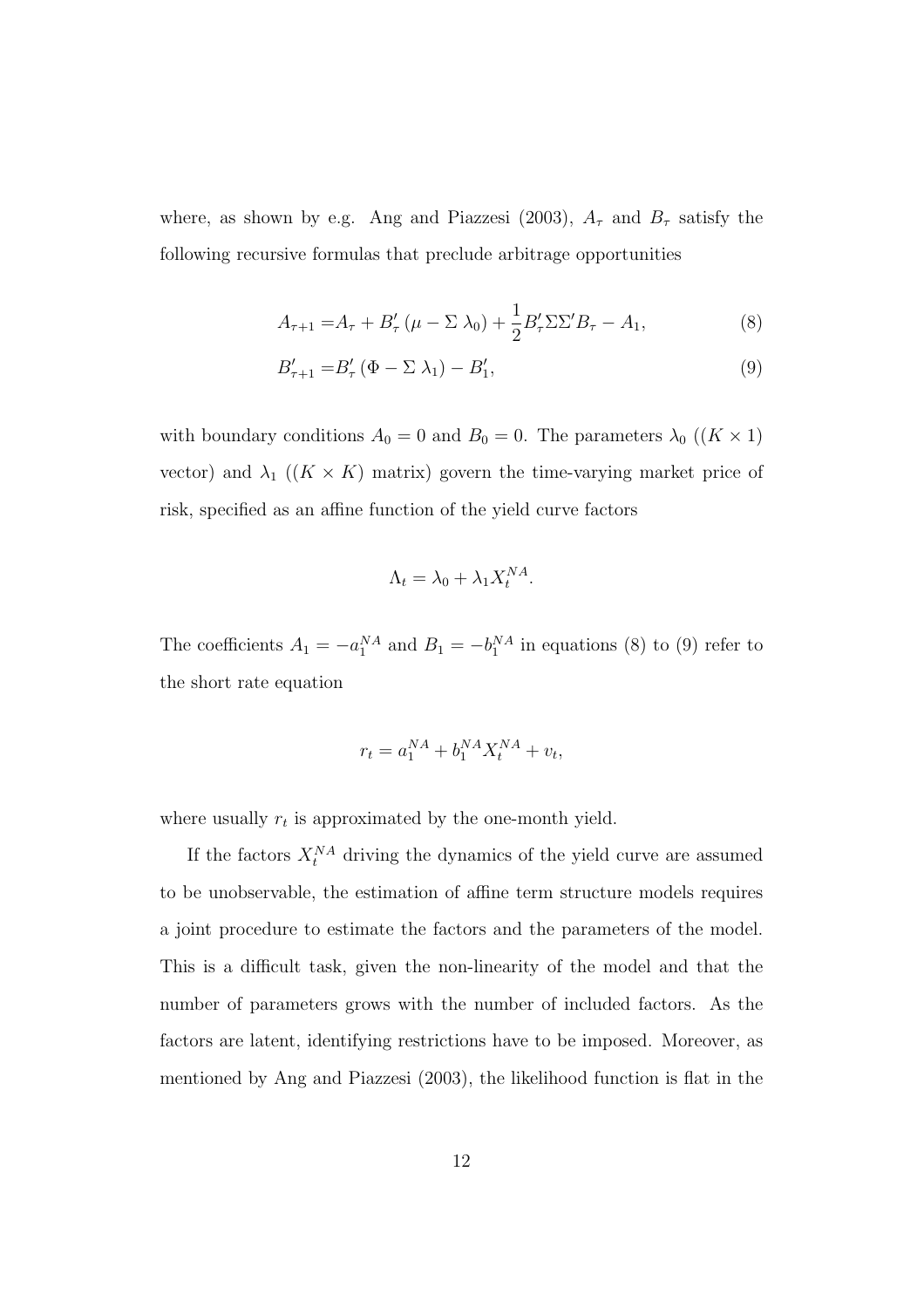where, as shown by e.g. Ang and Piazzesi (2003),  $A_{\tau}$  and  $B_{\tau}$  satisfy the following recursive formulas that preclude arbitrage opportunities

$$
A_{\tau+1} = A_{\tau} + B'_{\tau} (\mu - \Sigma \lambda_0) + \frac{1}{2} B'_{\tau} \Sigma \Sigma' B_{\tau} - A_1,
$$
 (8)

$$
B'_{\tau+1} = B'_{\tau} (\Phi - \Sigma \lambda_1) - B'_1,
$$
\n(9)

with boundary conditions  $A_0 = 0$  and  $B_0 = 0$ . The parameters  $\lambda_0$  (( $K \times 1$ ) vector) and  $\lambda_1$  ( $(K \times K)$  matrix) govern the time-varying market price of risk, specified as an affine function of the yield curve factors

$$
\Lambda_t = \lambda_0 + \lambda_1 X_t^{NA}.
$$

The coefficients  $A_1 = -a_1^{NA}$  and  $B_1 = -b_1^{NA}$  in equations (8) to (9) refer to the short rate equation

$$
r_t = a_1^{NA} + b_1^{NA} X_t^{NA} + v_t,
$$

where usually  $r_t$  is approximated by the one-month yield.

If the factors  $X_t^{NA}$  driving the dynamics of the yield curve are assumed to be unobservable, the estimation of affine term structure models requires a joint procedure to estimate the factors and the parameters of the model. This is a difficult task, given the non-linearity of the model and that the number of parameters grows with the number of included factors. As the factors are latent, identifying restrictions have to be imposed. Moreover, as mentioned by Ang and Piazzesi (2003), the likelihood function is flat in the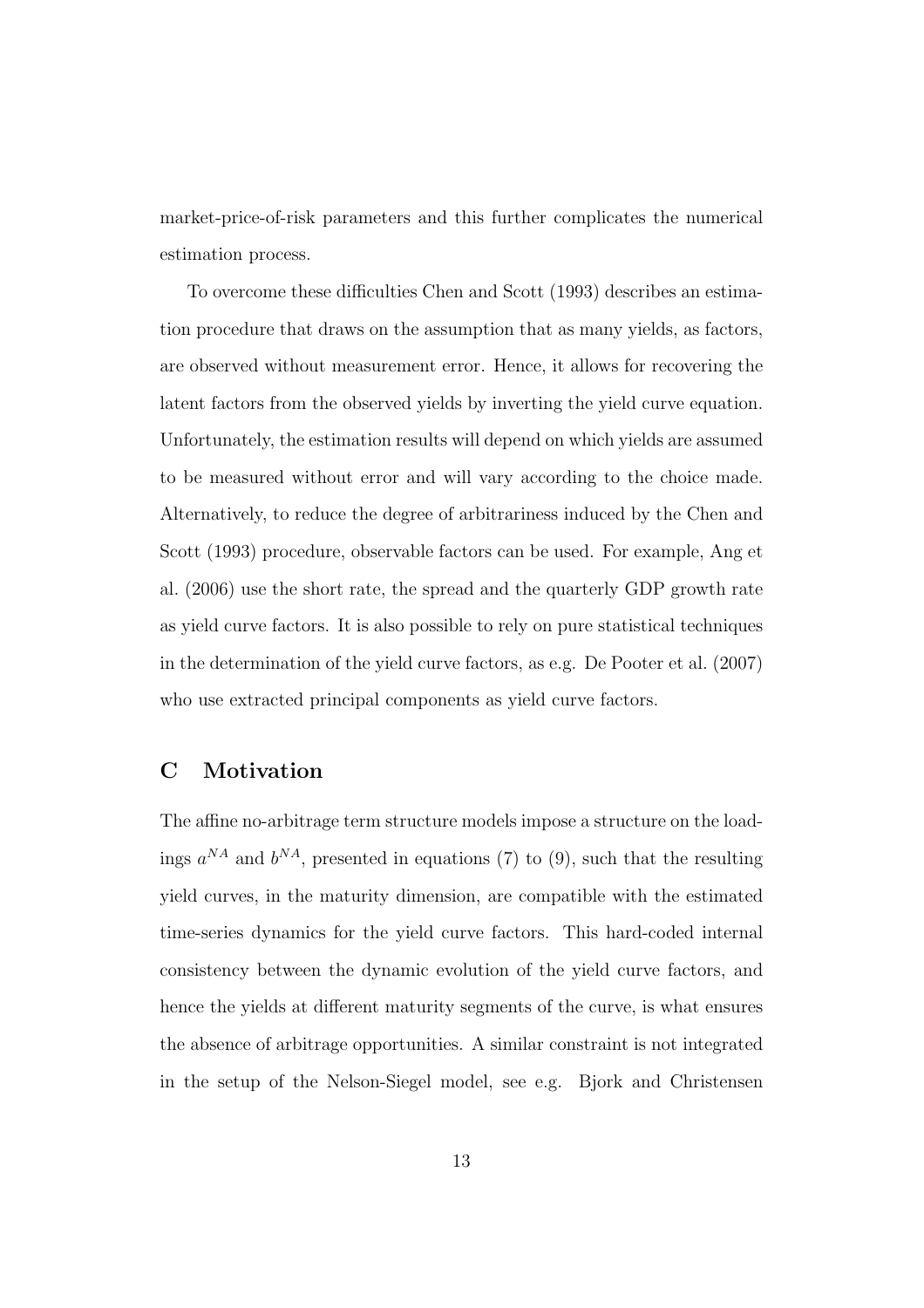market-price-of-risk parameters and this further complicates the numerical estimation process.

To overcome these difficulties Chen and Scott (1993) describes an estimation procedure that draws on the assumption that as many yields, as factors, are observed without measurement error. Hence, it allows for recovering the latent factors from the observed yields by inverting the yield curve equation. Unfortunately, the estimation results will depend on which yields are assumed to be measured without error and will vary according to the choice made. Alternatively, to reduce the degree of arbitrariness induced by the Chen and Scott (1993) procedure, observable factors can be used. For example, Ang et al. (2006) use the short rate, the spread and the quarterly GDP growth rate as yield curve factors. It is also possible to rely on pure statistical techniques in the determination of the yield curve factors, as e.g. De Pooter et al. (2007) who use extracted principal components as yield curve factors.

## C Motivation

The affine no-arbitrage term structure models impose a structure on the loadings  $a^{NA}$  and  $b^{NA}$ , presented in equations (7) to (9), such that the resulting yield curves, in the maturity dimension, are compatible with the estimated time-series dynamics for the yield curve factors. This hard-coded internal consistency between the dynamic evolution of the yield curve factors, and hence the yields at different maturity segments of the curve, is what ensures the absence of arbitrage opportunities. A similar constraint is not integrated in the setup of the Nelson-Siegel model, see e.g. Bjork and Christensen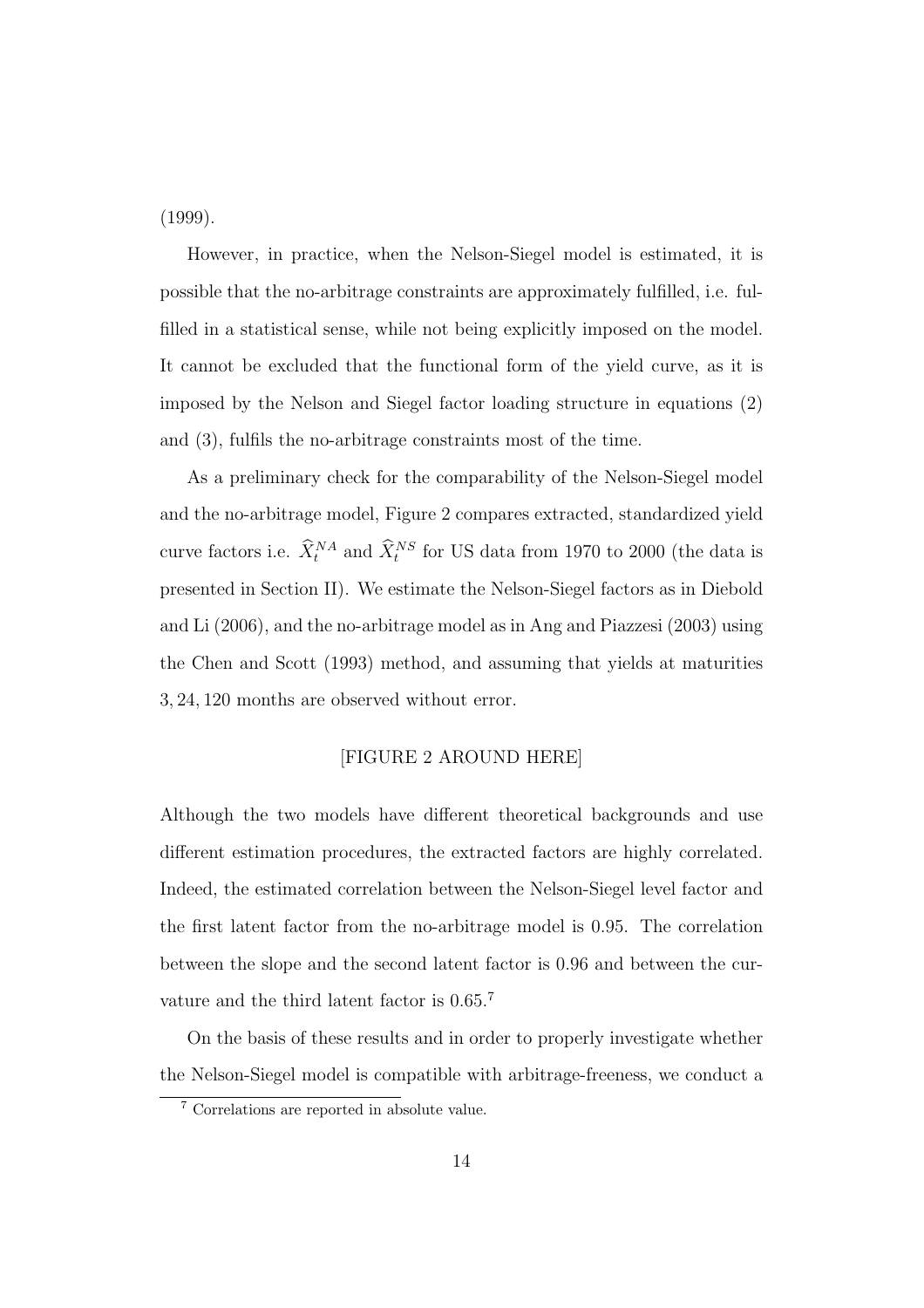(1999).

However, in practice, when the Nelson-Siegel model is estimated, it is possible that the no-arbitrage constraints are approximately fulfilled, i.e. fulfilled in a statistical sense, while not being explicitly imposed on the model. It cannot be excluded that the functional form of the yield curve, as it is imposed by the Nelson and Siegel factor loading structure in equations (2) and (3), fulfils the no-arbitrage constraints most of the time.

As a preliminary check for the comparability of the Nelson-Siegel model and the no-arbitrage model, Figure 2 compares extracted, standardized yield curve factors i.e.  $\widehat{X}_t^{NA}$  and  $\widehat{X}_t^{NS}$  for US data from 1970 to 2000 (the data is presented in Section II). We estimate the Nelson-Siegel factors as in Diebold and Li (2006), and the no-arbitrage model as in Ang and Piazzesi (2003) using the Chen and Scott (1993) method, and assuming that yields at maturities 3, 24, 120 months are observed without error.

#### [FIGURE 2 AROUND HERE]

Although the two models have different theoretical backgrounds and use different estimation procedures, the extracted factors are highly correlated. Indeed, the estimated correlation between the Nelson-Siegel level factor and the first latent factor from the no-arbitrage model is 0.95. The correlation between the slope and the second latent factor is 0.96 and between the curvature and the third latent factor is 0.65.<sup>7</sup>

On the basis of these results and in order to properly investigate whether the Nelson-Siegel model is compatible with arbitrage-freeness, we conduct a

<sup>7</sup> Correlations are reported in absolute value.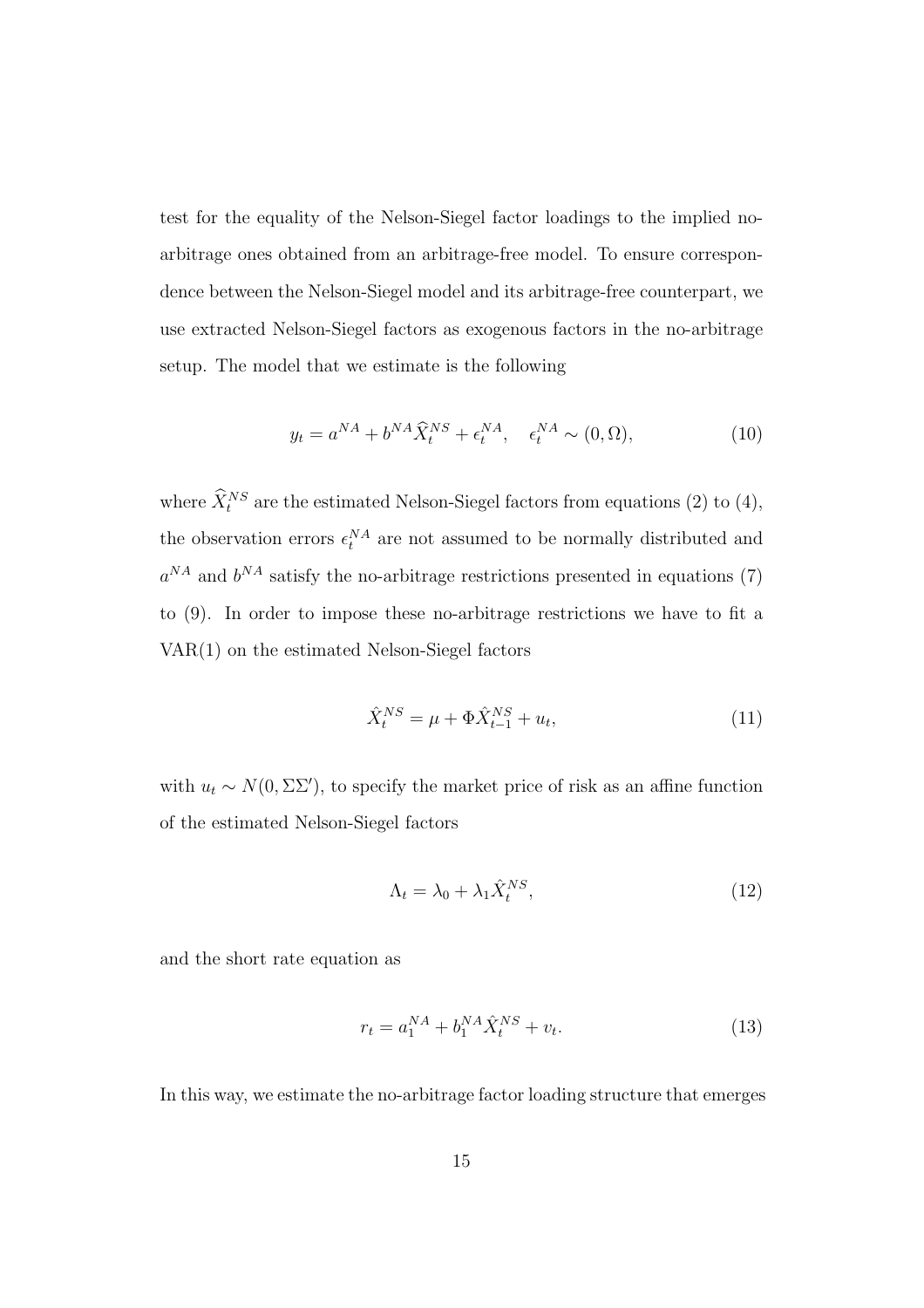test for the equality of the Nelson-Siegel factor loadings to the implied noarbitrage ones obtained from an arbitrage-free model. To ensure correspondence between the Nelson-Siegel model and its arbitrage-free counterpart, we use extracted Nelson-Siegel factors as exogenous factors in the no-arbitrage setup. The model that we estimate is the following

$$
y_t = a^{NA} + b^{NA} \widehat{X}_t^{NS} + \epsilon_t^{NA}, \quad \epsilon_t^{NA} \sim (0, \Omega), \tag{10}
$$

where  $\widehat{X}_{t}^{NS}$  are the estimated Nelson-Siegel factors from equations (2) to (4), the observation errors  $\epsilon_t^{NA}$  are not assumed to be normally distributed and  $a^{NA}$  and  $b^{NA}$  satisfy the no-arbitrage restrictions presented in equations (7) to (9). In order to impose these no-arbitrage restrictions we have to fit a VAR(1) on the estimated Nelson-Siegel factors

$$
\hat{X}_t^{NS} = \mu + \Phi \hat{X}_{t-1}^{NS} + u_t,\tag{11}
$$

with  $u_t \sim N(0, \Sigma \Sigma')$ , to specify the market price of risk as an affine function of the estimated Nelson-Siegel factors

$$
\Lambda_t = \lambda_0 + \lambda_1 \hat{X}_t^{NS},\tag{12}
$$

and the short rate equation as

$$
r_t = a_1^{NA} + b_1^{NA} \hat{X}_t^{NS} + v_t.
$$
 (13)

In this way, we estimate the no-arbitrage factor loading structure that emerges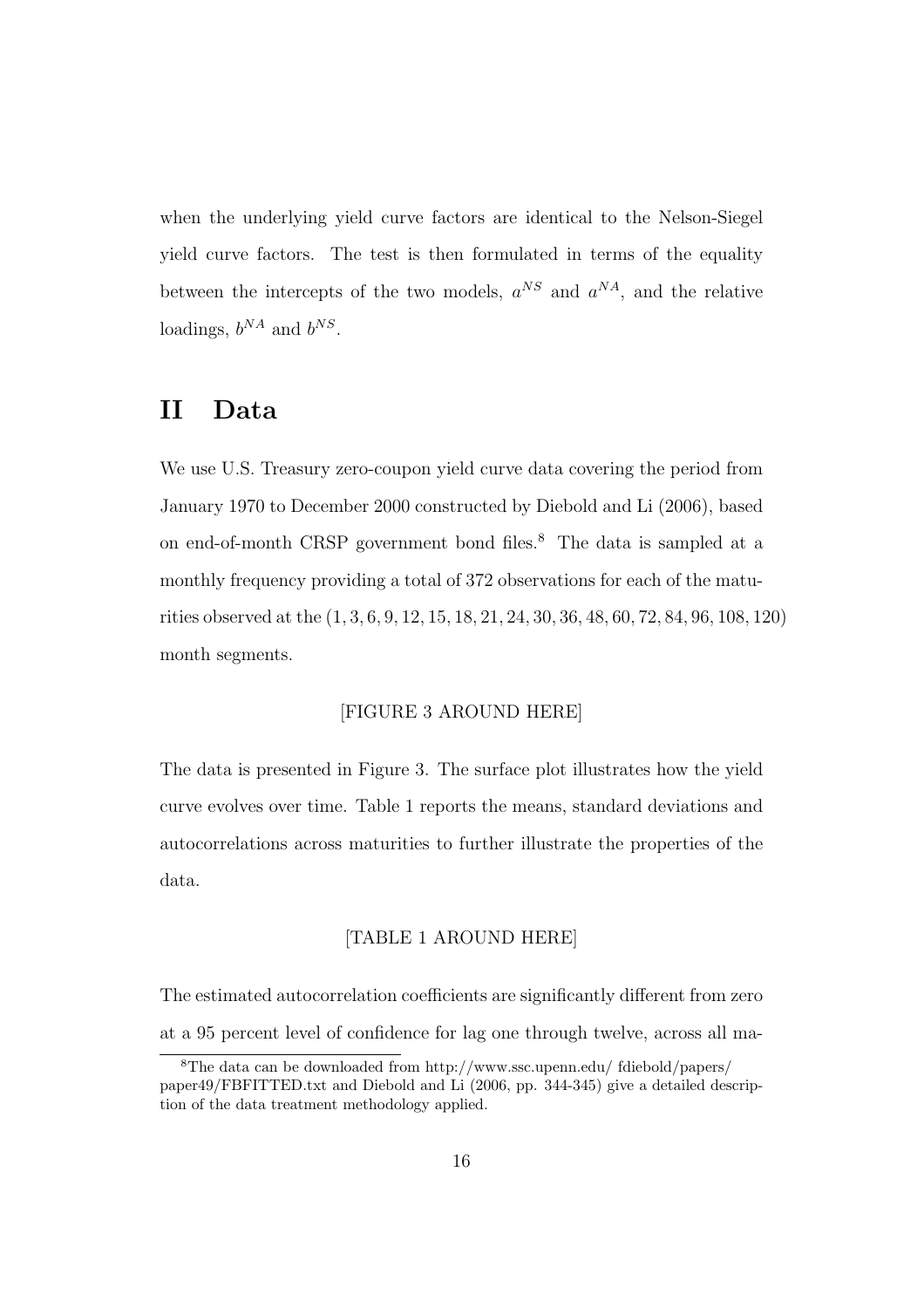when the underlying yield curve factors are identical to the Nelson-Siegel yield curve factors. The test is then formulated in terms of the equality between the intercepts of the two models,  $a^{NS}$  and  $a^{NA}$ , and the relative loadings,  $b^{NA}$  and  $b^{NS}$ .

## II Data

We use U.S. Treasury zero-coupon yield curve data covering the period from January 1970 to December 2000 constructed by Diebold and Li (2006), based on end-of-month CRSP government bond files.<sup>8</sup> The data is sampled at a monthly frequency providing a total of 372 observations for each of the maturities observed at the (1, 3, 6, 9, 12, 15, 18, 21, 24, 30, 36, 48, 60, 72, 84, 96, 108, 120) month segments.

#### [FIGURE 3 AROUND HERE]

The data is presented in Figure 3. The surface plot illustrates how the yield curve evolves over time. Table 1 reports the means, standard deviations and autocorrelations across maturities to further illustrate the properties of the data.

#### [TABLE 1 AROUND HERE]

The estimated autocorrelation coefficients are significantly different from zero at a 95 percent level of confidence for lag one through twelve, across all ma-

<sup>8</sup>The data can be downloaded from http://www.ssc.upenn.edu/ fdiebold/papers/ paper49/FBFITTED.txt and Diebold and Li (2006, pp. 344-345) give a detailed description of the data treatment methodology applied.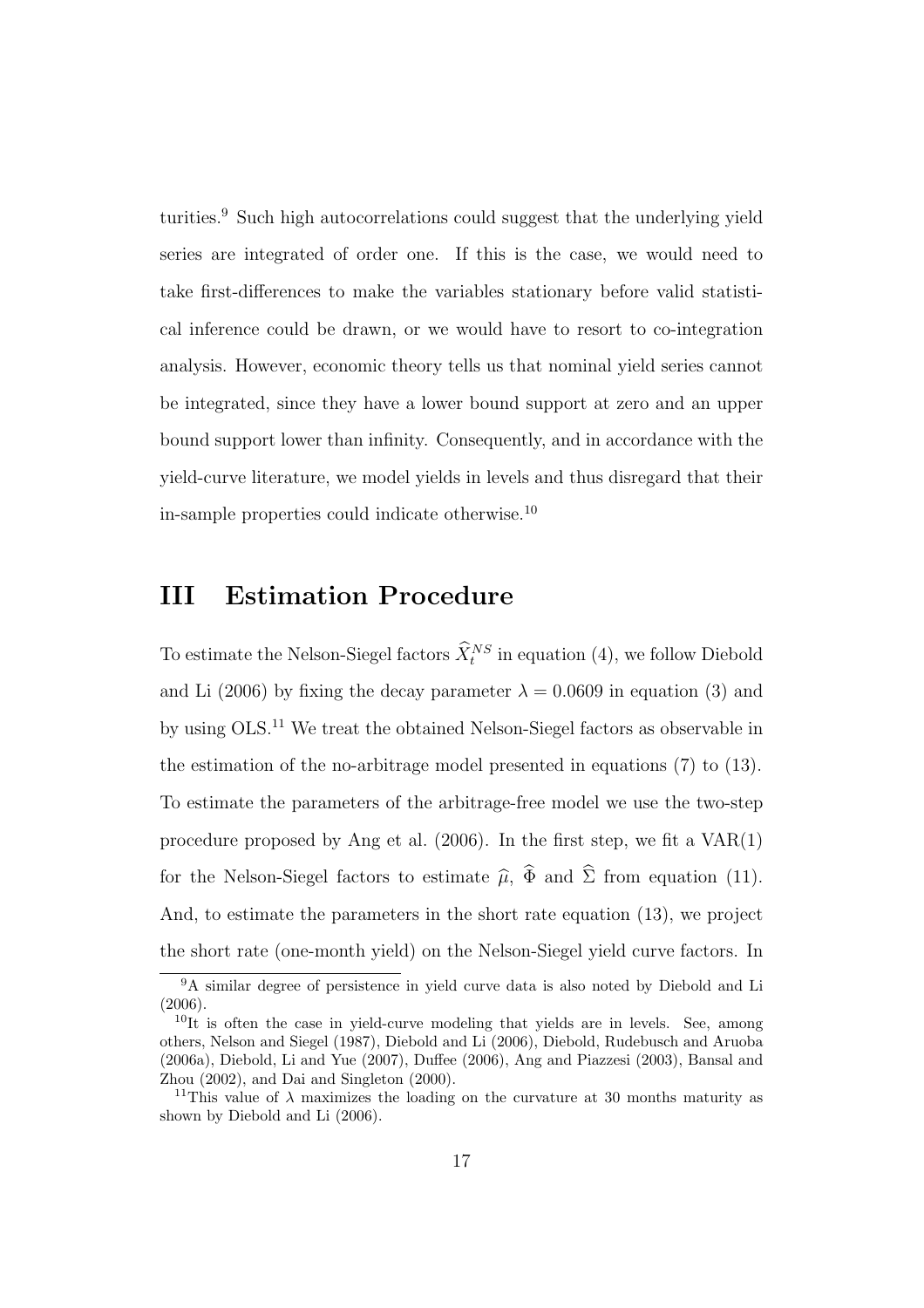turities.<sup>9</sup> Such high autocorrelations could suggest that the underlying yield series are integrated of order one. If this is the case, we would need to take first-differences to make the variables stationary before valid statistical inference could be drawn, or we would have to resort to co-integration analysis. However, economic theory tells us that nominal yield series cannot be integrated, since they have a lower bound support at zero and an upper bound support lower than infinity. Consequently, and in accordance with the yield-curve literature, we model yields in levels and thus disregard that their in-sample properties could indicate otherwise.<sup>10</sup>

## III Estimation Procedure

To estimate the Nelson-Siegel factors  $\widehat{X}_{t}^{NS}$  in equation (4), we follow Diebold and Li (2006) by fixing the decay parameter  $\lambda = 0.0609$  in equation (3) and by using OLS.<sup>11</sup> We treat the obtained Nelson-Siegel factors as observable in the estimation of the no-arbitrage model presented in equations (7) to (13). To estimate the parameters of the arbitrage-free model we use the two-step procedure proposed by Ang et al. (2006). In the first step, we fit a VAR(1) for the Nelson-Siegel factors to estimate  $\hat{\mu}$ ,  $\hat{\Phi}$  and  $\hat{\Sigma}$  from equation (11). And, to estimate the parameters in the short rate equation (13), we project the short rate (one-month yield) on the Nelson-Siegel yield curve factors. In

<sup>&</sup>lt;sup>9</sup>A similar degree of persistence in yield curve data is also noted by Diebold and Li (2006).

 $10$ It is often the case in yield-curve modeling that yields are in levels. See, among others, Nelson and Siegel (1987), Diebold and Li (2006), Diebold, Rudebusch and Aruoba (2006a), Diebold, Li and Yue (2007), Duffee (2006), Ang and Piazzesi (2003), Bansal and Zhou (2002), and Dai and Singleton (2000).

<sup>&</sup>lt;sup>11</sup>This value of  $\lambda$  maximizes the loading on the curvature at 30 months maturity as shown by Diebold and Li (2006).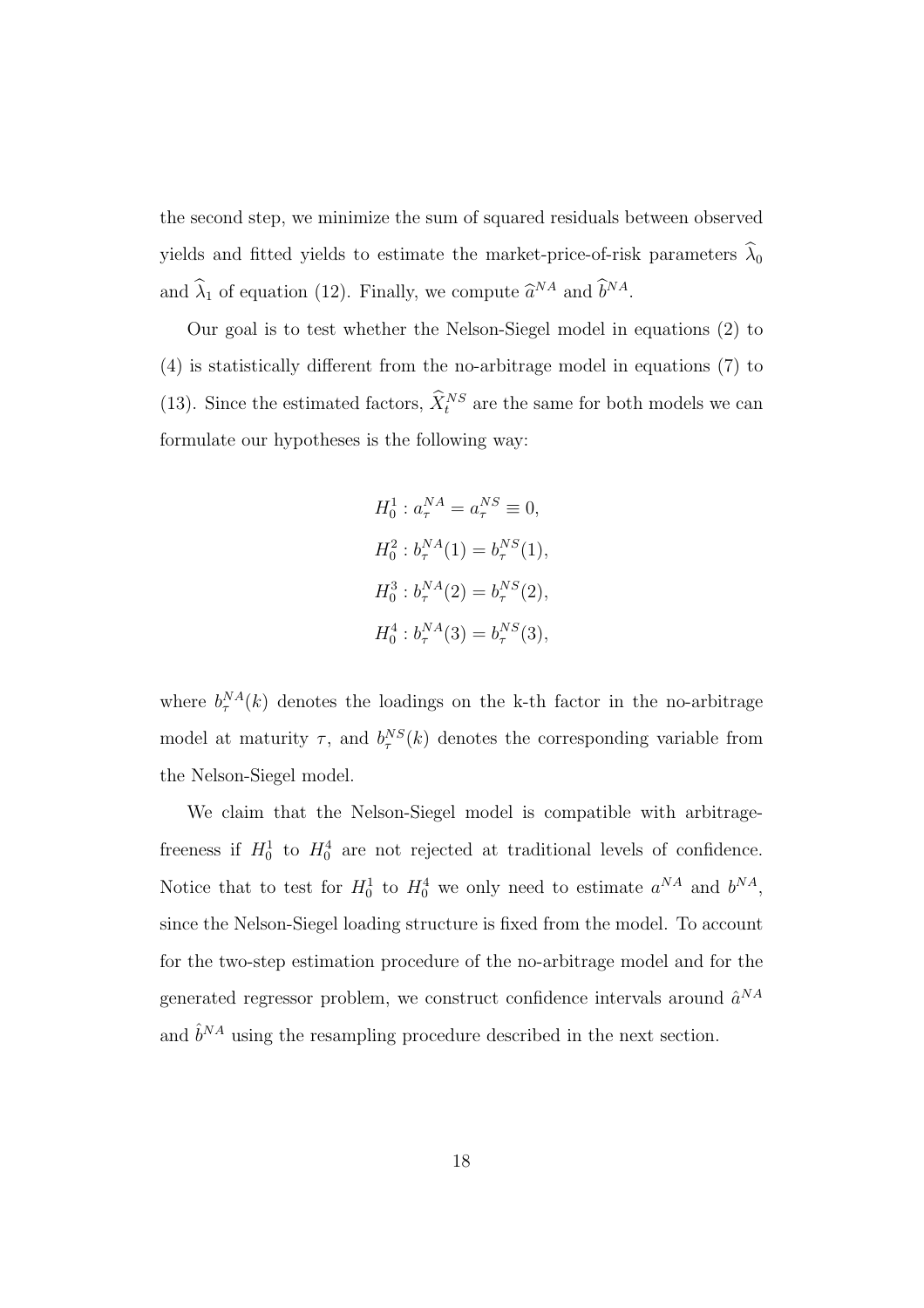the second step, we minimize the sum of squared residuals between observed yields and fitted yields to estimate the market-price-of-risk parameters  $\hat{\lambda}_0$ and  $\widehat{\lambda}_1$  of equation (12). Finally, we compute  $\widehat{a}^{NA}$  and  $\widehat{b}^{NA}$ .

Our goal is to test whether the Nelson-Siegel model in equations (2) to (4) is statistically different from the no-arbitrage model in equations (7) to (13). Since the estimated factors,  $\widehat{X}^{NS}_t$  are the same for both models we can formulate our hypotheses is the following way:

$$
H_0^1: a_\tau^{NA} = a_\tau^{NS} \equiv 0,
$$
  
\n
$$
H_0^2: b_\tau^{NA}(1) = b_\tau^{NS}(1),
$$
  
\n
$$
H_0^3: b_\tau^{NA}(2) = b_\tau^{NS}(2),
$$
  
\n
$$
H_0^4: b_\tau^{NA}(3) = b_\tau^{NS}(3),
$$

where  $b_{\tau}^{NA}(k)$  denotes the loadings on the k-th factor in the no-arbitrage model at maturity  $\tau$ , and  $b_{\tau}^{NS}(k)$  denotes the corresponding variable from the Nelson-Siegel model.

We claim that the Nelson-Siegel model is compatible with arbitragefreeness if  $H_0^1$  to  $H_0^4$  are not rejected at traditional levels of confidence. Notice that to test for  $H_0^1$  to  $H_0^4$  we only need to estimate  $a^{NA}$  and  $b^{NA}$ , since the Nelson-Siegel loading structure is fixed from the model. To account for the two-step estimation procedure of the no-arbitrage model and for the generated regressor problem, we construct confidence intervals around  $\hat{a}^{NA}$ and  $\hat{b}^{NA}$  using the resampling procedure described in the next section.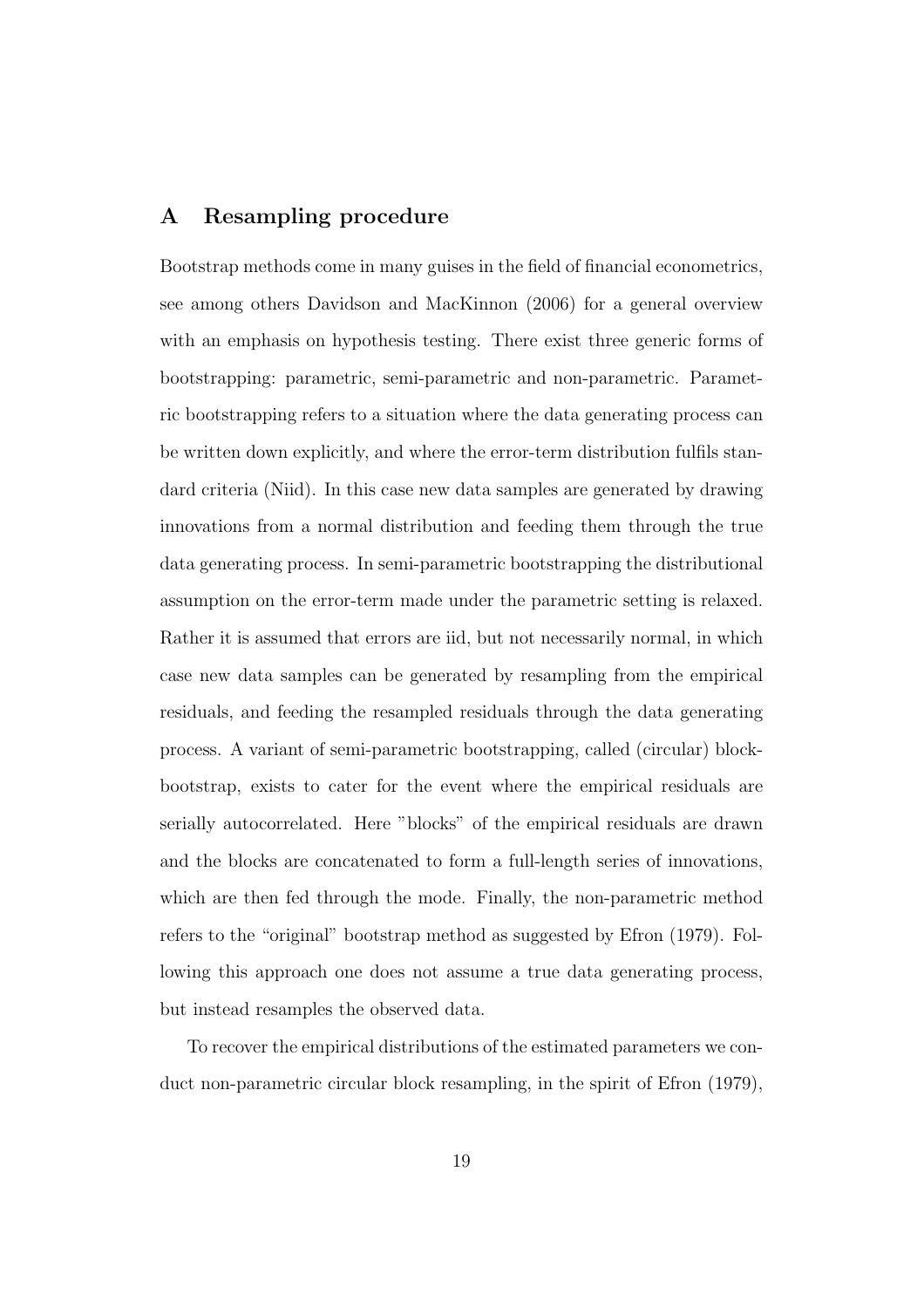### A Resampling procedure

Bootstrap methods come in many guises in the field of financial econometrics, see among others Davidson and MacKinnon (2006) for a general overview with an emphasis on hypothesis testing. There exist three generic forms of bootstrapping: parametric, semi-parametric and non-parametric. Parametric bootstrapping refers to a situation where the data generating process can be written down explicitly, and where the error-term distribution fulfils standard criteria (Niid). In this case new data samples are generated by drawing innovations from a normal distribution and feeding them through the true data generating process. In semi-parametric bootstrapping the distributional assumption on the error-term made under the parametric setting is relaxed. Rather it is assumed that errors are iid, but not necessarily normal, in which case new data samples can be generated by resampling from the empirical residuals, and feeding the resampled residuals through the data generating process. A variant of semi-parametric bootstrapping, called (circular) blockbootstrap, exists to cater for the event where the empirical residuals are serially autocorrelated. Here "blocks" of the empirical residuals are drawn and the blocks are concatenated to form a full-length series of innovations, which are then fed through the mode. Finally, the non-parametric method refers to the "original" bootstrap method as suggested by Efron (1979). Following this approach one does not assume a true data generating process, but instead resamples the observed data.

To recover the empirical distributions of the estimated parameters we conduct non-parametric circular block resampling, in the spirit of Efron (1979),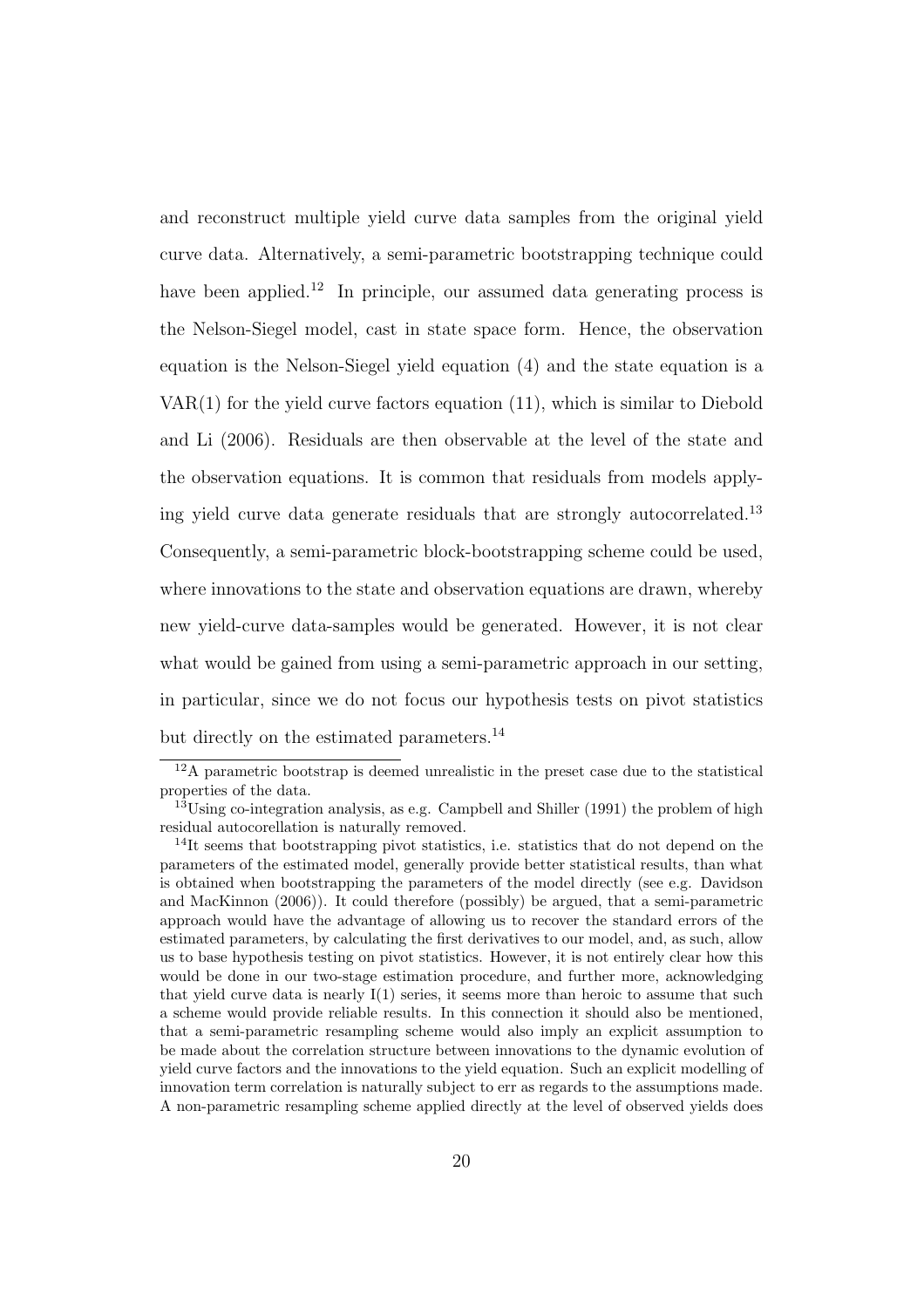and reconstruct multiple yield curve data samples from the original yield curve data. Alternatively, a semi-parametric bootstrapping technique could have been applied.<sup>12</sup> In principle, our assumed data generating process is the Nelson-Siegel model, cast in state space form. Hence, the observation equation is the Nelson-Siegel yield equation (4) and the state equation is a  $VAR(1)$  for the yield curve factors equation  $(11)$ , which is similar to Diebold and Li (2006). Residuals are then observable at the level of the state and the observation equations. It is common that residuals from models applying yield curve data generate residuals that are strongly autocorrelated.<sup>13</sup> Consequently, a semi-parametric block-bootstrapping scheme could be used, where innovations to the state and observation equations are drawn, whereby new yield-curve data-samples would be generated. However, it is not clear what would be gained from using a semi-parametric approach in our setting, in particular, since we do not focus our hypothesis tests on pivot statistics but directly on the estimated parameters.<sup>14</sup>

<sup>12</sup>A parametric bootstrap is deemed unrealistic in the preset case due to the statistical properties of the data.

<sup>&</sup>lt;sup>13</sup>Using co-integration analysis, as e.g. Campbell and Shiller (1991) the problem of high residual autocorellation is naturally removed.

<sup>&</sup>lt;sup>14</sup>It seems that bootstrapping pivot statistics, i.e. statistics that do not depend on the parameters of the estimated model, generally provide better statistical results, than what is obtained when bootstrapping the parameters of the model directly (see e.g. Davidson and MacKinnon (2006)). It could therefore (possibly) be argued, that a semi-parametric approach would have the advantage of allowing us to recover the standard errors of the estimated parameters, by calculating the first derivatives to our model, and, as such, allow us to base hypothesis testing on pivot statistics. However, it is not entirely clear how this would be done in our two-stage estimation procedure, and further more, acknowledging that yield curve data is nearly  $I(1)$  series, it seems more than heroic to assume that such a scheme would provide reliable results. In this connection it should also be mentioned, that a semi-parametric resampling scheme would also imply an explicit assumption to be made about the correlation structure between innovations to the dynamic evolution of yield curve factors and the innovations to the yield equation. Such an explicit modelling of innovation term correlation is naturally subject to err as regards to the assumptions made. A non-parametric resampling scheme applied directly at the level of observed yields does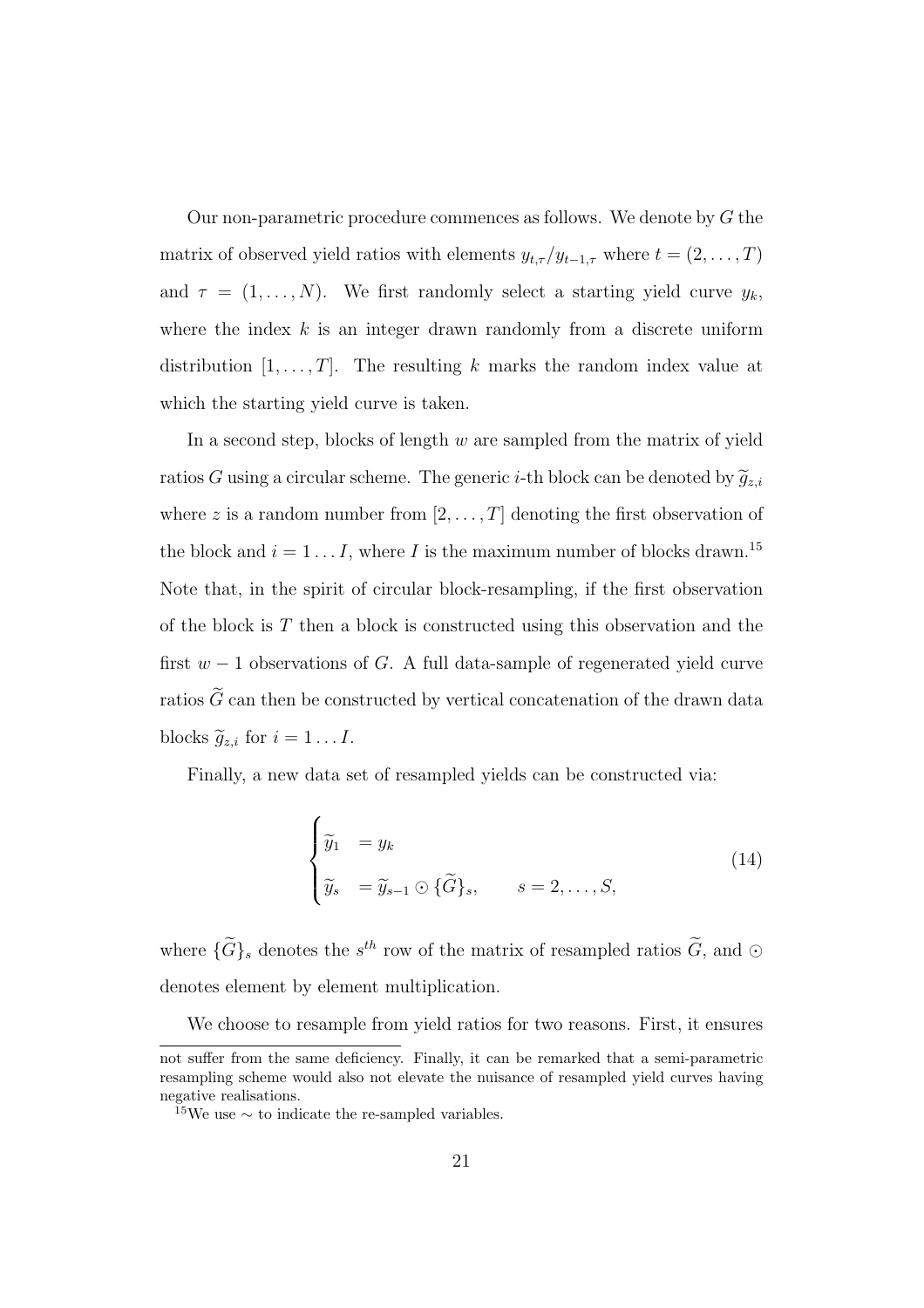Our non-parametric procedure commences as follows. We denote by  $G$  the matrix of observed yield ratios with elements  $y_{t,\tau}/y_{t-1,\tau}$  where  $t = (2,\ldots,T)$ and  $\tau = (1, \ldots, N)$ . We first randomly select a starting yield curve  $y_k$ , where the index  $k$  is an integer drawn randomly from a discrete uniform distribution  $[1, \ldots, T]$ . The resulting k marks the random index value at which the starting yield curve is taken.

In a second step, blocks of length  $w$  are sampled from the matrix of yield ratios G using a circular scheme. The generic *i*-th block can be denoted by  $\tilde{g}_{z,i}$ where z is a random number from  $[2, \ldots, T]$  denoting the first observation of the block and  $i = 1...I$ , where I is the maximum number of blocks drawn.<sup>15</sup> Note that, in the spirit of circular block-resampling, if the first observation of the block is  $T$  then a block is constructed using this observation and the first  $w - 1$  observations of G. A full data-sample of regenerated yield curve ratios  $\tilde{G}$  can then be constructed by vertical concatenation of the drawn data blocks  $\widetilde{q}_{z,i}$  for  $i = 1 \dots I$ .

Finally, a new data set of resampled yields can be constructed via:

$$
\begin{cases}\n\widetilde{y}_1 &= y_k \\
\widetilde{y}_s &= \widetilde{y}_{s-1} \odot {\widetilde{G}}_s, \qquad s = 2, \dots, S,\n\end{cases}
$$
\n(14)

where  $\{\widetilde{G}\}_s$  denotes the  $s^{th}$  row of the matrix of resampled ratios  $\widetilde{G}$ , and  $\odot$ denotes element by element multiplication.

We choose to resample from yield ratios for two reasons. First, it ensures

not suffer from the same deficiency. Finally, it can be remarked that a semi-parametric resampling scheme would also not elevate the nuisance of resampled yield curves having negative realisations.

<sup>&</sup>lt;sup>15</sup>We use  $\sim$  to indicate the re-sampled variables.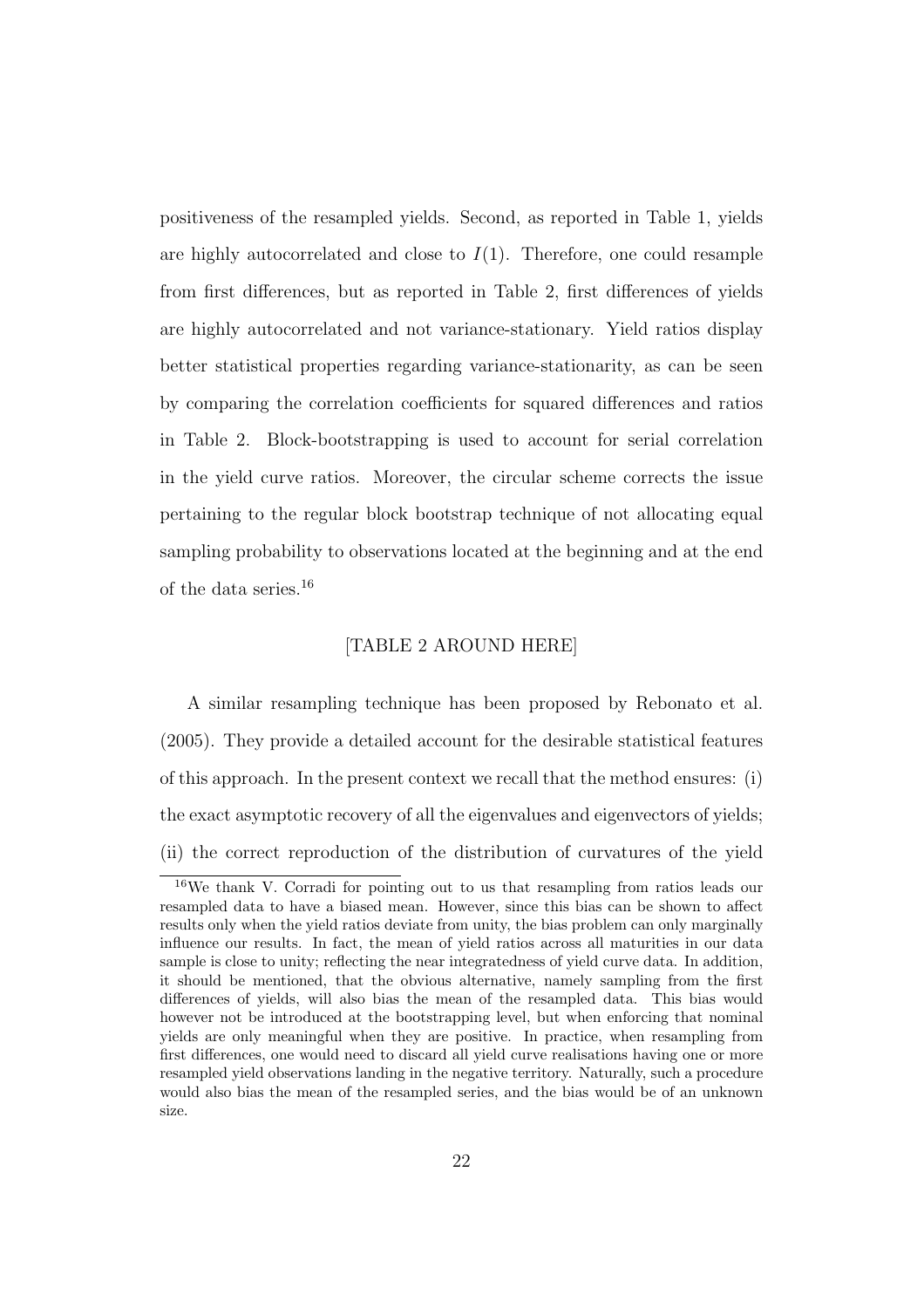positiveness of the resampled yields. Second, as reported in Table 1, yields are highly autocorrelated and close to  $I(1)$ . Therefore, one could resample from first differences, but as reported in Table 2, first differences of yields are highly autocorrelated and not variance-stationary. Yield ratios display better statistical properties regarding variance-stationarity, as can be seen by comparing the correlation coefficients for squared differences and ratios in Table 2. Block-bootstrapping is used to account for serial correlation in the yield curve ratios. Moreover, the circular scheme corrects the issue pertaining to the regular block bootstrap technique of not allocating equal sampling probability to observations located at the beginning and at the end of the data series.<sup>16</sup>

#### [TABLE 2 AROUND HERE]

A similar resampling technique has been proposed by Rebonato et al. (2005). They provide a detailed account for the desirable statistical features of this approach. In the present context we recall that the method ensures: (i) the exact asymptotic recovery of all the eigenvalues and eigenvectors of yields; (ii) the correct reproduction of the distribution of curvatures of the yield

<sup>16</sup>We thank V. Corradi for pointing out to us that resampling from ratios leads our resampled data to have a biased mean. However, since this bias can be shown to affect results only when the yield ratios deviate from unity, the bias problem can only marginally influence our results. In fact, the mean of yield ratios across all maturities in our data sample is close to unity; reflecting the near integratedness of yield curve data. In addition, it should be mentioned, that the obvious alternative, namely sampling from the first differences of yields, will also bias the mean of the resampled data. This bias would however not be introduced at the bootstrapping level, but when enforcing that nominal yields are only meaningful when they are positive. In practice, when resampling from first differences, one would need to discard all yield curve realisations having one or more resampled yield observations landing in the negative territory. Naturally, such a procedure would also bias the mean of the resampled series, and the bias would be of an unknown size.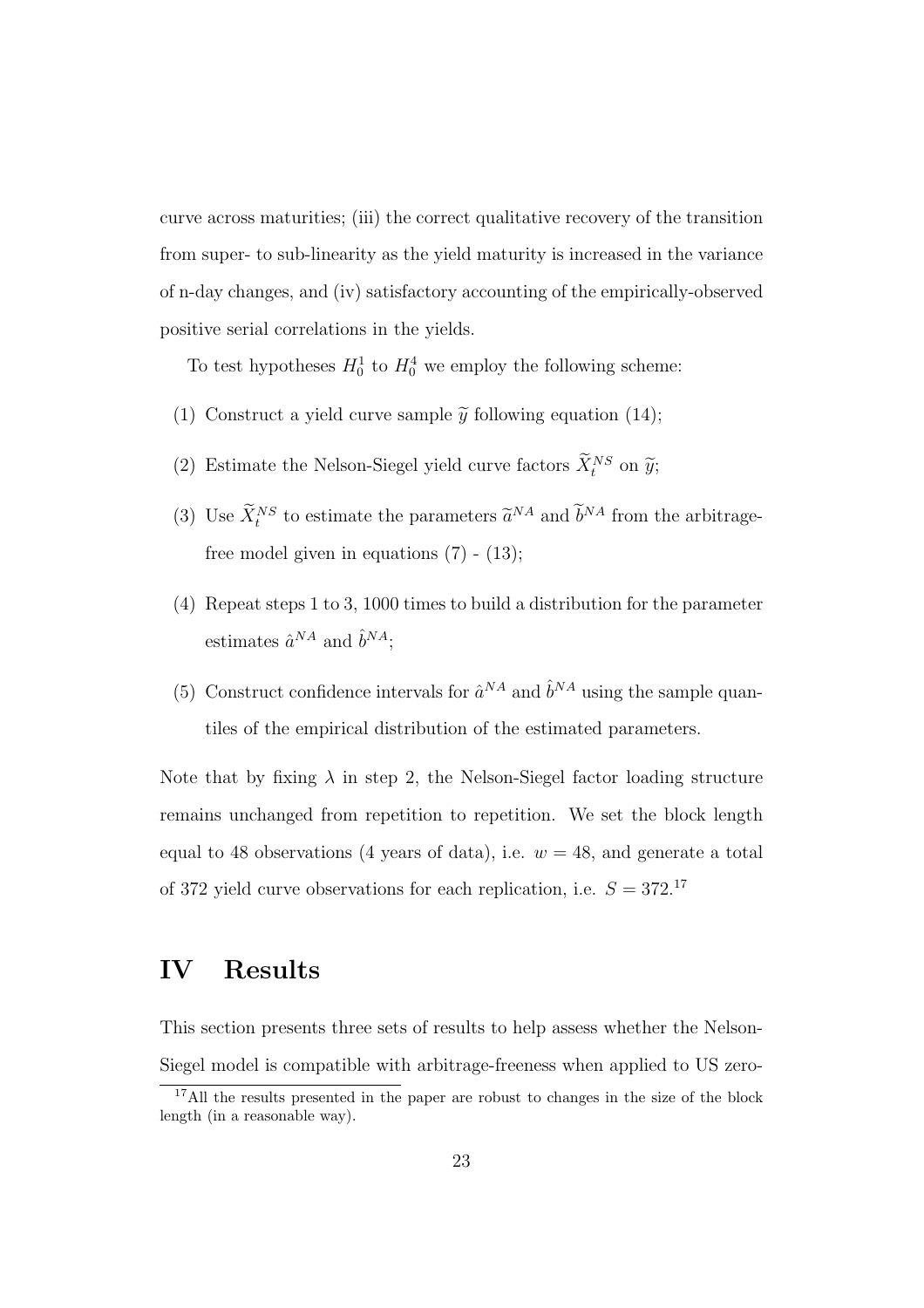curve across maturities; (iii) the correct qualitative recovery of the transition from super- to sub-linearity as the yield maturity is increased in the variance of n-day changes, and (iv) satisfactory accounting of the empirically-observed positive serial correlations in the yields.

To test hypotheses  $H_0^1$  to  $H_0^4$  we employ the following scheme:

- (1) Construct a yield curve sample  $\tilde{y}$  following equation (14);
- (2) Estimate the Nelson-Siegel yield curve factors  $\widetilde{X}_{t}^{NS}$  on  $\widetilde{y}$ ;
- (3) Use  $\widetilde{X}_t^{NS}$  to estimate the parameters  $\widetilde{\alpha}^{NA}$  and  $\widetilde{b}^{NA}$  from the arbitragefree model given in equations  $(7)$  -  $(13)$ ;
- (4) Repeat steps 1 to 3, 1000 times to build a distribution for the parameter estimates  $\hat{a}^{NA}$  and  $\hat{b}^{NA}$ ;
- (5) Construct confidence intervals for  $\hat{a}^{NA}$  and  $\hat{b}^{NA}$  using the sample quantiles of the empirical distribution of the estimated parameters.

Note that by fixing  $\lambda$  in step 2, the Nelson-Siegel factor loading structure remains unchanged from repetition to repetition. We set the block length equal to 48 observations (4 years of data), i.e.  $w = 48$ , and generate a total of 372 yield curve observations for each replication, i.e.  $S = 372$ .<sup>17</sup>

## IV Results

This section presents three sets of results to help assess whether the Nelson-Siegel model is compatible with arbitrage-freeness when applied to US zero-

<sup>&</sup>lt;sup>17</sup>All the results presented in the paper are robust to changes in the size of the block length (in a reasonable way).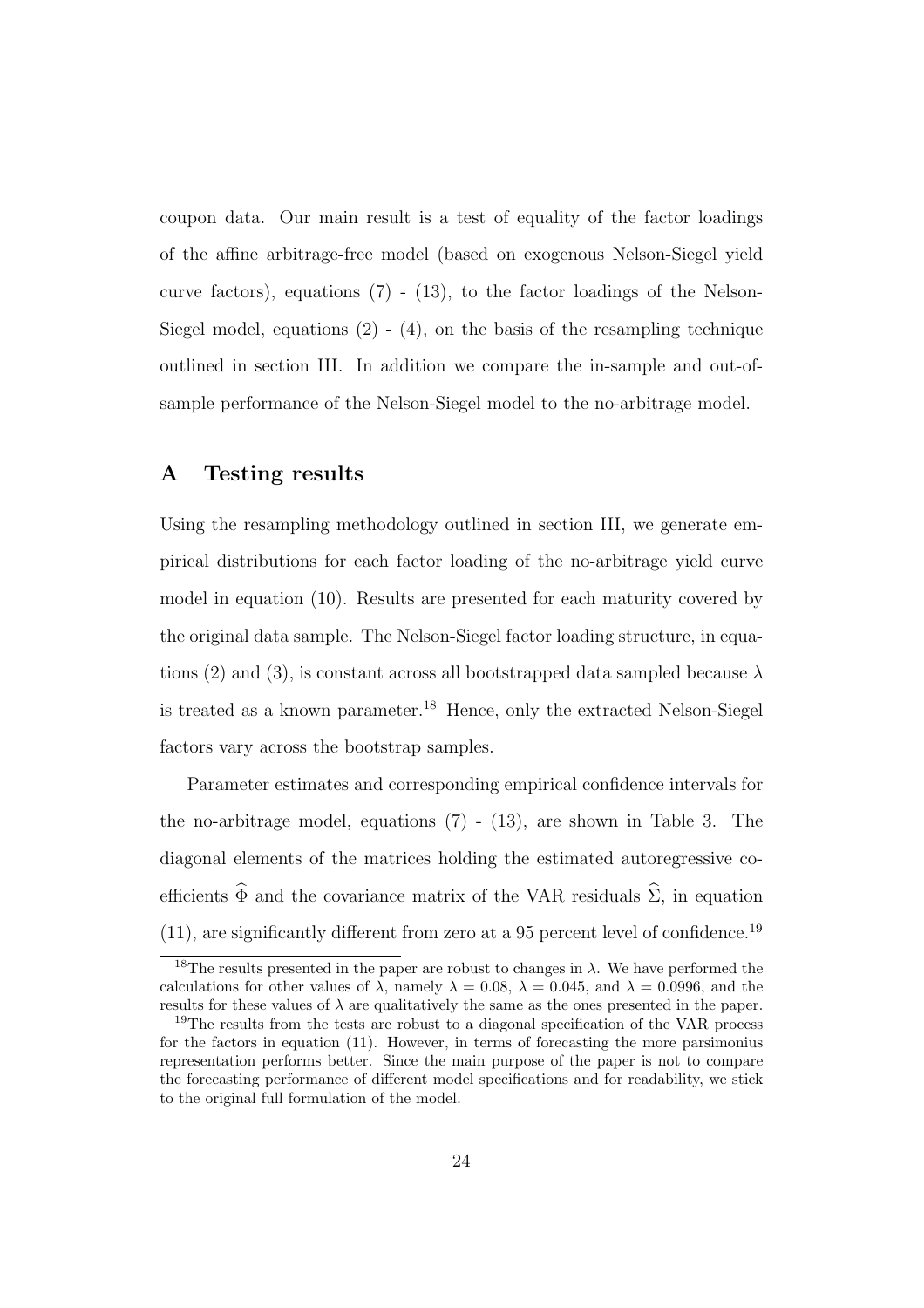coupon data. Our main result is a test of equality of the factor loadings of the affine arbitrage-free model (based on exogenous Nelson-Siegel yield curve factors), equations  $(7)$  -  $(13)$ , to the factor loadings of the Nelson-Siegel model, equations  $(2)$  -  $(4)$ , on the basis of the resampling technique outlined in section III. In addition we compare the in-sample and out-ofsample performance of the Nelson-Siegel model to the no-arbitrage model.

### A Testing results

Using the resampling methodology outlined in section III, we generate empirical distributions for each factor loading of the no-arbitrage yield curve model in equation (10). Results are presented for each maturity covered by the original data sample. The Nelson-Siegel factor loading structure, in equations (2) and (3), is constant across all bootstrapped data sampled because  $\lambda$ is treated as a known parameter.<sup>18</sup> Hence, only the extracted Nelson-Siegel factors vary across the bootstrap samples.

Parameter estimates and corresponding empirical confidence intervals for the no-arbitrage model, equations  $(7)$  -  $(13)$ , are shown in Table 3. The diagonal elements of the matrices holding the estimated autoregressive coefficients  $\hat{\Phi}$  and the covariance matrix of the VAR residuals  $\hat{\Sigma}$ , in equation  $(11)$ , are significantly different from zero at a 95 percent level of confidence.<sup>19</sup>

<sup>&</sup>lt;sup>18</sup>The results presented in the paper are robust to changes in  $\lambda$ . We have performed the calculations for other values of  $\lambda$ , namely  $\lambda = 0.08$ ,  $\lambda = 0.045$ , and  $\lambda = 0.0996$ , and the results for these values of  $\lambda$  are qualitatively the same as the ones presented in the paper.

<sup>&</sup>lt;sup>19</sup>The results from the tests are robust to a diagonal specification of the VAR process for the factors in equation (11). However, in terms of forecasting the more parsimonius representation performs better. Since the main purpose of the paper is not to compare the forecasting performance of different model specifications and for readability, we stick to the original full formulation of the model.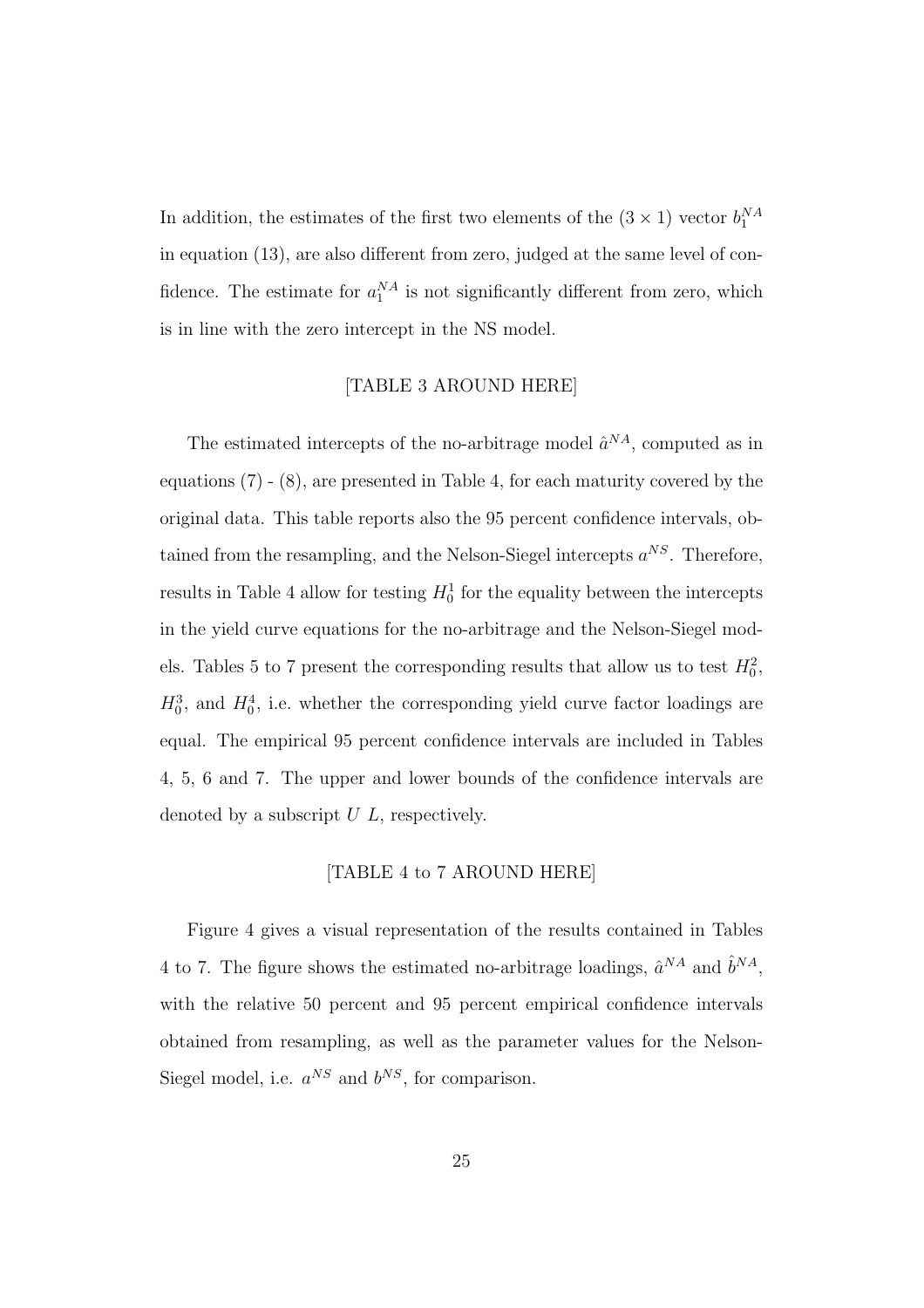In addition, the estimates of the first two elements of the  $(3 \times 1)$  vector  $b_1^{NA}$ in equation (13), are also different from zero, judged at the same level of confidence. The estimate for  $a_1^{NA}$  is not significantly different from zero, which is in line with the zero intercept in the NS model.

### [TABLE 3 AROUND HERE]

The estimated intercepts of the no-arbitrage model  $\hat{a}^{NA}$ , computed as in equations (7) - (8), are presented in Table 4, for each maturity covered by the original data. This table reports also the 95 percent confidence intervals, obtained from the resampling, and the Nelson-Siegel intercepts  $a^{NS}$ . Therefore, results in Table 4 allow for testing  $H_0^1$  for the equality between the intercepts in the yield curve equations for the no-arbitrage and the Nelson-Siegel models. Tables 5 to 7 present the corresponding results that allow us to test  $H_0^2$ ,  $H_0^3$ , and  $H_0^4$ , i.e. whether the corresponding yield curve factor loadings are equal. The empirical 95 percent confidence intervals are included in Tables 4, 5, 6 and 7. The upper and lower bounds of the confidence intervals are denoted by a subscript  $U$   $L$ , respectively.

#### [TABLE 4 to 7 AROUND HERE]

Figure 4 gives a visual representation of the results contained in Tables 4 to 7. The figure shows the estimated no-arbitrage loadings,  $\hat{a}^{NA}$  and  $\hat{b}^{NA}$ , with the relative 50 percent and 95 percent empirical confidence intervals obtained from resampling, as well as the parameter values for the Nelson-Siegel model, i.e.  $a^{NS}$  and  $b^{NS}$ , for comparison.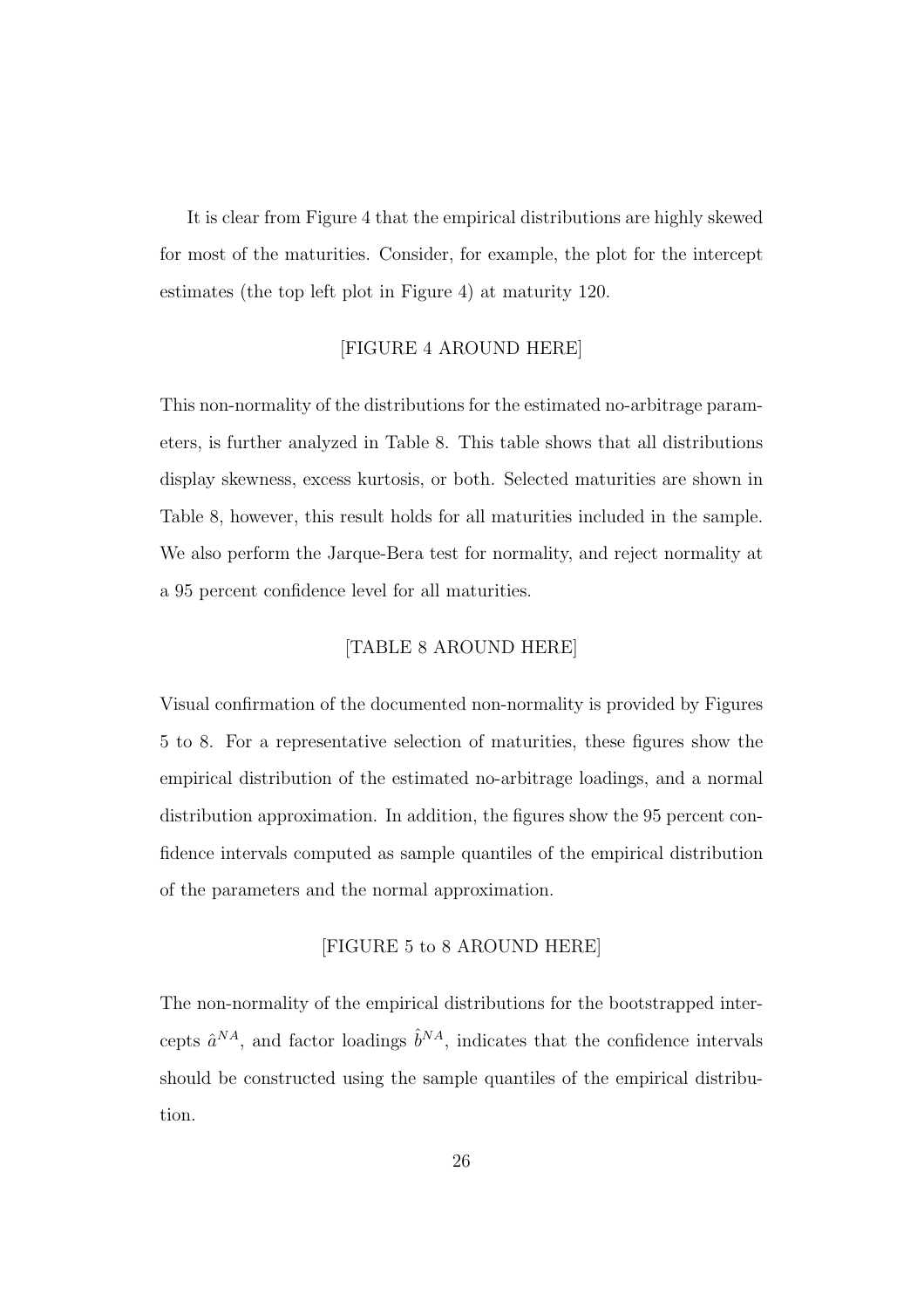It is clear from Figure 4 that the empirical distributions are highly skewed for most of the maturities. Consider, for example, the plot for the intercept estimates (the top left plot in Figure 4) at maturity 120.

### [FIGURE 4 AROUND HERE]

This non-normality of the distributions for the estimated no-arbitrage parameters, is further analyzed in Table 8. This table shows that all distributions display skewness, excess kurtosis, or both. Selected maturities are shown in Table 8, however, this result holds for all maturities included in the sample. We also perform the Jarque-Bera test for normality, and reject normality at a 95 percent confidence level for all maturities.

### [TABLE 8 AROUND HERE]

Visual confirmation of the documented non-normality is provided by Figures 5 to 8. For a representative selection of maturities, these figures show the empirical distribution of the estimated no-arbitrage loadings, and a normal distribution approximation. In addition, the figures show the 95 percent confidence intervals computed as sample quantiles of the empirical distribution of the parameters and the normal approximation.

### [FIGURE 5 to 8 AROUND HERE]

The non-normality of the empirical distributions for the bootstrapped intercepts  $\hat{a}^{NA}$ , and factor loadings  $\hat{b}^{NA}$ , indicates that the confidence intervals should be constructed using the sample quantiles of the empirical distribution.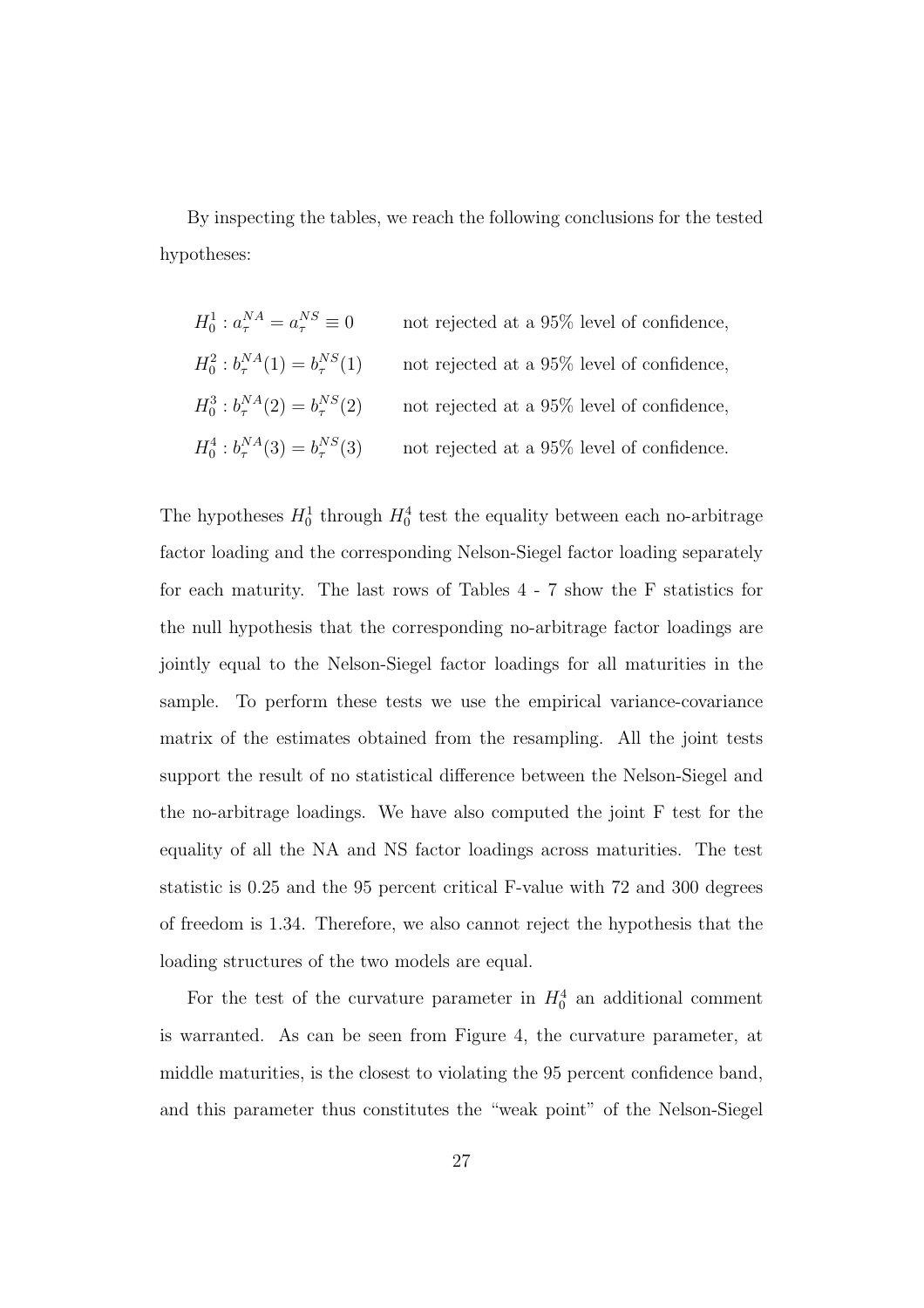By inspecting the tables, we reach the following conclusions for the tested hypotheses:

$$
H_0^1: a_\tau^{NA} = a_\tau^{NS} \equiv 0
$$
 not rejected at a 95% level of confidence,  
\n
$$
H_0^2: b_\tau^{NA}(1) = b_\tau^{NS}(1)
$$
 not rejected at a 95% level of confidence,  
\n
$$
H_0^3: b_\tau^{NA}(2) = b_\tau^{NS}(2)
$$
 not rejected at a 95% level of confidence,  
\n
$$
H_0^4: b_\tau^{NA}(3) = b_\tau^{NS}(3)
$$
 not rejected at a 95% level of confidence.

The hypotheses  $H_0^1$  through  $H_0^4$  test the equality between each no-arbitrage factor loading and the corresponding Nelson-Siegel factor loading separately for each maturity. The last rows of Tables 4 - 7 show the F statistics for the null hypothesis that the corresponding no-arbitrage factor loadings are jointly equal to the Nelson-Siegel factor loadings for all maturities in the sample. To perform these tests we use the empirical variance-covariance matrix of the estimates obtained from the resampling. All the joint tests support the result of no statistical difference between the Nelson-Siegel and the no-arbitrage loadings. We have also computed the joint F test for the equality of all the NA and NS factor loadings across maturities. The test statistic is 0.25 and the 95 percent critical F-value with 72 and 300 degrees of freedom is 1.34. Therefore, we also cannot reject the hypothesis that the loading structures of the two models are equal.

For the test of the curvature parameter in  $H_0^4$  an additional comment is warranted. As can be seen from Figure 4, the curvature parameter, at middle maturities, is the closest to violating the 95 percent confidence band, and this parameter thus constitutes the "weak point" of the Nelson-Siegel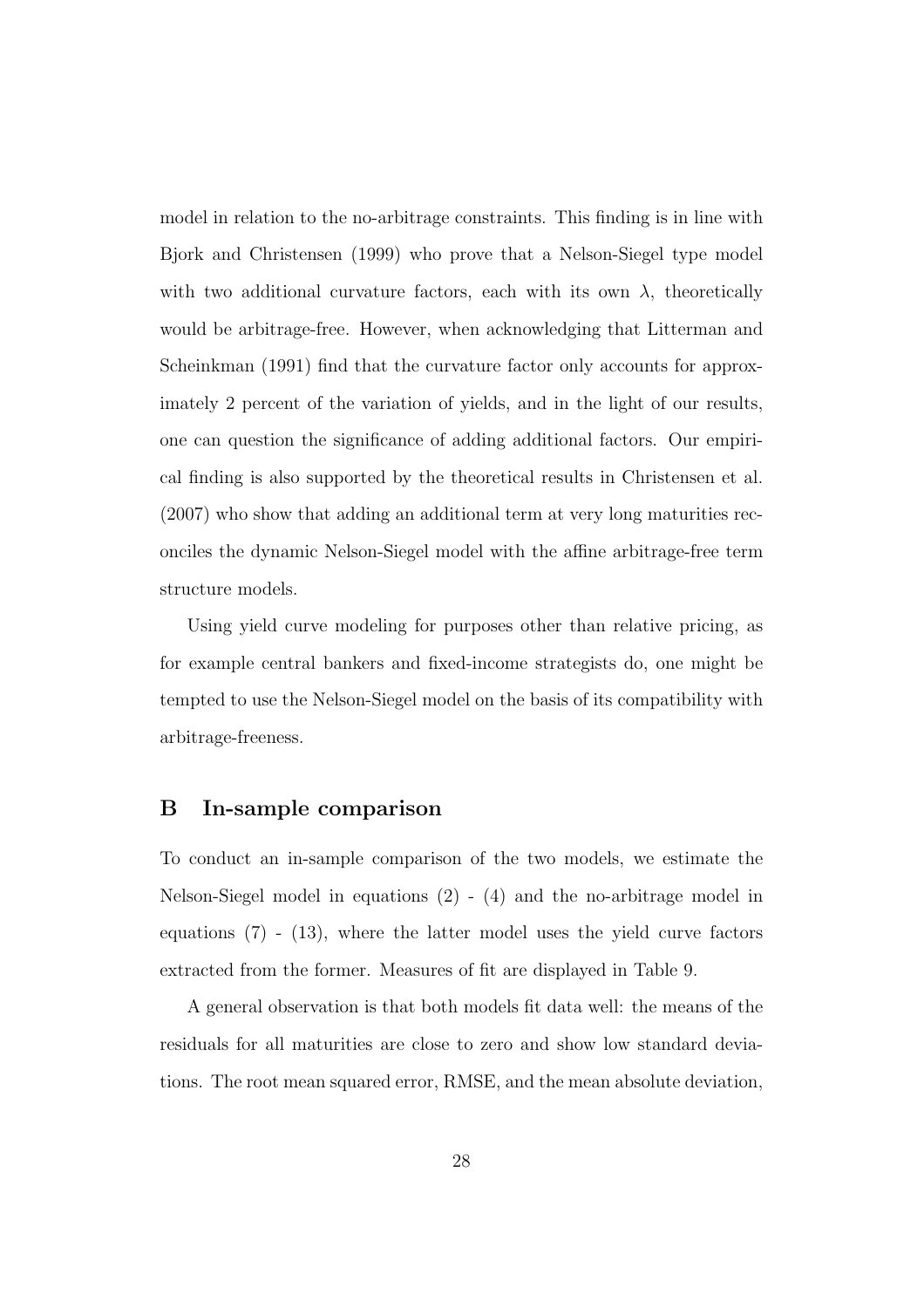model in relation to the no-arbitrage constraints. This finding is in line with Bjork and Christensen (1999) who prove that a Nelson-Siegel type model with two additional curvature factors, each with its own  $\lambda$ , theoretically would be arbitrage-free. However, when acknowledging that Litterman and Scheinkman (1991) find that the curvature factor only accounts for approximately 2 percent of the variation of yields, and in the light of our results, one can question the significance of adding additional factors. Our empirical finding is also supported by the theoretical results in Christensen et al. (2007) who show that adding an additional term at very long maturities reconciles the dynamic Nelson-Siegel model with the affine arbitrage-free term structure models.

Using yield curve modeling for purposes other than relative pricing, as for example central bankers and fixed-income strategists do, one might be tempted to use the Nelson-Siegel model on the basis of its compatibility with arbitrage-freeness.

### B In-sample comparison

To conduct an in-sample comparison of the two models, we estimate the Nelson-Siegel model in equations (2) - (4) and the no-arbitrage model in equations  $(7)$  -  $(13)$ , where the latter model uses the yield curve factors extracted from the former. Measures of fit are displayed in Table 9.

A general observation is that both models fit data well: the means of the residuals for all maturities are close to zero and show low standard deviations. The root mean squared error, RMSE, and the mean absolute deviation,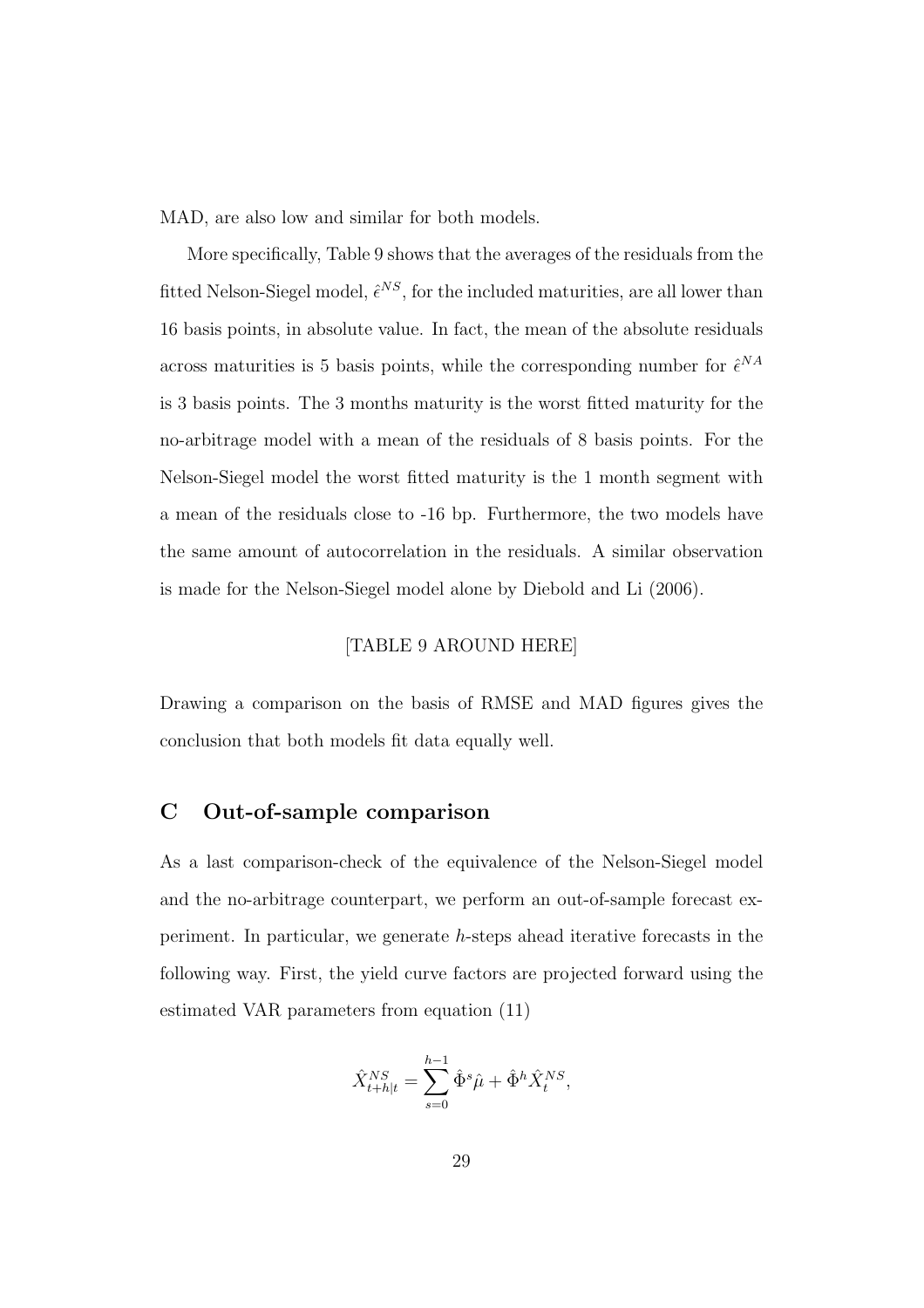MAD, are also low and similar for both models.

More specifically, Table 9 shows that the averages of the residuals from the fitted Nelson-Siegel model,  $\hat{\epsilon}^{NS}$ , for the included maturities, are all lower than 16 basis points, in absolute value. In fact, the mean of the absolute residuals across maturities is 5 basis points, while the corresponding number for  $\hat{\epsilon}^{NA}$ is 3 basis points. The 3 months maturity is the worst fitted maturity for the no-arbitrage model with a mean of the residuals of 8 basis points. For the Nelson-Siegel model the worst fitted maturity is the 1 month segment with a mean of the residuals close to -16 bp. Furthermore, the two models have the same amount of autocorrelation in the residuals. A similar observation is made for the Nelson-Siegel model alone by Diebold and Li (2006).

#### [TABLE 9 AROUND HERE]

Drawing a comparison on the basis of RMSE and MAD figures gives the conclusion that both models fit data equally well.

## C Out-of-sample comparison

As a last comparison-check of the equivalence of the Nelson-Siegel model and the no-arbitrage counterpart, we perform an out-of-sample forecast experiment. In particular, we generate h-steps ahead iterative forecasts in the following way. First, the yield curve factors are projected forward using the estimated VAR parameters from equation (11)

$$
\hat{X}_{t+h|t}^{NS} = \sum_{s=0}^{h-1} \hat{\Phi}^s \hat{\mu} + \hat{\Phi}^h \hat{X}_t^{NS},
$$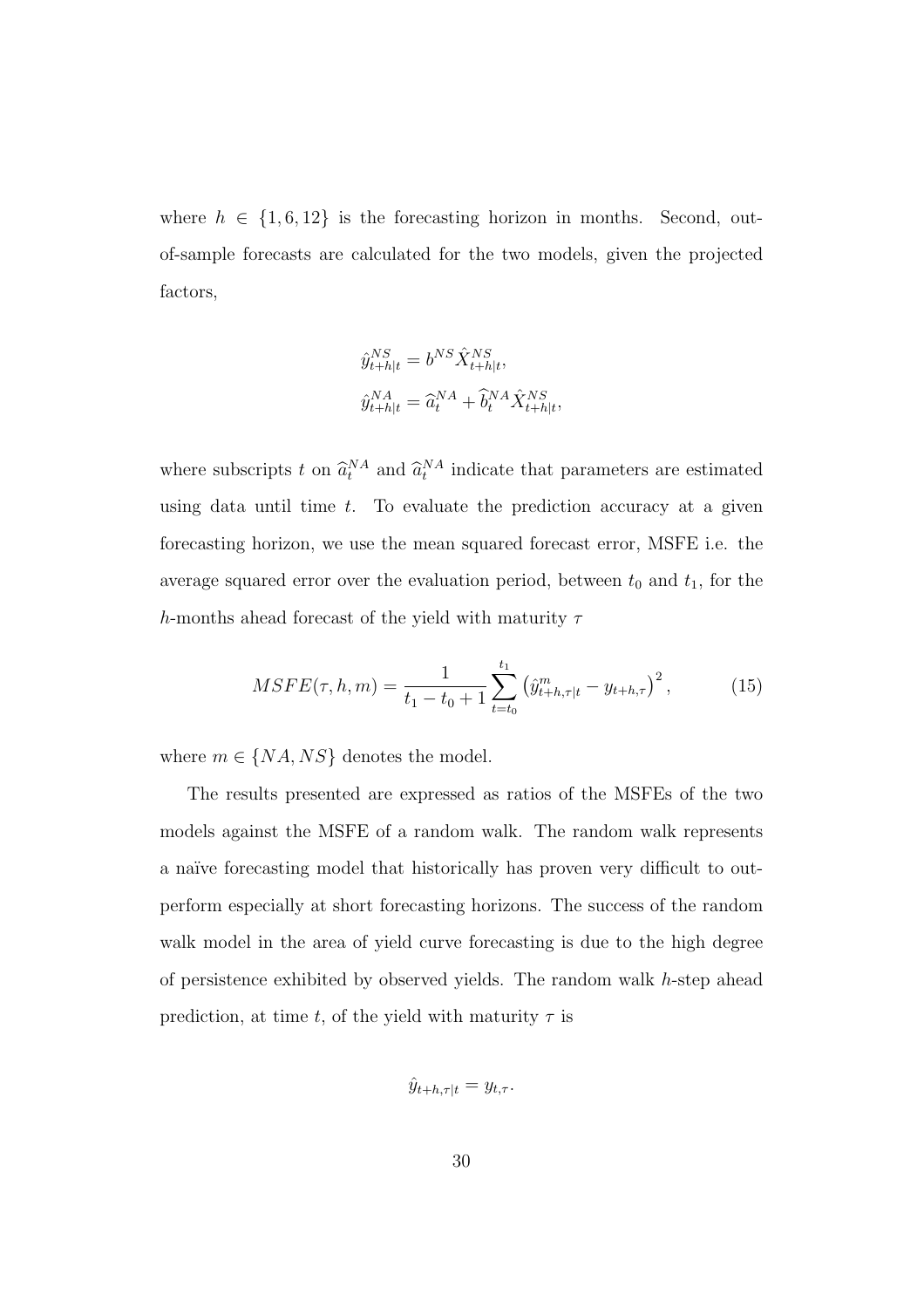where  $h \in \{1, 6, 12\}$  is the forecasting horizon in months. Second, outof-sample forecasts are calculated for the two models, given the projected factors,

$$
\begin{aligned} \hat{y}_{t+h|t}^{NS} &= b^{NS} \hat{X}_{t+h|t}^{NS}, \\ \hat{y}_{t+h|t}^{NA} &= \hat{a}_t^{NA} + \hat{b}_t^{NA} \hat{X}_{t+h|t}^{NS}, \end{aligned}
$$

where subscripts t on  $\hat{a}_t^{NA}$  and  $\hat{a}_t^{NA}$  indicate that parameters are estimated using data until time  $t$ . To evaluate the prediction accuracy at a given forecasting horizon, we use the mean squared forecast error, MSFE i.e. the average squared error over the evaluation period, between  $t_0$  and  $t_1$ , for the h-months ahead forecast of the yield with maturity  $\tau$ 

$$
MSFE(\tau, h, m) = \frac{1}{t_1 - t_0 + 1} \sum_{t=t_0}^{t_1} \left( \hat{y}_{t+h, \tau|t}^m - y_{t+h, \tau} \right)^2, \tag{15}
$$

where  $m \in \{NA, NS\}$  denotes the model.

The results presented are expressed as ratios of the MSFEs of the two models against the MSFE of a random walk. The random walk represents a naïve forecasting model that historically has proven very difficult to outperform especially at short forecasting horizons. The success of the random walk model in the area of yield curve forecasting is due to the high degree of persistence exhibited by observed yields. The random walk h-step ahead prediction, at time t, of the yield with maturity  $\tau$  is

$$
\hat{y}_{t+h,\tau|t} = y_{t,\tau}.
$$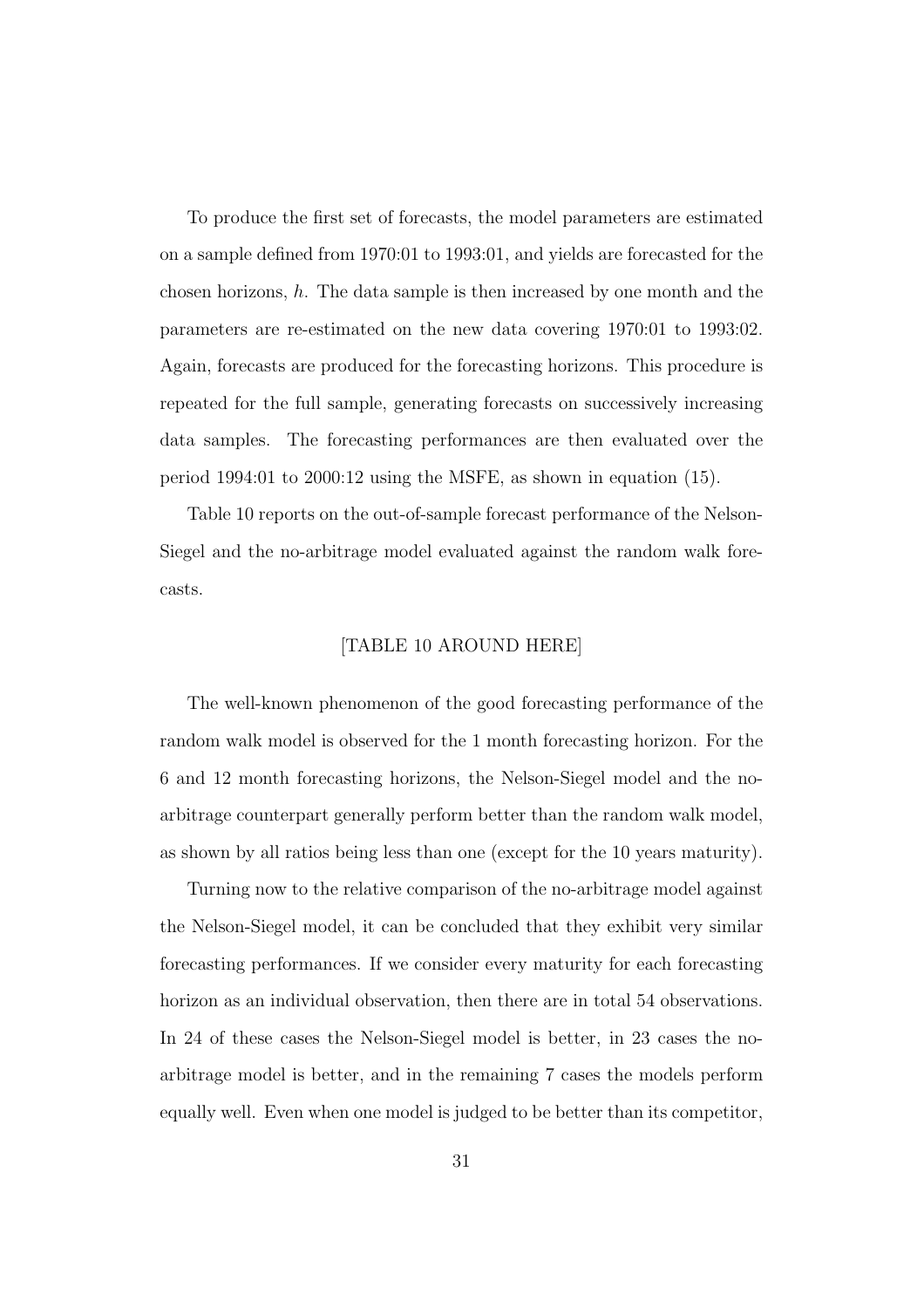To produce the first set of forecasts, the model parameters are estimated on a sample defined from 1970:01 to 1993:01, and yields are forecasted for the chosen horizons,  $h$ . The data sample is then increased by one month and the parameters are re-estimated on the new data covering 1970:01 to 1993:02. Again, forecasts are produced for the forecasting horizons. This procedure is repeated for the full sample, generating forecasts on successively increasing data samples. The forecasting performances are then evaluated over the period 1994:01 to 2000:12 using the MSFE, as shown in equation (15).

Table 10 reports on the out-of-sample forecast performance of the Nelson-Siegel and the no-arbitrage model evaluated against the random walk forecasts.

#### [TABLE 10 AROUND HERE]

The well-known phenomenon of the good forecasting performance of the random walk model is observed for the 1 month forecasting horizon. For the 6 and 12 month forecasting horizons, the Nelson-Siegel model and the noarbitrage counterpart generally perform better than the random walk model, as shown by all ratios being less than one (except for the 10 years maturity).

Turning now to the relative comparison of the no-arbitrage model against the Nelson-Siegel model, it can be concluded that they exhibit very similar forecasting performances. If we consider every maturity for each forecasting horizon as an individual observation, then there are in total 54 observations. In 24 of these cases the Nelson-Siegel model is better, in 23 cases the noarbitrage model is better, and in the remaining 7 cases the models perform equally well. Even when one model is judged to be better than its competitor,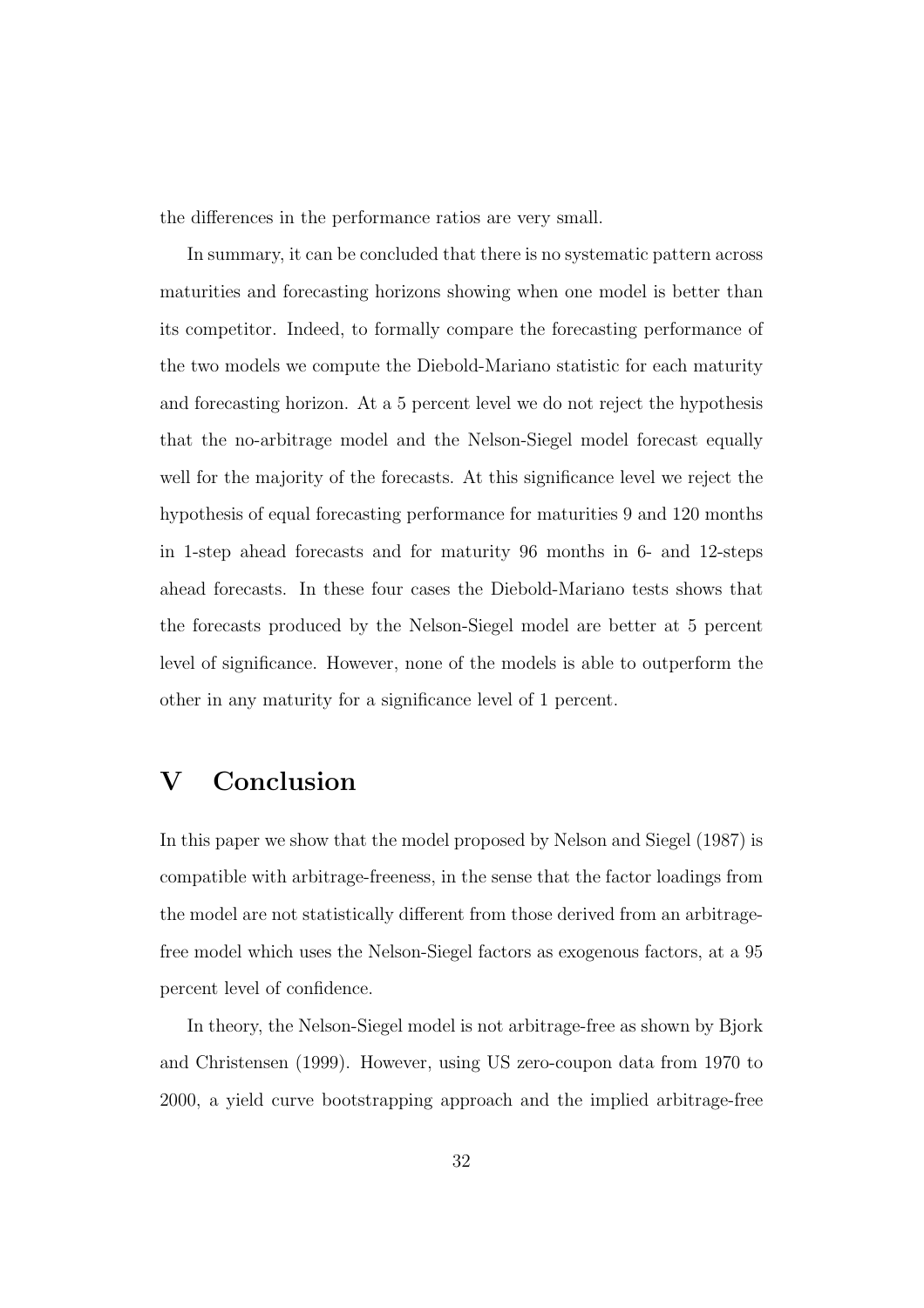the differences in the performance ratios are very small.

In summary, it can be concluded that there is no systematic pattern across maturities and forecasting horizons showing when one model is better than its competitor. Indeed, to formally compare the forecasting performance of the two models we compute the Diebold-Mariano statistic for each maturity and forecasting horizon. At a 5 percent level we do not reject the hypothesis that the no-arbitrage model and the Nelson-Siegel model forecast equally well for the majority of the forecasts. At this significance level we reject the hypothesis of equal forecasting performance for maturities 9 and 120 months in 1-step ahead forecasts and for maturity 96 months in 6- and 12-steps ahead forecasts. In these four cases the Diebold-Mariano tests shows that the forecasts produced by the Nelson-Siegel model are better at 5 percent level of significance. However, none of the models is able to outperform the other in any maturity for a significance level of 1 percent.

## V Conclusion

In this paper we show that the model proposed by Nelson and Siegel (1987) is compatible with arbitrage-freeness, in the sense that the factor loadings from the model are not statistically different from those derived from an arbitragefree model which uses the Nelson-Siegel factors as exogenous factors, at a 95 percent level of confidence.

In theory, the Nelson-Siegel model is not arbitrage-free as shown by Bjork and Christensen (1999). However, using US zero-coupon data from 1970 to 2000, a yield curve bootstrapping approach and the implied arbitrage-free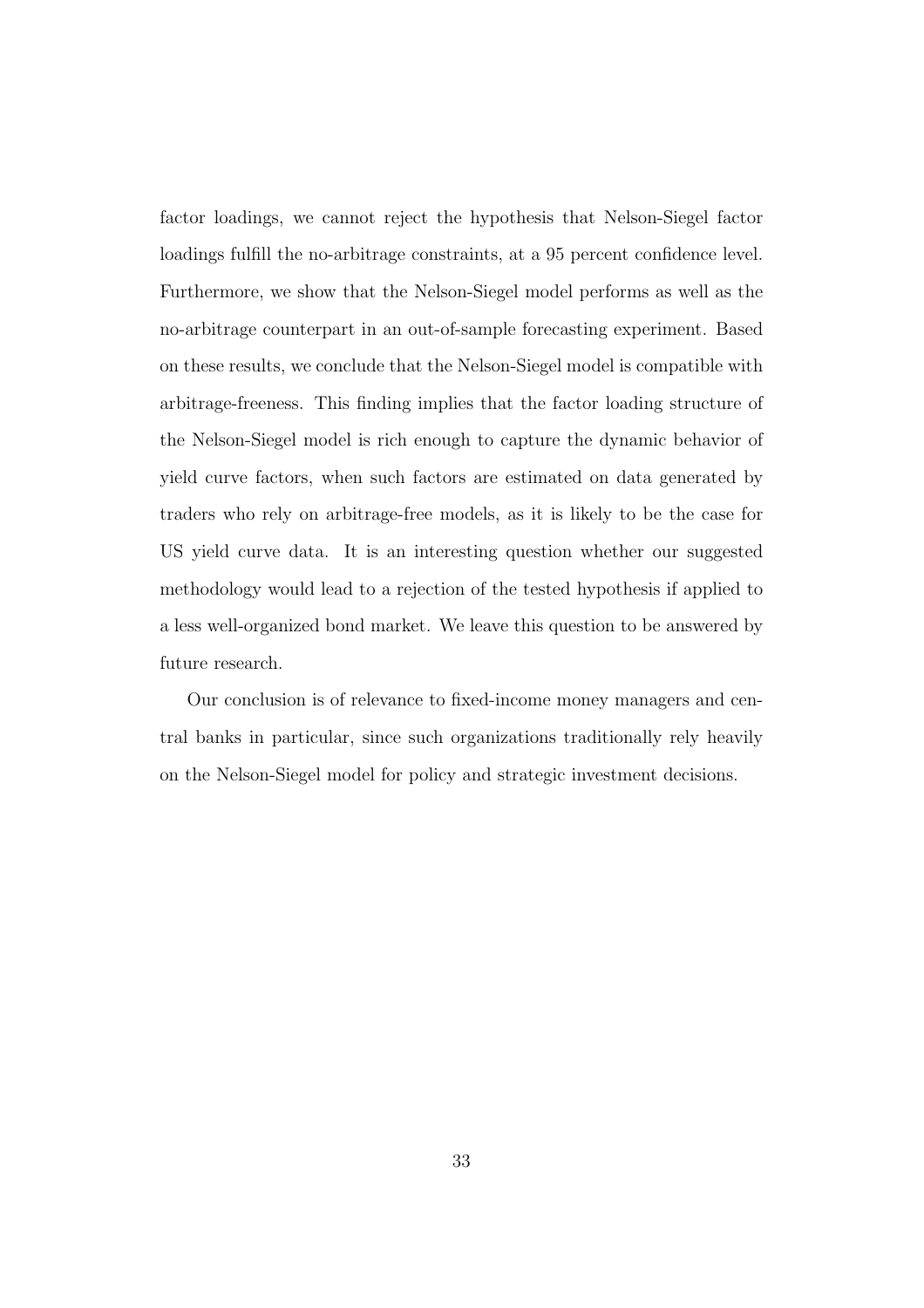factor loadings, we cannot reject the hypothesis that Nelson-Siegel factor loadings fulfill the no-arbitrage constraints, at a 95 percent confidence level. Furthermore, we show that the Nelson-Siegel model performs as well as the no-arbitrage counterpart in an out-of-sample forecasting experiment. Based on these results, we conclude that the Nelson-Siegel model is compatible with arbitrage-freeness. This finding implies that the factor loading structure of the Nelson-Siegel model is rich enough to capture the dynamic behavior of yield curve factors, when such factors are estimated on data generated by traders who rely on arbitrage-free models, as it is likely to be the case for US yield curve data. It is an interesting question whether our suggested methodology would lead to a rejection of the tested hypothesis if applied to a less well-organized bond market. We leave this question to be answered by future research.

Our conclusion is of relevance to fixed-income money managers and central banks in particular, since such organizations traditionally rely heavily on the Nelson-Siegel model for policy and strategic investment decisions.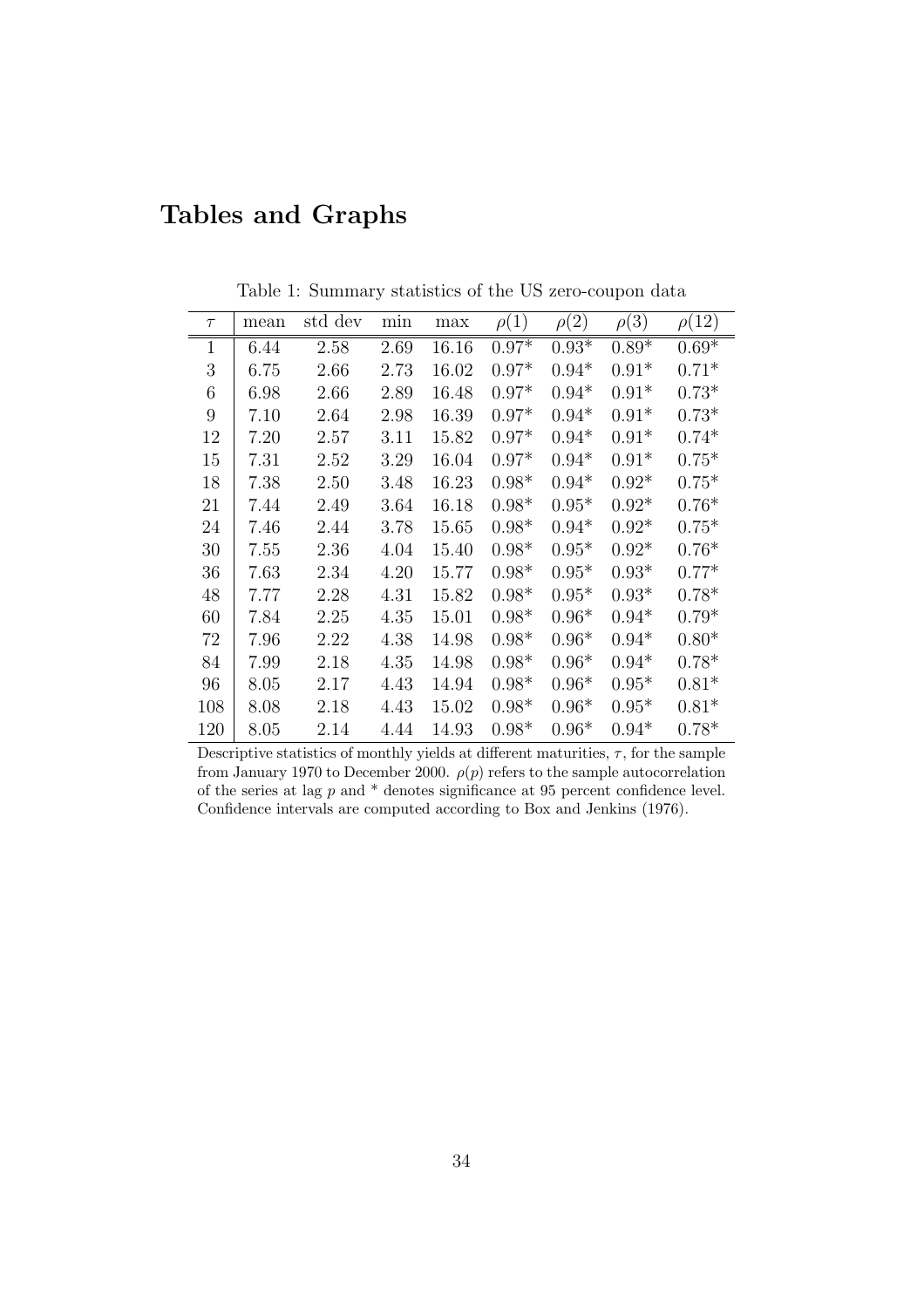# Tables and Graphs

| $\tau$       | mean | std dev | min  | max   | $\rho(1)$ | $\rho(2)$ | $\rho(3)$ | $\rho(12)$ |
|--------------|------|---------|------|-------|-----------|-----------|-----------|------------|
| $\mathbf{1}$ | 6.44 | 2.58    | 2.69 | 16.16 | $0.97*$   | $0.93*$   | $0.89*$   | $0.69*$    |
| 3            | 6.75 | 2.66    | 2.73 | 16.02 | $0.97*$   | $0.94*$   | $0.91*$   | $0.71*$    |
| 6            | 6.98 | 2.66    | 2.89 | 16.48 | $0.97*$   | $0.94*$   | $0.91*$   | $0.73*$    |
| 9            | 7.10 | 2.64    | 2.98 | 16.39 | $0.97*$   | $0.94*$   | $0.91*$   | $0.73*$    |
| 12           | 7.20 | 2.57    | 3.11 | 15.82 | $0.97*$   | $0.94*$   | $0.91*$   | $0.74*$    |
| 15           | 7.31 | 2.52    | 3.29 | 16.04 | $0.97*$   | $0.94*$   | $0.91*$   | $0.75*$    |
| 18           | 7.38 | 2.50    | 3.48 | 16.23 | $0.98*$   | $0.94*$   | $0.92*$   | $0.75*$    |
| 21           | 7.44 | 2.49    | 3.64 | 16.18 | $0.98*$   | $0.95*$   | $0.92*$   | $0.76*$    |
| 24           | 7.46 | 2.44    | 3.78 | 15.65 | $0.98*$   | $0.94*$   | $0.92*$   | $0.75*$    |
| 30           | 7.55 | 2.36    | 4.04 | 15.40 | $0.98*$   | $0.95*$   | $0.92*$   | $0.76*$    |
| 36           | 7.63 | 2.34    | 4.20 | 15.77 | $0.98*$   | $0.95*$   | $0.93*$   | $0.77*$    |
| 48           | 7.77 | 2.28    | 4.31 | 15.82 | $0.98*$   | $0.95*$   | $0.93*$   | $0.78*$    |
| 60           | 7.84 | 2.25    | 4.35 | 15.01 | $0.98*$   | $0.96*$   | $0.94*$   | $0.79*$    |
| 72           | 7.96 | 2.22    | 4.38 | 14.98 | $0.98*$   | $0.96*$   | $0.94*$   | $0.80*$    |
| 84           | 7.99 | 2.18    | 4.35 | 14.98 | $0.98*$   | $0.96*$   | $0.94*$   | $0.78*$    |
| 96           | 8.05 | 2.17    | 4.43 | 14.94 | $0.98*$   | $0.96*$   | $0.95*$   | $0.81*$    |
| 108          | 8.08 | 2.18    | 4.43 | 15.02 | $0.98*$   | $0.96*$   | $0.95*$   | $0.81*$    |
| 120          | 8.05 | 2.14    | 4.44 | 14.93 | $0.98*$   | $0.96*$   | $0.94*$   | $0.78*$    |

Table 1: Summary statistics of the US zero-coupon data

Descriptive statistics of monthly yields at different maturities,  $\tau$ , for the sample from January 1970 to December 2000.  $\rho(p)$  refers to the sample autocorrelation of the series at lag  $p$  and  $*$  denotes significance at 95 percent confidence level. Confidence intervals are computed according to Box and Jenkins (1976).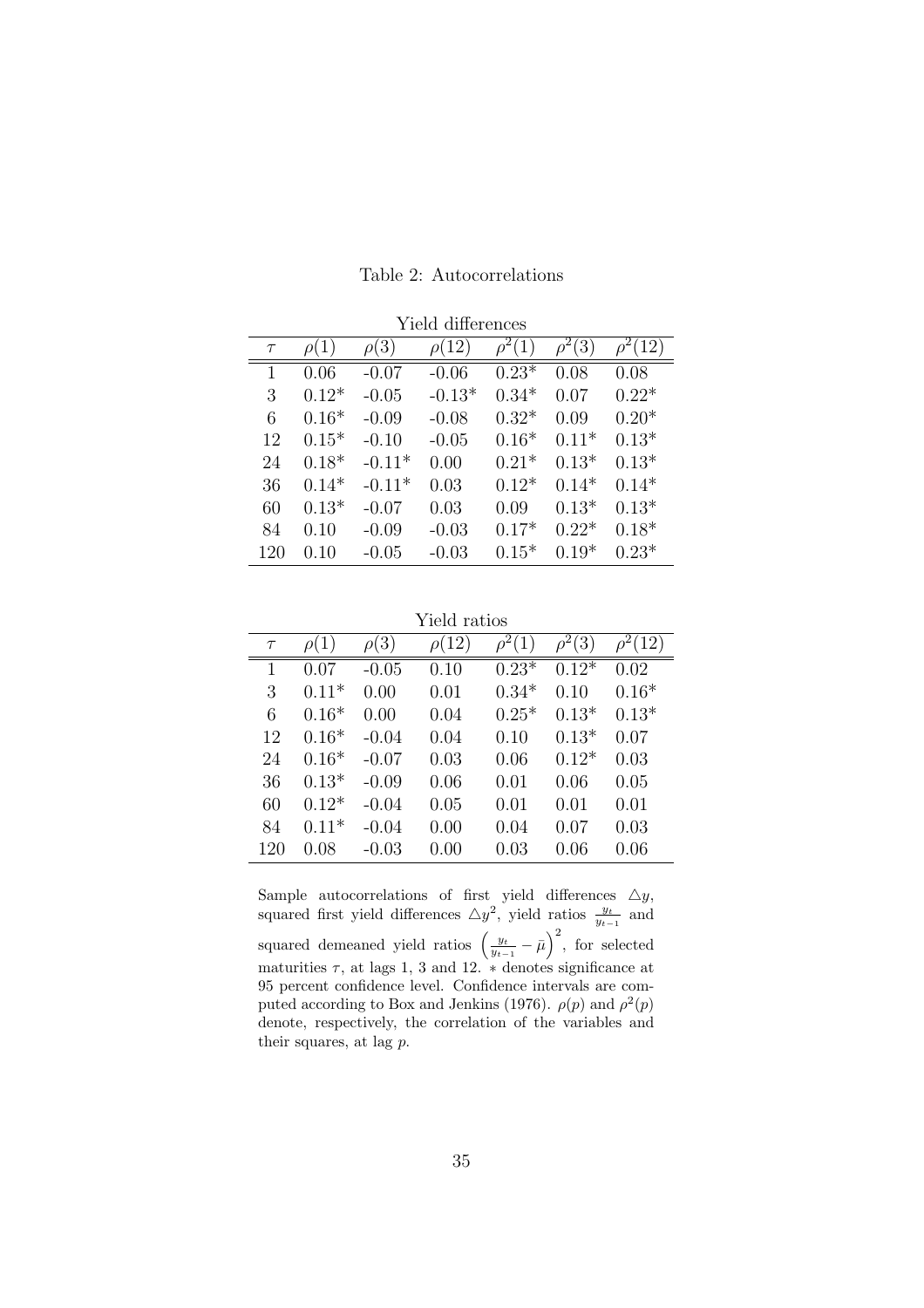| Yield differences |           |           |            |                 |         |                           |  |
|-------------------|-----------|-----------|------------|-----------------|---------|---------------------------|--|
| $\tau$            | $\rho(1)$ | $\rho(3)$ | $\rho(12)$ | $\rho^2$<br>(1) | (3)     | $\rho^{\bar{2}'}$<br>(12) |  |
| 1                 | 0.06      | $-0.07$   | $-0.06$    | $0.23*$         | 0.08    | 0.08                      |  |
| 3                 | $0.12*$   | $-0.05$   | $-0.13*$   | $0.34*$         | 0.07    | $0.22*$                   |  |
| 6                 | $0.16*$   | $-0.09$   | $-0.08$    | $0.32*$         | 0.09    | $0.20*$                   |  |
| 12                | $0.15*$   | $-0.10$   | $-0.05$    | $0.16*$         | $0.11*$ | $0.13*$                   |  |
| 24                | $0.18*$   | $-0.11*$  | 0.00       | $0.21*$         | $0.13*$ | $0.13*$                   |  |
| 36                | $0.14*$   | $-0.11*$  | 0.03       | $0.12*$         | $0.14*$ | $0.14*$                   |  |
| 60                | $0.13*$   | $-0.07$   | 0.03       | 0.09            | $0.13*$ | $0.13*$                   |  |
| 84                | 0.10      | $-0.09$   | $-0.03$    | $0.17*$         | $0.22*$ | $0.18*$                   |  |
| 120               | 0.10      | $-0.05$   | $-0.03$    | $0.15*$         | $0.19*$ | $0.23*$                   |  |

Table 2: Autocorrelations

Yield ratios

| $\tau$ |         | $\rho(3)$ | $\rho(12)$ |         | 3)      | (12)    |
|--------|---------|-----------|------------|---------|---------|---------|
| 1      | 0.07    | $-0.05$   | 0.10       | $0.23*$ | $0.12*$ | 0.02    |
| 3      | $0.11*$ | 0.00      | 0.01       | $0.34*$ | 0.10    | $0.16*$ |
| 6      | $0.16*$ | 0.00      | 0.04       | $0.25*$ | $0.13*$ | $0.13*$ |
| 12     | $0.16*$ | $-0.04$   | 0.04       | 0.10    | $0.13*$ | 0.07    |
| 24     | $0.16*$ | $-0.07$   | 0.03       | 0.06    | $0.12*$ | 0.03    |
| 36     | $0.13*$ | $-0.09$   | 0.06       | 0.01    | 0.06    | 0.05    |
| 60     | $0.12*$ | $-0.04$   | 0.05       | 0.01    | 0.01    | 0.01    |
| 84     | $0.11*$ | $-0.04$   | 0.00       | 0.04    | 0.07    | 0.03    |
| 120    | 0.08    | $-0.03$   | 0.00       | 0.03    | 0.06    | 0.06    |

Sample autocorrelations of first yield differences  $\Delta y$ , squared first yield differences  $\triangle y^2$ , yield ratios  $\frac{y_t}{y_{t-1}}$  and squared demeaned yield ratios  $\left(\frac{y_t}{y_{t-1}} - \bar{\mu}\right)$  $\sqrt{2}$ , for selected maturities  $\tau$ , at lags 1, 3 and 12.  $\ast$  denotes significance at 95 percent confidence level. Confidence intervals are computed according to Box and Jenkins (1976).  $\rho(p)$  and  $\rho^2(p)$ denote, respectively, the correlation of the variables and their squares, at lag p.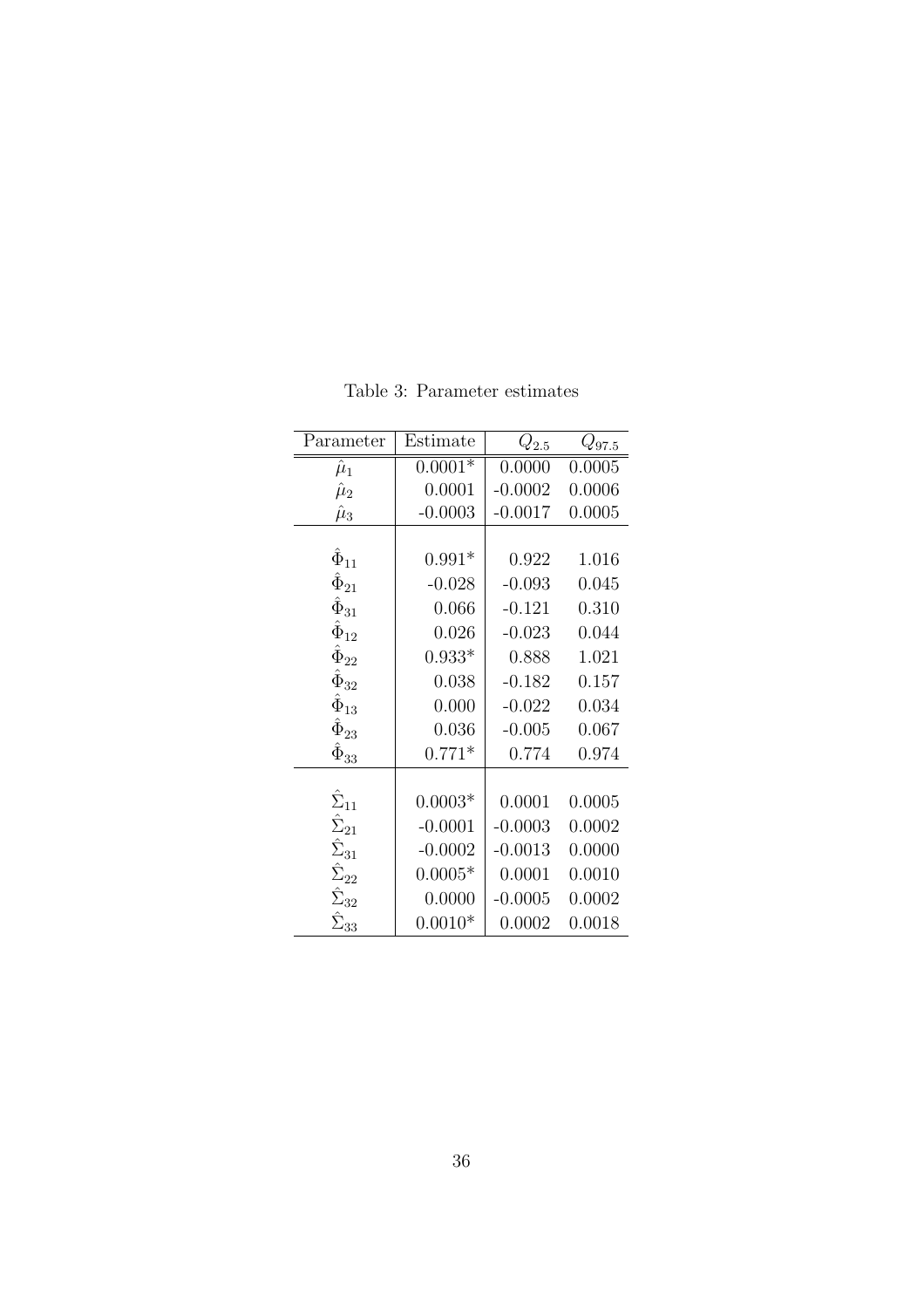| Parameter           | Estimate  | $Q_{2.5}$ | $Q_{\rm 97.5}$ |
|---------------------|-----------|-----------|----------------|
| $\hat{\mu}_1$       | $0.0001*$ | 0.0000    | 0.0005         |
| $\hat{\mu}_2$       | 0.0001    | $-0.0002$ | 0.0006         |
| $\hat{\mu}_3$       | $-0.0003$ | $-0.0017$ | 0.0005         |
|                     |           |           |                |
| $\hat{\Phi}_{11}$   | $0.991*$  | 0.922     | 1.016          |
| $\hat{\Phi}_{21}$   | $-0.028$  | $-0.093$  | 0.045          |
| $\hat{\Phi}_{31}$   | 0.066     | $-0.121$  | 0.310          |
| $\hat{\Phi}_{12}$   | 0.026     | $-0.023$  | 0.044          |
| $\hat{\Phi}_{22}$   | $0.933*$  | 0.888     | 1.021          |
| $\hat{\Phi}_{32}$   | 0.038     | $-0.182$  | 0.157          |
| $\hat{\Phi}_{13}$   | 0.000     | $-0.022$  | 0.034          |
| $\hat{\Phi}_{23}$   | 0.036     | $-0.005$  | 0.067          |
| $\hat{\Phi}_{33}$   | $0.771*$  | 0.774     | 0.974          |
|                     |           |           |                |
| $\hat{\Sigma}_{11}$ | $0.0003*$ | 0.0001    | 0.0005         |
| $\hat{\Sigma}_{21}$ | $-0.0001$ | $-0.0003$ | 0.0002         |
| $\hat{\Sigma}_{31}$ | $-0.0002$ | $-0.0013$ | 0.0000         |
| $\hat{\Sigma}_{22}$ | $0.0005*$ | 0.0001    | 0.0010         |
| $\hat{\Sigma}_{32}$ | 0.0000    | $-0.0005$ | 0.0002         |
| $\hat{\Sigma}_{33}$ | $0.0010*$ | 0.0002    | 0.0018         |

Table 3: Parameter estimates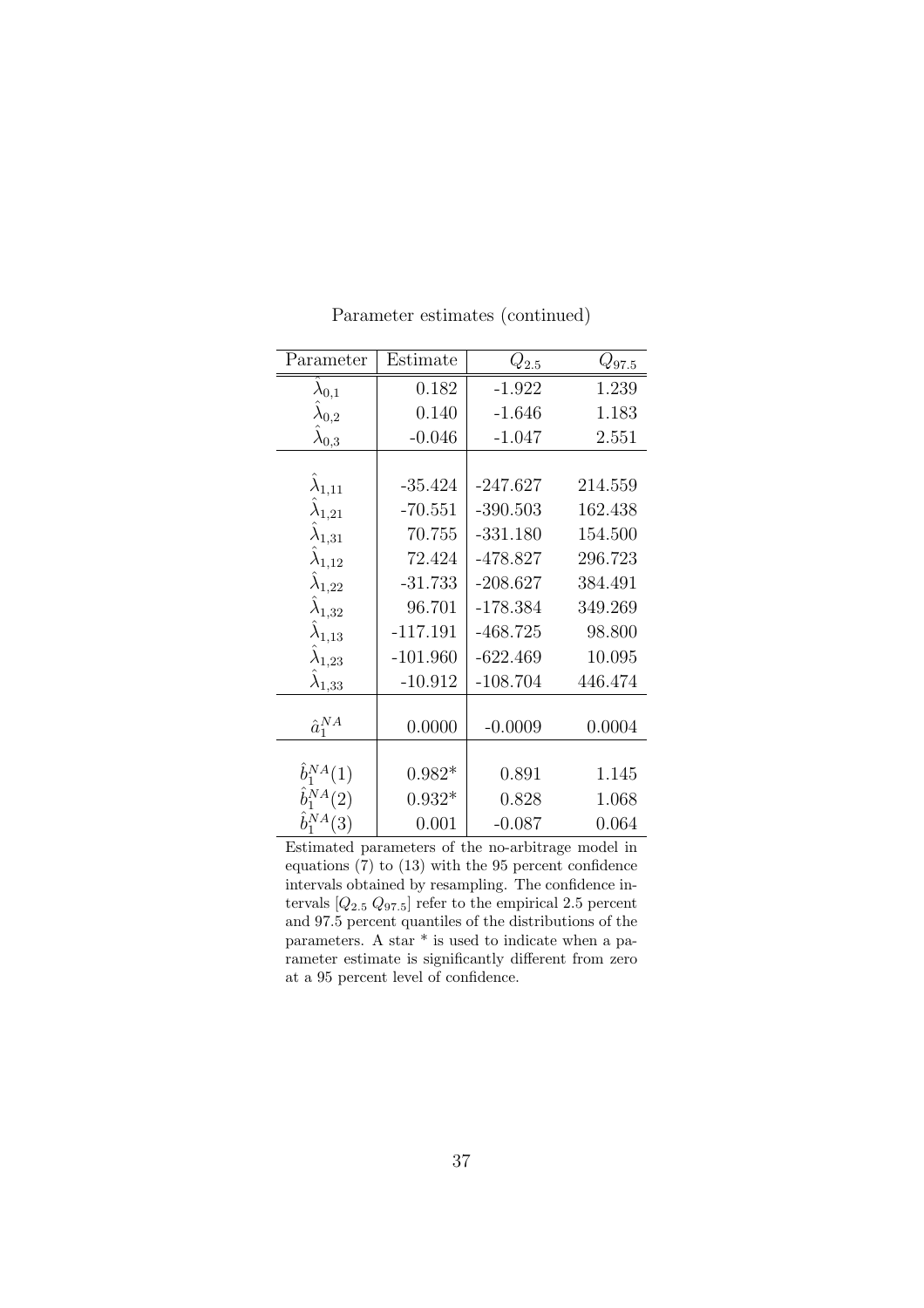| Parameter                          | Estimate   | $Q_{2.5}$  | $Q_{\rm 97.5}$ |
|------------------------------------|------------|------------|----------------|
| $\lambda_{0,1}$                    | 0.182      | $-1.922$   | 1.239          |
| $\hat{\lambda}_{0,2}$              | 0.140      | $-1.646$   | 1.183          |
| $\hat{\lambda}_{0,\underline{3}}$  | $-0.046$   | $-1.047$   | 2.551          |
|                                    |            |            |                |
| $\tilde{\lambda}_{1,11}$           | $-35.424$  | $-247.627$ | 214.559        |
| $\hat{\lambda}_{1,21}$             | $-70.551$  | $-390.503$ | 162.438        |
| $\hat{\lambda}_{1,31}$             | 70.755     | $-331.180$ | 154.500        |
| $\lambda_{1,12}$                   | 72.424     | $-478.827$ | 296.723        |
| $\hat{\lambda}_{1,22}$             | $-31.733$  | $-208.627$ | 384.491        |
| $\widetilde{\lambda}_{1,32}$       | 96.701     | $-178.384$ | 349.269        |
| $\hat{\lambda}_{1,13}$             | $-117.191$ | $-468.725$ | 98.800         |
| $\hat{\lambda}_{1,23}$             | $-101.960$ | $-622.469$ | 10.095         |
| $\hat{\lambda}_{1,\underline{33}}$ | $-10.912$  | $-108.704$ | 446.474        |
|                                    |            |            |                |
| $\hat{a}_{1}^{NA}$                 | 0.0000     | $-0.0009$  | 0.0004         |
|                                    |            |            |                |
| $\hat{b}_1^{NA}(1)$                | $0.982*$   | 0.891      | 1.145          |
| $\hat{b}_1^{NA}(2)$                | $0.932*$   | 0.828      | 1.068          |
| $\hat{b}_1^{NA}(3)$                | 0.001      | $-0.087$   | 0.064          |

Parameter estimates (continued)

Estimated parameters of the no-arbitrage model in equations (7) to (13) with the 95 percent confidence intervals obtained by resampling. The confidence intervals  $[Q_{2.5} Q_{97.5}]$  refer to the empirical 2.5 percent and 97.5 percent quantiles of the distributions of the parameters. A star \* is used to indicate when a parameter estimate is significantly different from zero at a 95 percent level of confidence.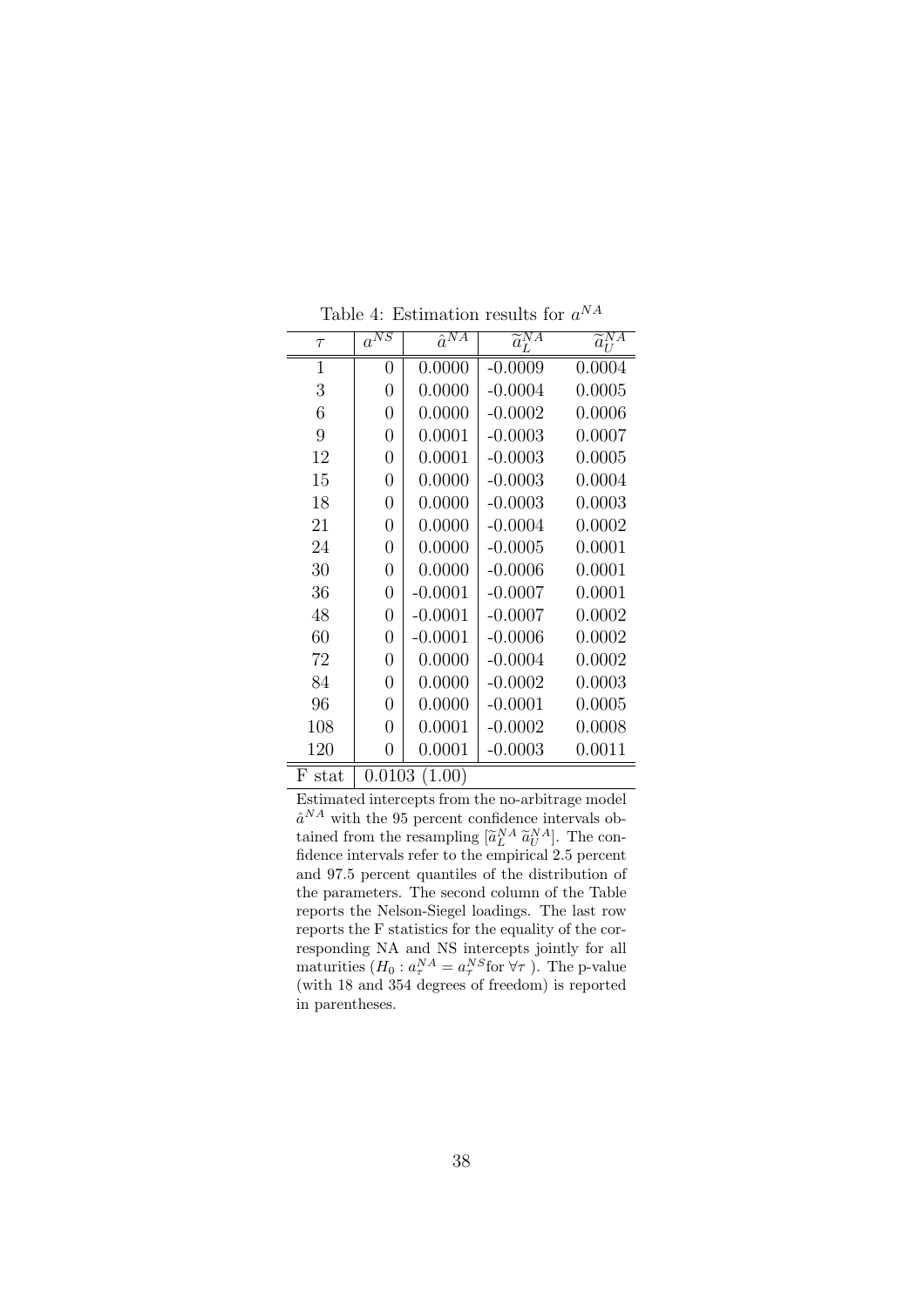| $\tau$    | $a^{\overline{NS}}$ | $\hat{a}^{NA}$ | $\widetilde a_L^{N\overline A}$ |        |
|-----------|---------------------|----------------|---------------------------------|--------|
| 1         | 0                   | 0.0000         | $-0.0009$                       | 0.0004 |
| 3         | 0                   | 0.0000         | $-0.0004$                       | 0.0005 |
| 6         | 0                   | 0.0000         | $-0.0002$                       | 0.0006 |
| 9         | 0                   | 0.0001         | $-0.0003$                       | 0.0007 |
| 12        | 0                   | 0.0001         | $-0.0003$                       | 0.0005 |
| 15        | 0                   | 0.0000         | $-0.0003$                       | 0.0004 |
| 18        | 0                   | 0.0000         | $-0.0003$                       | 0.0003 |
| 21        | 0                   | 0.0000         | $-0.0004$                       | 0.0002 |
| 24        | $\overline{0}$      | 0.0000         | $-0.0005$                       | 0.0001 |
| 30        | 0                   | 0.0000         | $-0.0006$                       | 0.0001 |
| 36        | 0                   | $-0.0001$      | $-0.0007$                       | 0.0001 |
| 48        | 0                   | $-0.0001$      | $-0.0007$                       | 0.0002 |
| 60        | 0                   | $-0.0001$      | $-0.0006$                       | 0.0002 |
| 72        | 0                   | 0.0000         | $-0.0004$                       | 0.0002 |
| 84        | 0                   | 0.0000         | $-0.0002$                       | 0.0003 |
| 96        | 0                   | 0.0000         | $-0.0001$                       | 0.0005 |
| 108       | 0                   | 0.0001         | $-0.0002$                       | 0.0008 |
| 120       | 0                   | 0.0001         | $-0.0003$                       | 0.0011 |
| F<br>stat | 0.0103              | 1.00)          |                                 |        |

Table 4: Estimation results for  $a^{NA}$ 

Estimated intercepts from the no-arbitrage model  $\hat{a}^{NA}$  with the 95 percent confidence intervals obtained from the resampling  $[\tilde{a}_L^{NA} \tilde{a}_U^{NA}]$ . The confidence intervals refer to the empirical 2.5 percent and 97.5 percent quantiles of the distribution of the parameters. The second column of the Table reports the Nelson-Siegel loadings. The last row reports the F statistics for the equality of the corresponding NA and NS intercepts jointly for all maturities  $(H_0: a_{\tau}^{NA} = a_{\tau}^{NS}$  for  $\forall \tau$  ). The p-value (with 18 and 354 degrees of freedom) is reported in parentheses.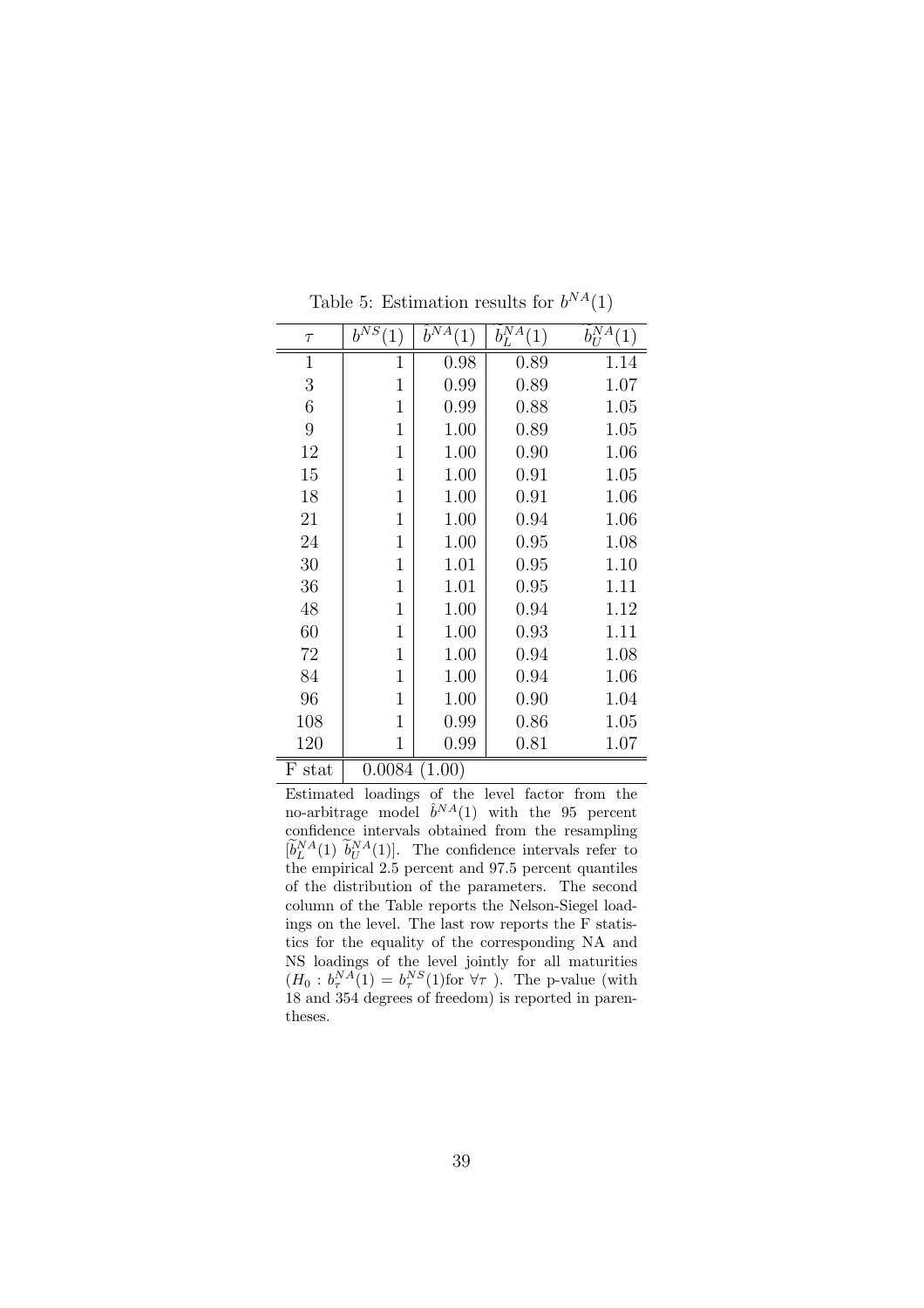| $\tau$ | $b^{N\overline{S}}$<br>$\left(1\right)$ | $\hat{b}^{\overline{NA}}$<br>$\left(1\right)$ | $\widetilde{b}_L^{NA}$ (<br>$\left(1\right)$ | $\widetilde{b^{NA}_{\scriptscriptstyle II}}(1)$ |
|--------|-----------------------------------------|-----------------------------------------------|----------------------------------------------|-------------------------------------------------|
| 1      | 1                                       | 0.98                                          | 0.89                                         | 1.14                                            |
| 3      | $\mathbf 1$                             | 0.99                                          | 0.89                                         | 1.07                                            |
| 6      | $\mathbf 1$                             | 0.99                                          | 0.88                                         | 1.05                                            |
| 9      | 1                                       | 1.00                                          | 0.89                                         | 1.05                                            |
| 12     | 1                                       | 1.00                                          | 0.90                                         | 1.06                                            |
| 15     | 1                                       | 1.00                                          | 0.91                                         | 1.05                                            |
| 18     | $\mathbf 1$                             | 1.00                                          | 0.91                                         | 1.06                                            |
| 21     | $\mathbf{1}$                            | 1.00                                          | 0.94                                         | 1.06                                            |
| 24     | $\mathbf 1$                             | 1.00                                          | 0.95                                         | 1.08                                            |
| 30     | 1                                       | 1.01                                          | 0.95                                         | 1.10                                            |
| 36     | 1                                       | 1.01                                          | 0.95                                         | 1.11                                            |
| 48     | 1                                       | 1.00                                          | 0.94                                         | 1.12                                            |
| 60     | $\mathbf{1}$                            | 1.00                                          | 0.93                                         | 1.11                                            |
| 72     | $\mathbf{1}$                            | 1.00                                          | 0.94                                         | 1.08                                            |
| 84     | $\mathbf 1$                             | 1.00                                          | 0.94                                         | 1.06                                            |
| 96     | 1                                       | 1.00                                          | 0.90                                         | 1.04                                            |
| 108    | 1                                       | 0.99                                          | 0.86                                         | 1.05                                            |
| 120    | 1                                       | 0.99                                          | 0.81                                         | 1.07                                            |
| F stat | 0.0084                                  | (1.00)                                        |                                              |                                                 |

Table 5: Estimation results for  $b^{NA}(1)$ 

Estimated loadings of the level factor from the no-arbitrage model  $\hat{b}^{NA}(1)$  with the 95 percent confidence intervals obtained from the resampling  $[\tilde{b}_L^{NA}(1) \ \tilde{b}_U^{NA}(1)]$ . The confidence intervals refer to the empirical 2.5 percent and 97.5 percent quantiles of the distribution of the parameters. The second column of the Table reports the Nelson-Siegel loadings on the level. The last row reports the F statistics for the equality of the corresponding NA and NS loadings of the level jointly for all maturities  $(H_0: b_\tau^{NA}(1) = b_\tau^{NS}(1)$  for  $\forall \tau$ ). The p-value (with 18 and 354 degrees of freedom) is reported in parentheses.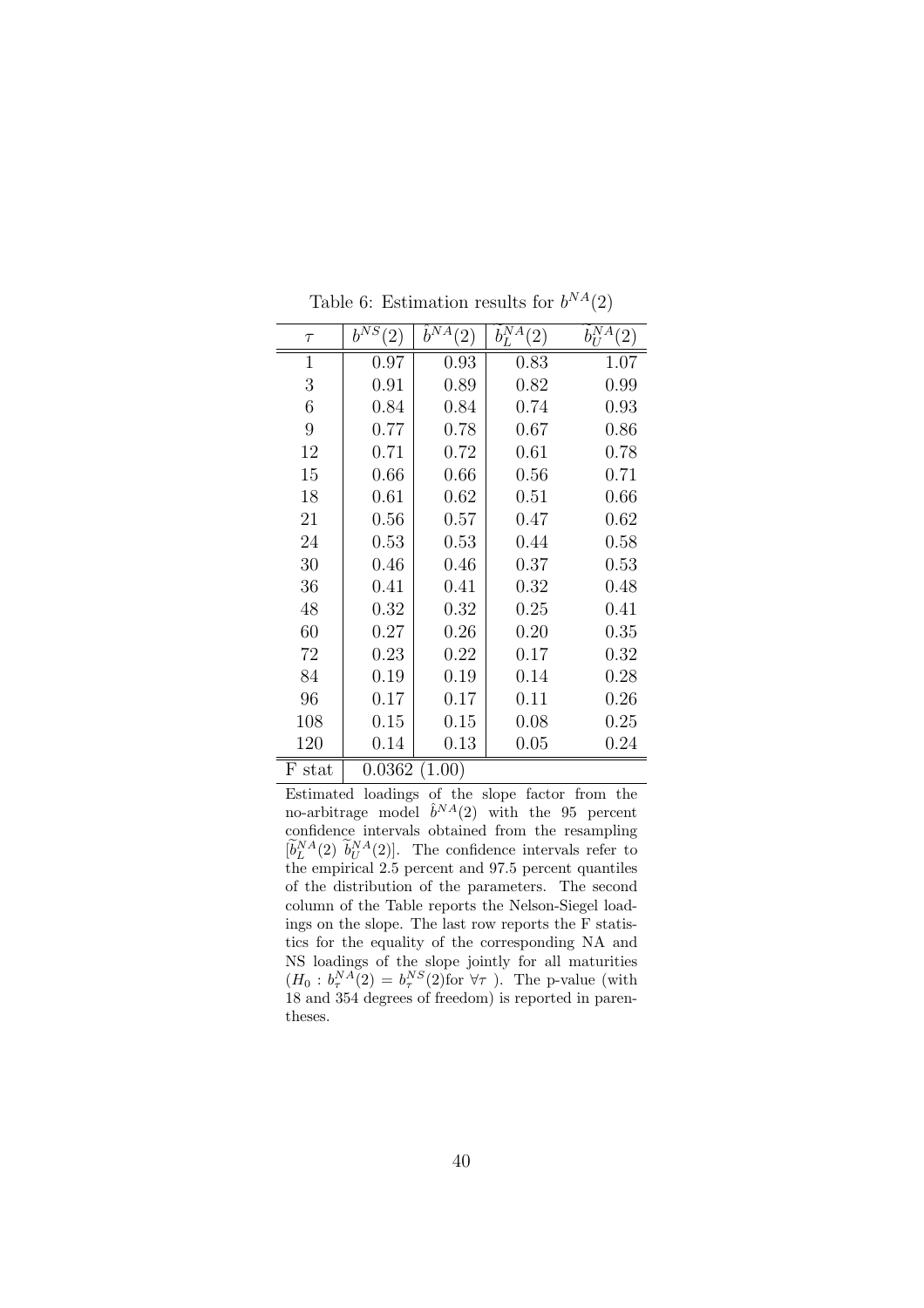| $\tau$             | $b^{\bar{\mathcal{NS}}}$<br>$\left( 2\right)$ | $\hat{b}^{\overline{NA}}$<br>$\left( 2\right)$ | $\widetilde{b}_L^{NA}(2)$ | $\widetilde{b}_{\scriptscriptstyle II}^{NA}(2)$ |
|--------------------|-----------------------------------------------|------------------------------------------------|---------------------------|-------------------------------------------------|
| 1                  | 0.97                                          | 0.93                                           | 0.83                      | 1.07                                            |
| 3                  | 0.91                                          | 0.89                                           | 0.82                      | 0.99                                            |
| 6                  | 0.84                                          | 0.84                                           | 0.74                      | 0.93                                            |
| 9                  | 0.77                                          | 0.78                                           | 0.67                      | 0.86                                            |
| 12                 | 0.71                                          | 0.72                                           | 0.61                      | 0.78                                            |
| 15                 | 0.66                                          | 0.66                                           | 0.56                      | 0.71                                            |
| 18                 | 0.61                                          | 0.62                                           | 0.51                      | 0.66                                            |
| 21                 | 0.56                                          | 0.57                                           | 0.47                      | 0.62                                            |
| 24                 | 0.53                                          | 0.53                                           | 0.44                      | 0.58                                            |
| 30                 | 0.46                                          | 0.46                                           | 0.37                      | 0.53                                            |
| 36                 | 0.41                                          | 0.41                                           | 0.32                      | 0.48                                            |
| 48                 | 0.32                                          | 0.32                                           | 0.25                      | 0.41                                            |
| 60                 | 0.27                                          | 0.26                                           | 0.20                      | 0.35                                            |
| 72                 | 0.23                                          | 0.22                                           | 0.17                      | 0.32                                            |
| 84                 | 0.19                                          | 0.19                                           | 0.14                      | 0.28                                            |
| 96                 | 0.17                                          | 0.17                                           | 0.11                      | 0.26                                            |
| 108                | 0.15                                          | 0.15                                           | 0.08                      | 0.25                                            |
| 120                | 0.14                                          | 0.13                                           | 0.05                      | 0.24                                            |
| $_{\rm F}$<br>stat | 0.0362                                        | (1.00)                                         |                           |                                                 |

Table 6: Estimation results for  $b^{NA}(2)$ 

Estimated loadings of the slope factor from the no-arbitrage model  $\hat{b}^{NA}(2)$  with the 95 percent confidence intervals obtained from the resampling  $[\tilde{b}_L^{NA}(2) \ \tilde{b}_U^{NA}(2)]$ . The confidence intervals refer to the empirical 2.5 percent and 97.5 percent quantiles of the distribution of the parameters. The second column of the Table reports the Nelson-Siegel loadings on the slope. The last row reports the F statistics for the equality of the corresponding NA and NS loadings of the slope jointly for all maturities  $(H_0: b_\tau^{NA}(2) = b_\tau^{NS}(2)$  for  $\forall \tau$ ). The p-value (with 18 and 354 degrees of freedom) is reported in parentheses.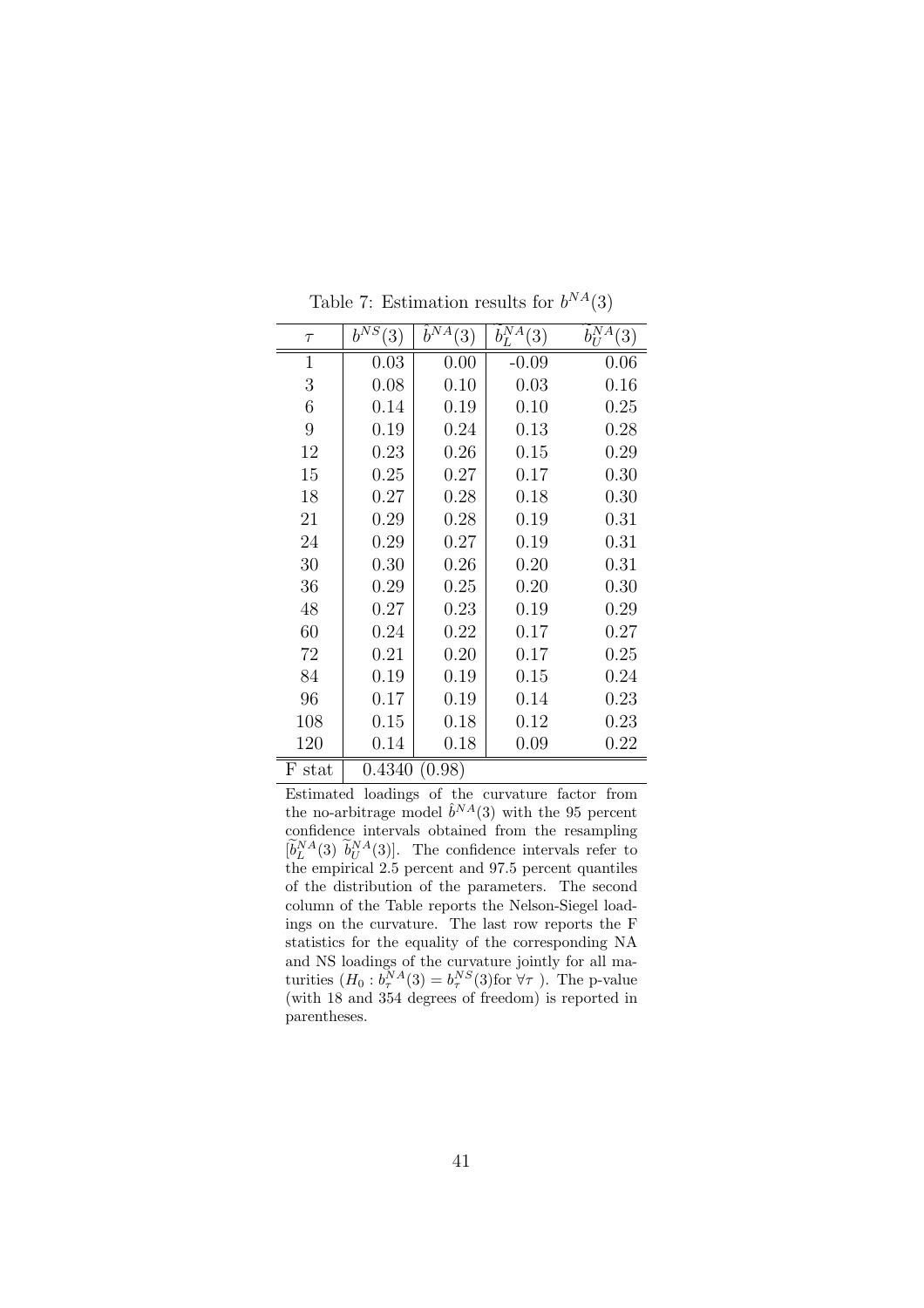| $\tau$               | $b^{\bar{\mathcal{NS}}}$<br>(3) | $\hat{b}^{\overline{NA}}$<br>$\left( 3\right)$ | $\widetilde{b}_L^{NA}(3)$ | $\widetilde{b}_{\scriptscriptstyle II}^{NA}(3)$ |
|----------------------|---------------------------------|------------------------------------------------|---------------------------|-------------------------------------------------|
| 1                    | 0.03                            | 0.00                                           | $-0.09$                   | 0.06                                            |
| 3                    | 0.08                            | 0.10                                           | 0.03                      | 0.16                                            |
| 6                    | 0.14                            | 0.19                                           | 0.10                      | 0.25                                            |
| 9                    | 0.19                            | 0.24                                           | 0.13                      | 0.28                                            |
| 12                   | 0.23                            | 0.26                                           | 0.15                      | 0.29                                            |
| 15                   | 0.25                            | 0.27                                           | 0.17                      | 0.30                                            |
| 18                   | 0.27                            | 0.28                                           | 0.18                      | 0.30                                            |
| 21                   | 0.29                            | 0.28                                           | 0.19                      | 0.31                                            |
| 24                   | 0.29                            | 0.27                                           | 0.19                      | 0.31                                            |
| 30                   | 0.30                            | 0.26                                           | 0.20                      | 0.31                                            |
| 36                   | 0.29                            | 0.25                                           | 0.20                      | 0.30                                            |
| 48                   | 0.27                            | 0.23                                           | 0.19                      | 0.29                                            |
| 60                   | 0.24                            | 0.22                                           | 0.17                      | 0.27                                            |
| 72                   | 0.21                            | 0.20                                           | 0.17                      | 0.25                                            |
| 84                   | 0.19                            | 0.19                                           | 0.15                      | 0.24                                            |
| 96                   | 0.17                            | 0.19                                           | 0.14                      | 0.23                                            |
| 108                  | 0.15                            | 0.18                                           | 0.12                      | 0.23                                            |
| 120                  | 0.14                            | 0.18                                           | 0.09                      | 0.22                                            |
| stat<br>$\mathbf{F}$ | 0.4340                          | (0.98)                                         |                           |                                                 |

Table 7: Estimation results for  $b^{NA}(3)$ 

Estimated loadings of the curvature factor from the no-arbitrage model  $\hat{b}^{NA}(3)$  with the 95 percent confidence intervals obtained from the resampling  $[\tilde{b}_L^{NA}(3) \quad \tilde{b}_U^{NA}(3)]$ . The confidence intervals refer to the empirical 2.5 percent and 97.5 percent quantiles of the distribution of the parameters. The second column of the Table reports the Nelson-Siegel loadings on the curvature. The last row reports the F statistics for the equality of the corresponding NA and NS loadings of the curvature jointly for all maturities  $(H_0: b_\tau^{NA}(3) = b_\tau^{NS}(3)$  for  $\forall \tau$ ). The p-value (with 18 and 354 degrees of freedom) is reported in parentheses.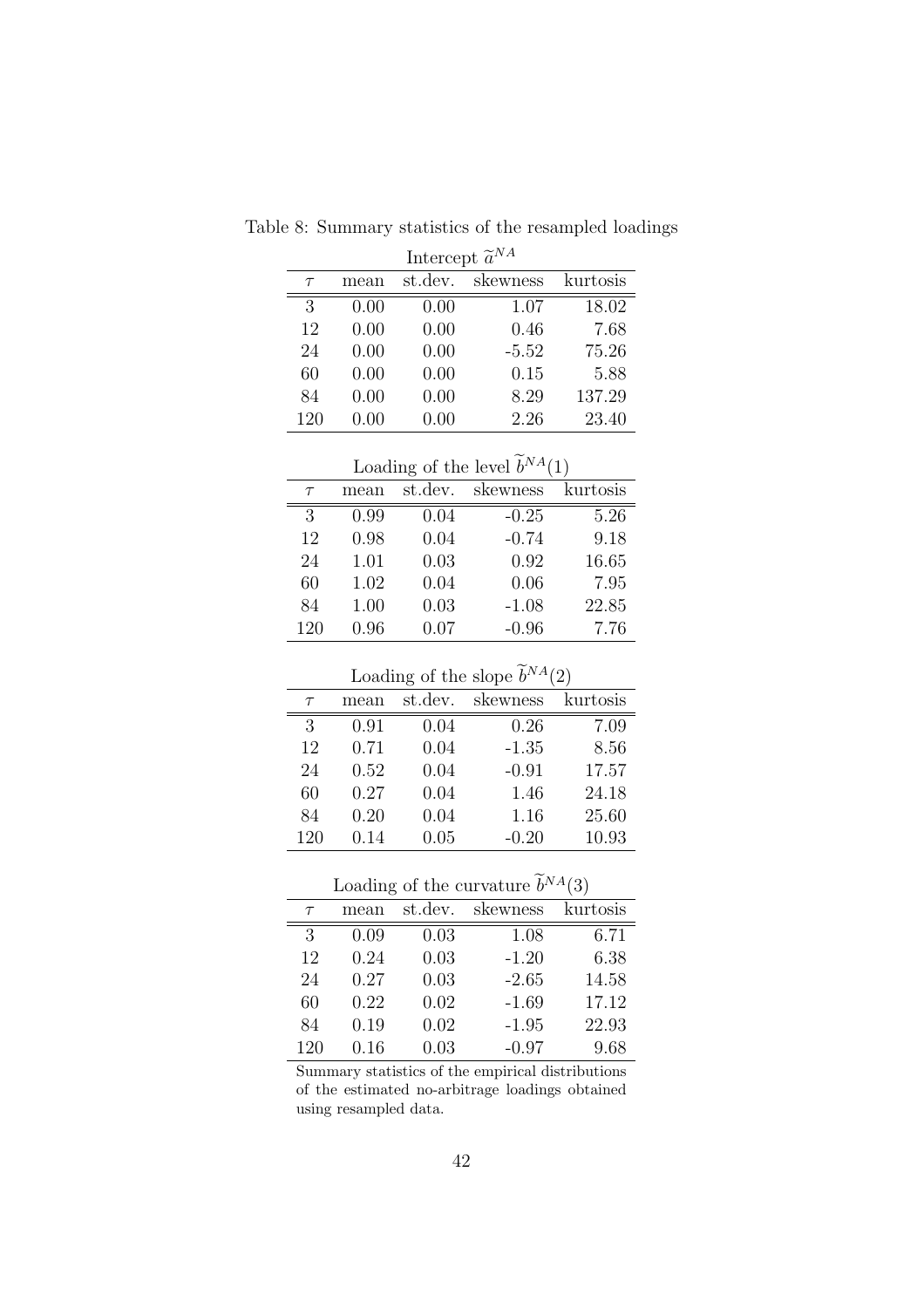| Intercept $\tilde{a}^{NA}$ |        |          |          |          |  |  |  |
|----------------------------|--------|----------|----------|----------|--|--|--|
| $\tau$                     | mean   | st.dev.  | skewness | kurtosis |  |  |  |
| 3                          | 0.00   | 0.00     | 1.07     | 18.02    |  |  |  |
| 12                         | 0.00   | 0.00     | 0.46     | 7.68     |  |  |  |
| 24                         | 0.00   | 0.00     | $-5.52$  | 75.26    |  |  |  |
| 60                         | 0.00   | 0.00     | 0.15     | 5.88     |  |  |  |
| 84                         | 0.00   | 0.00     | 8.29     | 137.29   |  |  |  |
| 120                        | (0.00) | $0.00\,$ | 2.26     | 23.40    |  |  |  |

Table 8: Summary statistics of the resampled loadings

Loading of the level  $\widetilde{b}^{NA}(1)$ 

|        | $-0$<br>$0.110 + 0.010$ |         |          |          |  |  |  |
|--------|-------------------------|---------|----------|----------|--|--|--|
| $\tau$ | mean                    | st.dev. | skewness | kurtosis |  |  |  |
| 3      | 0.99                    | 0.04    | $-0.25$  | 5.26     |  |  |  |
| 12     | 0.98                    | 0.04    | $-0.74$  | 9.18     |  |  |  |
| 24     | 1.01                    | 0.03    | 0.92     | 16.65    |  |  |  |
| 60     | 1.02                    | 0.04    | 0.06     | 7.95     |  |  |  |
| 84     | 1.00                    | 0.03    | $-1.08$  | 22.85    |  |  |  |
| 120    | 0.96                    | 0.07    | $-0.96$  | 7.76     |  |  |  |

Loading of the slope  $\widetilde{b}^{NA}(2)$ 

| mean | st.dev. | skewness | kurtosis |
|------|---------|----------|----------|
| 0.91 | 0.04    | 0.26     | 7.09     |
| 0.71 | 0.04    | $-1.35$  | 8.56     |
| 0.52 | 0.04    | $-0.91$  | 17.57    |
| 0.27 | 0.04    | 1.46     | 24.18    |
| 0.20 | 0.04    | 1.16     | 25.60    |
| 0.14 | 0.05    | $-0.20$  | 10.93    |
|      |         |          |          |

Loading of the curvature  $\widetilde{b}^{NA}(3)$ 

|     | mean | st.dev. | skewness | kurtosis |
|-----|------|---------|----------|----------|
| 3   | 0.09 | 0.03    | 1.08     | 6.71     |
| 12  | 0.24 | 0.03    | $-1.20$  | 6.38     |
| 24  | 0.27 | 0.03    | $-2.65$  | 14.58    |
| 60  | 0.22 | 0.02    | $-1.69$  | 17.12    |
| 84  | 0.19 | 0.02    | $-1.95$  | 22.93    |
| 120 | 0.16 | 0.03    | $-0.97$  | 9.68     |

Summary statistics of the empirical distributions of the estimated no-arbitrage loadings obtained using resampled data.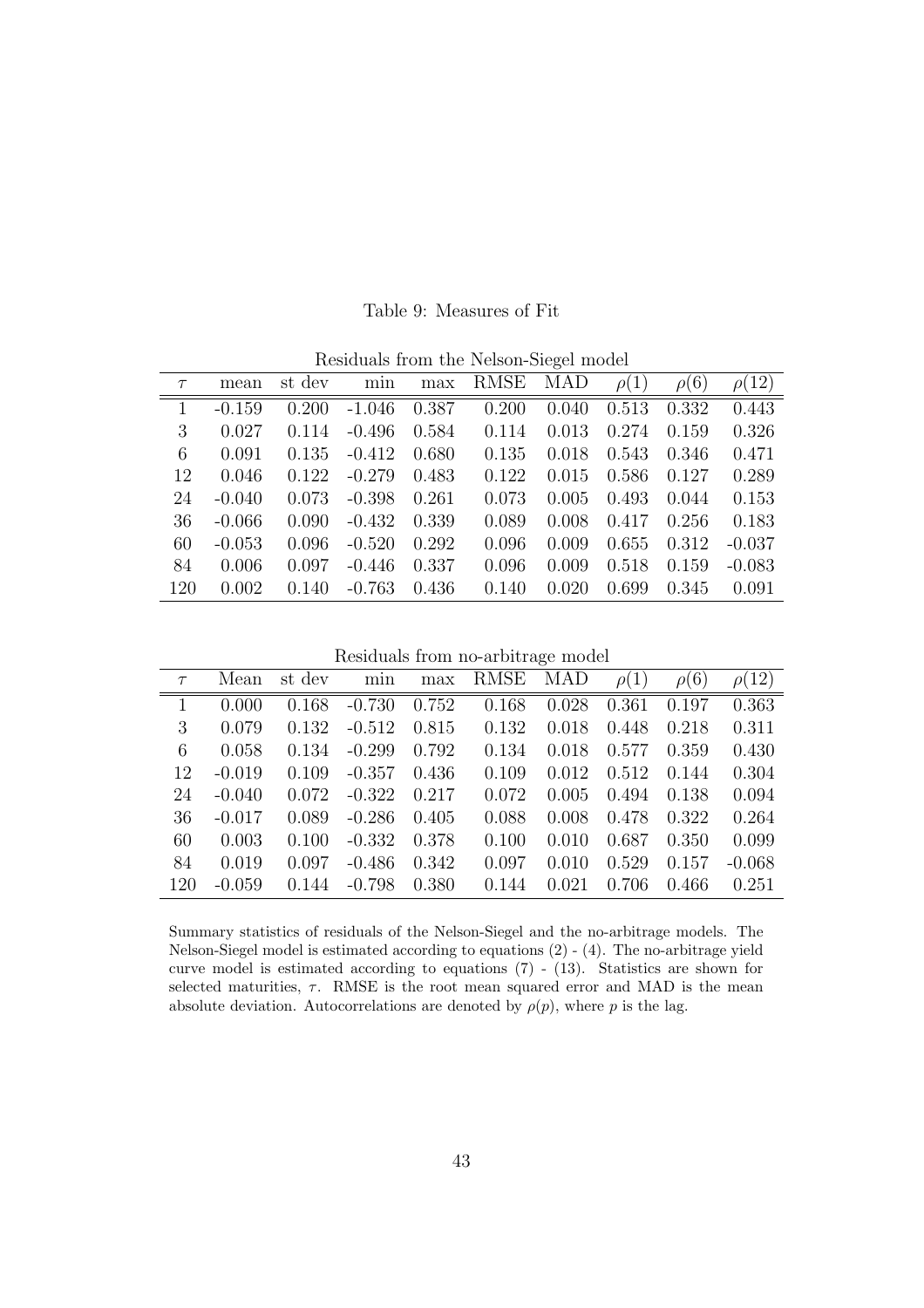| Tecnature Home the Treport proget model |          |        |          |       |       |       |           |           |            |
|-----------------------------------------|----------|--------|----------|-------|-------|-------|-----------|-----------|------------|
| $\tau$                                  | mean     | st dev | min      | max   | RMSE  | MAD   | $\rho(1)$ | $\rho(6)$ | $\rho(12)$ |
| $\mathbf{1}$                            | $-0.159$ | 0.200  | $-1.046$ | 0.387 | 0.200 | 0.040 | 0.513     | 0.332     | 0.443      |
| 3                                       | 0.027    | 0.114  | -0.496   | 0.584 | 0.114 | 0.013 | 0.274     | 0.159     | 0.326      |
| 6                                       | 0.091    | 0.135  | $-0.412$ | 0.680 | 0.135 | 0.018 | 0.543     | 0.346     | 0.471      |
| 12                                      | 0.046    | 0.122  | $-0.279$ | 0.483 | 0.122 | 0.015 | 0.586     | 0.127     | 0.289      |
| 24                                      | $-0.040$ | 0.073  | $-0.398$ | 0.261 | 0.073 | 0.005 | 0.493     | 0.044     | 0.153      |
| 36                                      | $-0.066$ | 0.090  | $-0.432$ | 0.339 | 0.089 | 0.008 | 0.417     | 0.256     | 0.183      |
| 60                                      | $-0.053$ | 0.096  | $-0.520$ | 0.292 | 0.096 | 0.009 | 0.655     | 0.312     | $-0.037$   |
| 84                                      | 0.006    | 0.097  | $-0.446$ | 0.337 | 0.096 | 0.009 | 0.518     | 0.159     | $-0.083$   |
| 120                                     | 0.002    | 0.140  | $-0.763$ | 0.436 | 0.140 | 0.020 | 0.699     | 0.345     | 0.091      |

Table 9: Measures of Fit

Residuals from the Nelson-Siegel model

Residuals from no-arbitrage model

| $\tau$       | Mean     | st dev | min      | max   | RMSE MAD |       | $\rho(1)$ | $\rho(6)$ | $\rho(12)$ |
|--------------|----------|--------|----------|-------|----------|-------|-----------|-----------|------------|
| $\mathbf{1}$ | 0.000    | 0.168  | $-0.730$ | 0.752 | 0.168    | 0.028 | 0.361     | 0.197     | 0.363      |
| 3            | 0.079    | 0.132  | $-0.512$ | 0.815 | 0.132    | 0.018 | 0.448     | 0.218     | 0.311      |
| 6            | 0.058    | 0.134  | $-0.299$ | 0.792 | 0.134    | 0.018 | 0.577     | 0.359     | 0.430      |
| 12           | $-0.019$ | 0.109  | $-0.357$ | 0.436 | 0.109    | 0.012 | 0.512     | 0.144     | 0.304      |
| 24           | $-0.040$ | 0.072  | $-0.322$ | 0.217 | 0.072    | 0.005 | 0.494     | 0.138     | 0.094      |
| 36           | $-0.017$ | 0.089  | $-0.286$ | 0.405 | 0.088    | 0.008 | 0.478     | 0.322     | 0.264      |
| 60           | 0.003    | 0.100  | $-0.332$ | 0.378 | 0.100    | 0.010 | 0.687     | 0.350     | 0.099      |
| 84           | 0.019    | 0.097  | $-0.486$ | 0.342 | 0.097    | 0.010 | 0.529     | 0.157     | $-0.068$   |
| 120          | $-0.059$ | 0.144  | $-0.798$ | 0.380 | 0.144    | 0.021 | 0.706     | 0.466     | 0.251      |

Summary statistics of residuals of the Nelson-Siegel and the no-arbitrage models. The Nelson-Siegel model is estimated according to equations (2) - (4). The no-arbitrage yield curve model is estimated according to equations (7) - (13). Statistics are shown for selected maturities,  $\tau$ . RMSE is the root mean squared error and MAD is the mean absolute deviation. Autocorrelations are denoted by  $\rho(p)$ , where p is the lag.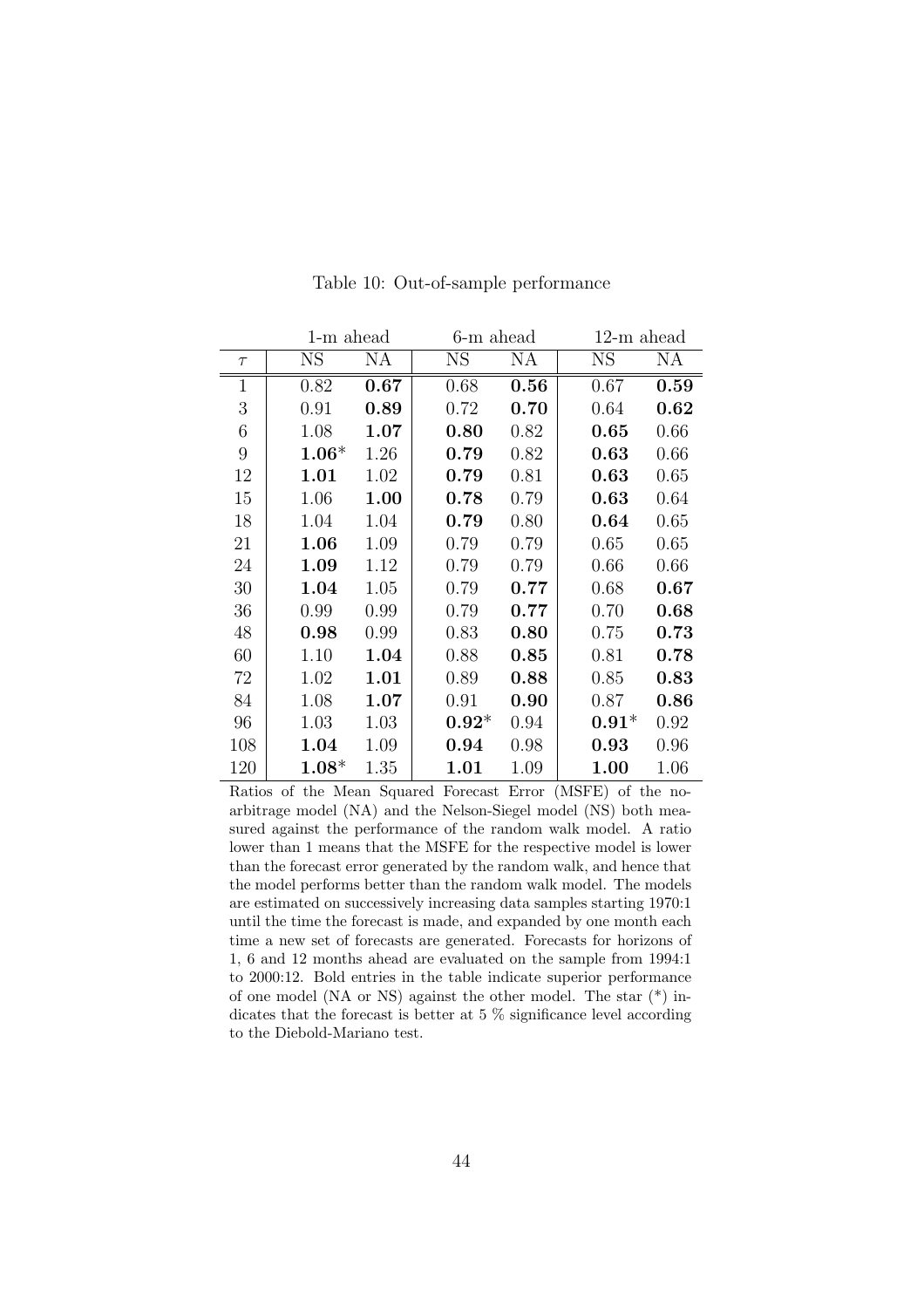|             | 1-m ahead |      | 6-m ahead |      | $12-m$ ahead |      |
|-------------|-----------|------|-----------|------|--------------|------|
| $\tau$      | <b>NS</b> | NA   | <b>NS</b> | NA   | <b>NS</b>    | ΝA   |
| $\mathbf 1$ | 0.82      | 0.67 | 0.68      | 0.56 | 0.67         | 0.59 |
| 3           | 0.91      | 0.89 | 0.72      | 0.70 | 0.64         | 0.62 |
| 6           | 1.08      | 1.07 | 0.80      | 0.82 | 0.65         | 0.66 |
| 9           | $1.06*$   | 1.26 | 0.79      | 0.82 | 0.63         | 0.66 |
| 12          | 1.01      | 1.02 | 0.79      | 0.81 | 0.63         | 0.65 |
| 15          | 1.06      | 1.00 | 0.78      | 0.79 | 0.63         | 0.64 |
| 18          | 1.04      | 1.04 | 0.79      | 0.80 | 0.64         | 0.65 |
| 21          | 1.06      | 1.09 | 0.79      | 0.79 | 0.65         | 0.65 |
| 24          | 1.09      | 1.12 | 0.79      | 0.79 | 0.66         | 0.66 |
| 30          | 1.04      | 1.05 | 0.79      | 0.77 | 0.68         | 0.67 |
| 36          | 0.99      | 0.99 | 0.79      | 0.77 | 0.70         | 0.68 |
| 48          | 0.98      | 0.99 | 0.83      | 0.80 | 0.75         | 0.73 |
| 60          | 1.10      | 1.04 | 0.88      | 0.85 | 0.81         | 0.78 |
| 72          | 1.02      | 1.01 | 0.89      | 0.88 | 0.85         | 0.83 |
| 84          | 1.08      | 1.07 | 0.91      | 0.90 | 0.87         | 0.86 |
| 96          | 1.03      | 1.03 | $0.92*$   | 0.94 | $0.91*$      | 0.92 |
| 108         | 1.04      | 1.09 | 0.94      | 0.98 | 0.93         | 0.96 |
| 120         | $1.08*$   | 1.35 | 1.01      | 1.09 | 1.00         | 1.06 |

Table 10: Out-of-sample performance

Ratios of the Mean Squared Forecast Error (MSFE) of the noarbitrage model (NA) and the Nelson-Siegel model (NS) both measured against the performance of the random walk model. A ratio lower than 1 means that the MSFE for the respective model is lower than the forecast error generated by the random walk, and hence that the model performs better than the random walk model. The models are estimated on successively increasing data samples starting 1970:1 until the time the forecast is made, and expanded by one month each time a new set of forecasts are generated. Forecasts for horizons of 1, 6 and 12 months ahead are evaluated on the sample from 1994:1 to 2000:12. Bold entries in the table indicate superior performance of one model (NA or NS) against the other model. The star (\*) indicates that the forecast is better at 5 % significance level according to the Diebold-Mariano test.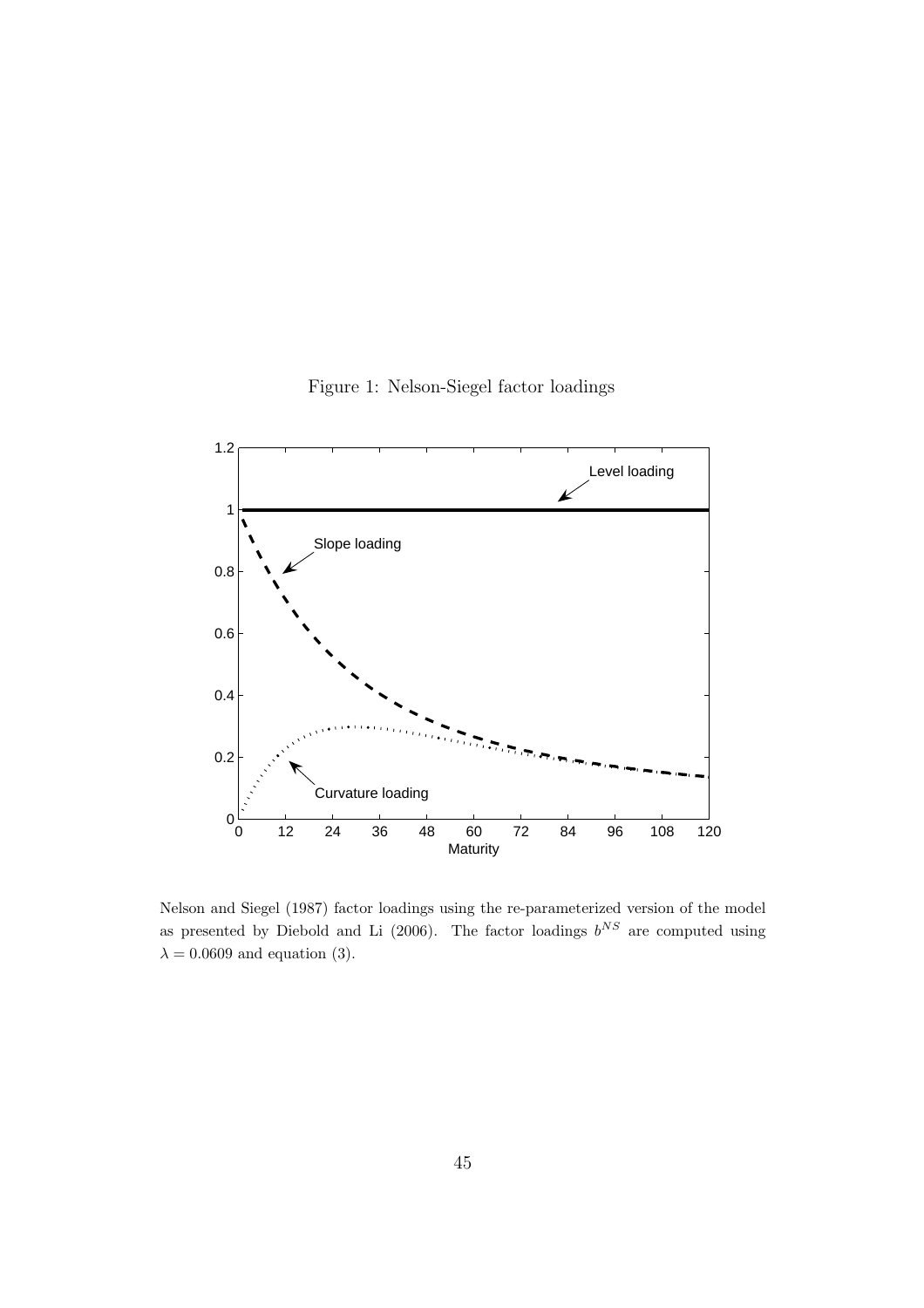

Figure 1: Nelson-Siegel factor loadings

Nelson and Siegel (1987) factor loadings using the re-parameterized version of the model as presented by Diebold and Li (2006). The factor loadings  $b^{NS}$  are computed using  $\lambda = 0.0609$  and equation (3).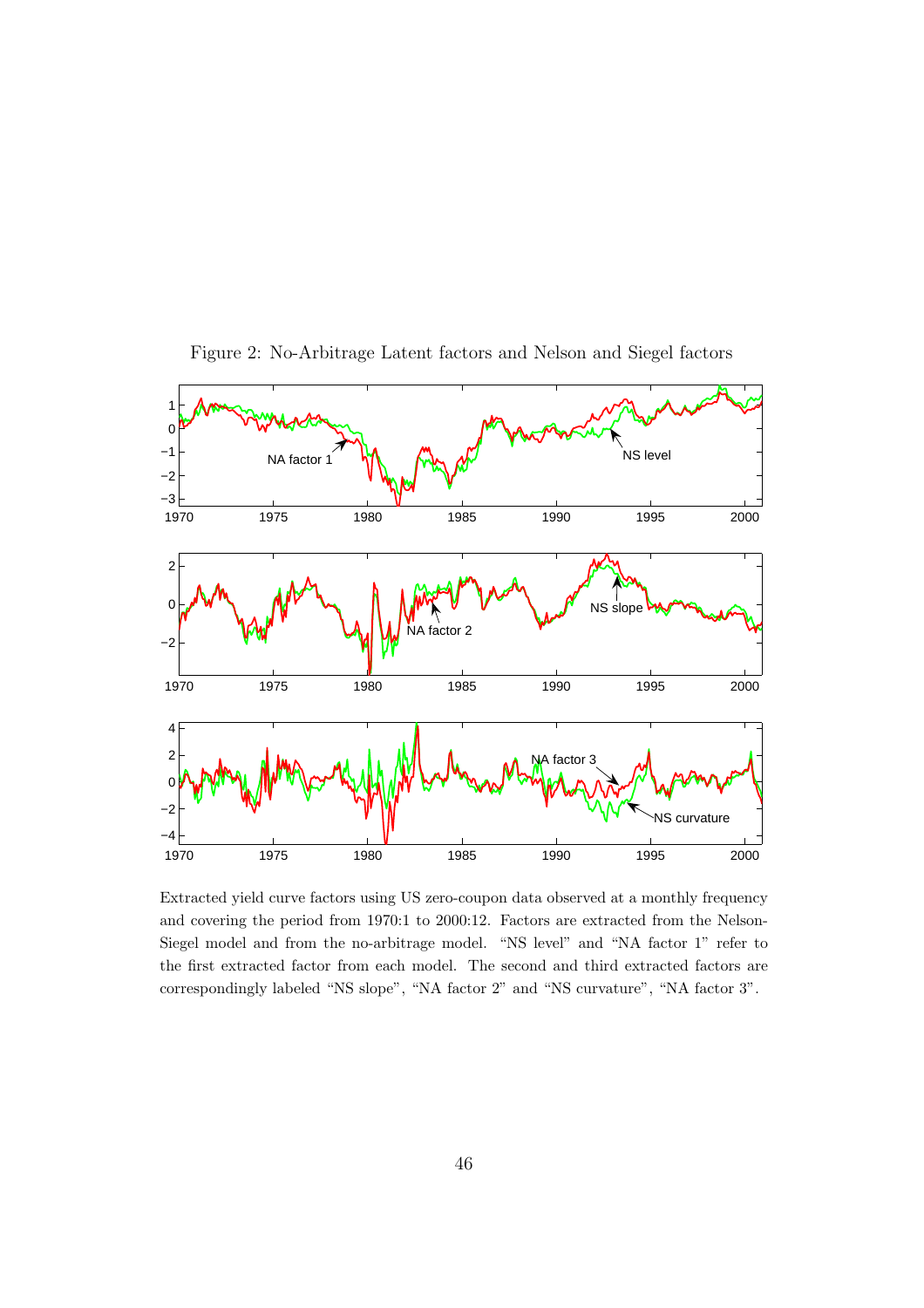

Figure 2: No-Arbitrage Latent factors and Nelson and Siegel factors

Extracted yield curve factors using US zero-coupon data observed at a monthly frequency and covering the period from 1970:1 to 2000:12. Factors are extracted from the Nelson-Siegel model and from the no-arbitrage model. "NS level" and "NA factor 1" refer to the first extracted factor from each model. The second and third extracted factors are correspondingly labeled "NS slope", "NA factor 2" and "NS curvature", "NA factor 3".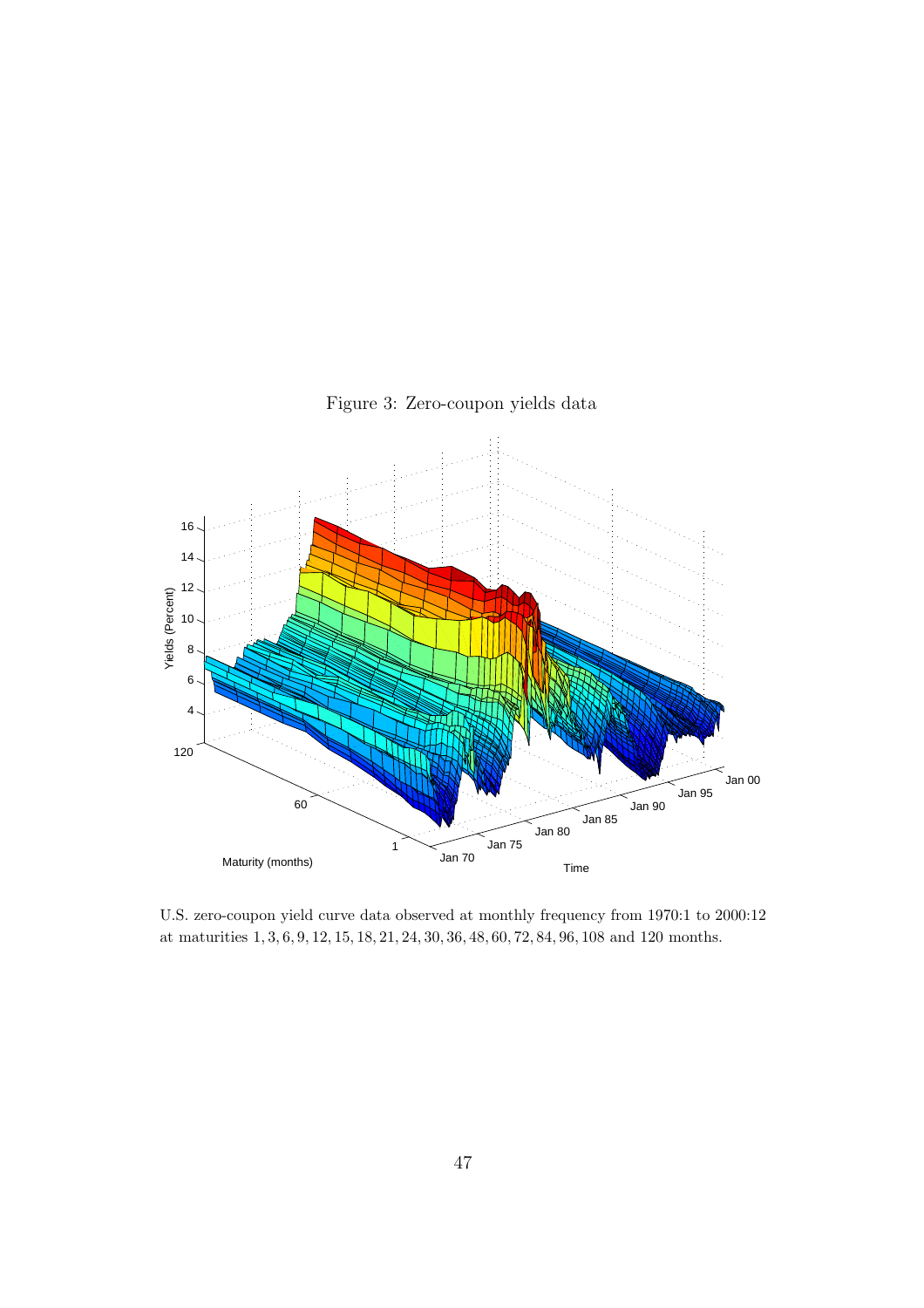

## Figure 3: Zero-coupon yields data

U.S. zero-coupon yield curve data observed at monthly frequency from 1970:1 to 2000:12 at maturities 1, 3, 6, 9, 12, 15, 18, 21, 24, 30, 36, 48, 60, 72, 84, 96, 108 and 120 months.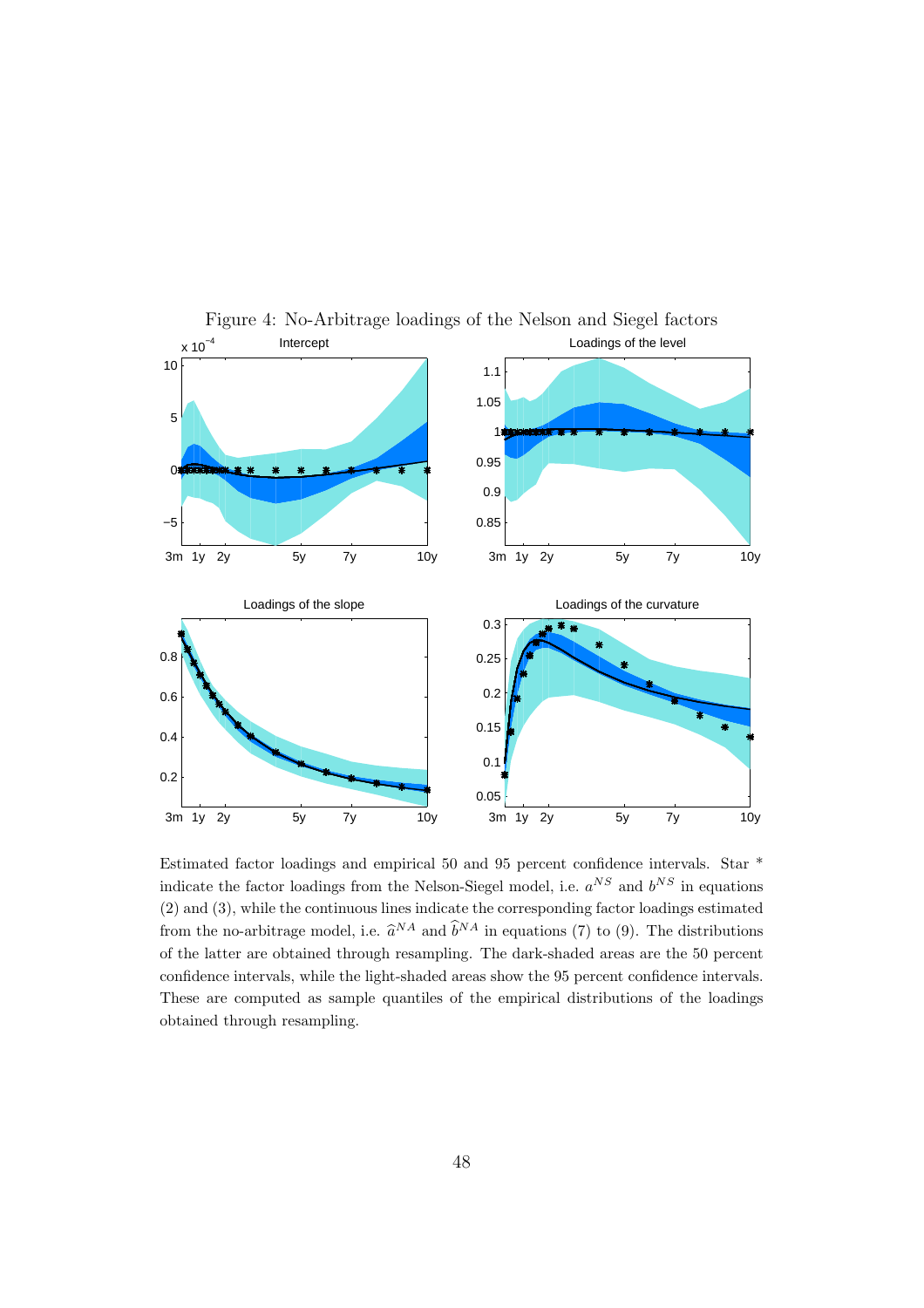

Figure 4: No-Arbitrage loadings of the Nelson and Siegel factors

Estimated factor loadings and empirical 50 and 95 percent confidence intervals. Star \* indicate the factor loadings from the Nelson-Siegel model, i.e.  $a^{NS}$  and  $b^{NS}$  in equations (2) and (3), while the continuous lines indicate the corresponding factor loadings estimated from the no-arbitrage model, i.e.  $\hat{a}^{NA}$  and  $\hat{b}^{NA}$  in equations (7) to (9). The distributions of the latter are obtained through resampling. The dark-shaded areas are the 50 percent confidence intervals, while the light-shaded areas show the 95 percent confidence intervals. These are computed as sample quantiles of the empirical distributions of the loadings obtained through resampling.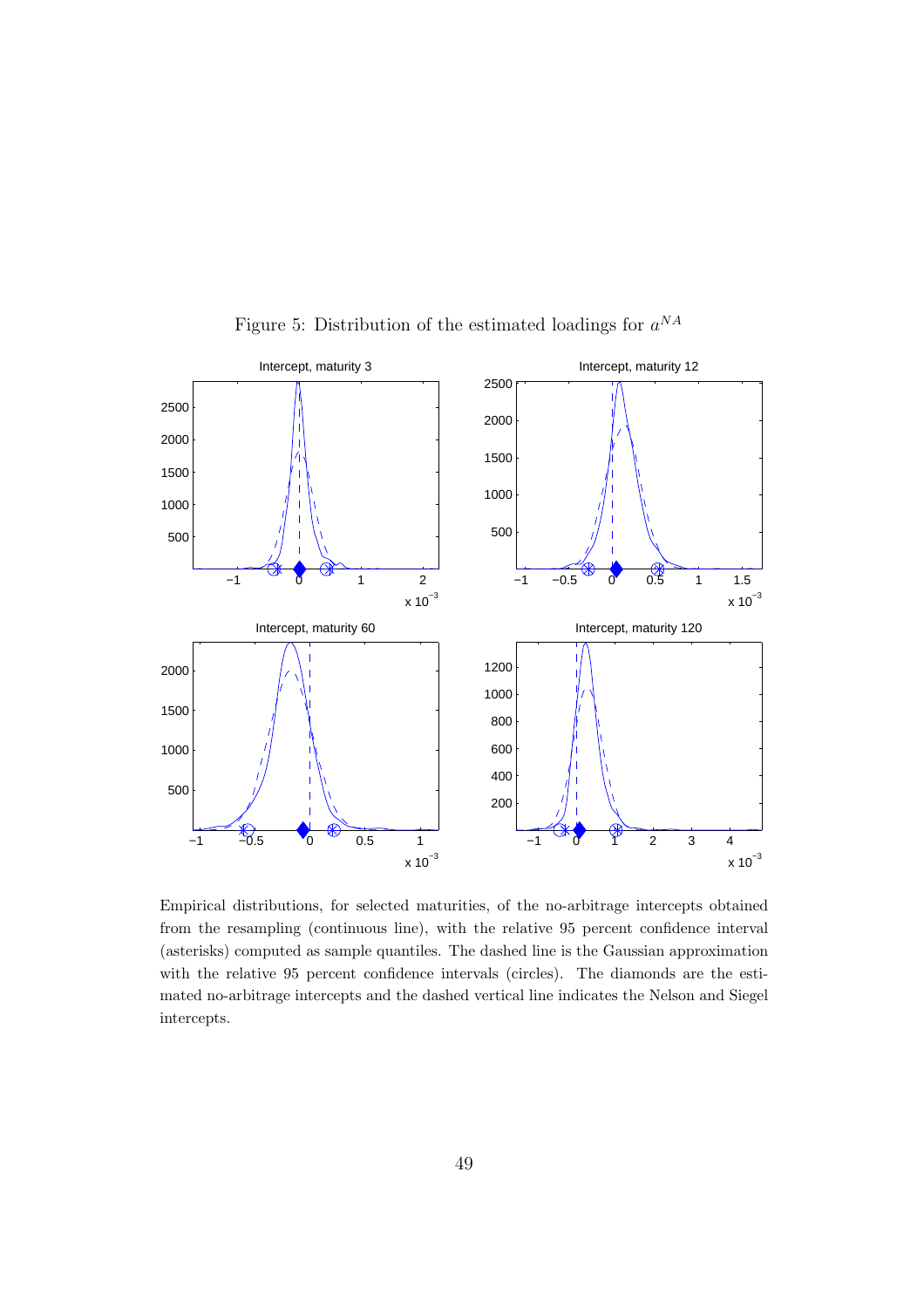

Figure 5: Distribution of the estimated loadings for  $a^{NA}$ 

Empirical distributions, for selected maturities, of the no-arbitrage intercepts obtained from the resampling (continuous line), with the relative 95 percent confidence interval (asterisks) computed as sample quantiles. The dashed line is the Gaussian approximation with the relative 95 percent confidence intervals (circles). The diamonds are the estimated no-arbitrage intercepts and the dashed vertical line indicates the Nelson and Siegel intercepts.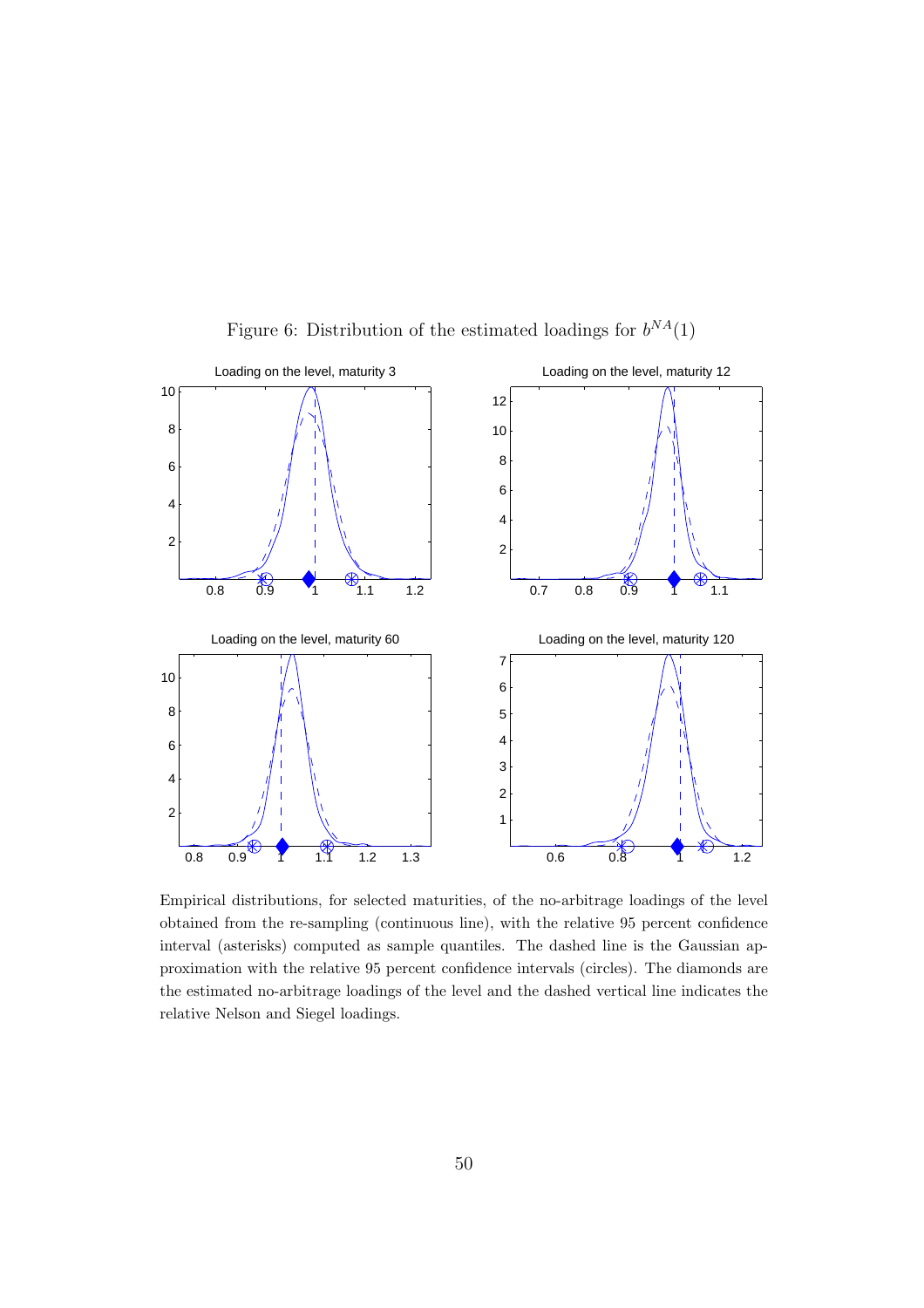

Figure 6: Distribution of the estimated loadings for  $b^{NA}(1)$ 

Empirical distributions, for selected maturities, of the no-arbitrage loadings of the level obtained from the re-sampling (continuous line), with the relative 95 percent confidence interval (asterisks) computed as sample quantiles. The dashed line is the Gaussian approximation with the relative 95 percent confidence intervals (circles). The diamonds are the estimated no-arbitrage loadings of the level and the dashed vertical line indicates the relative Nelson and Siegel loadings.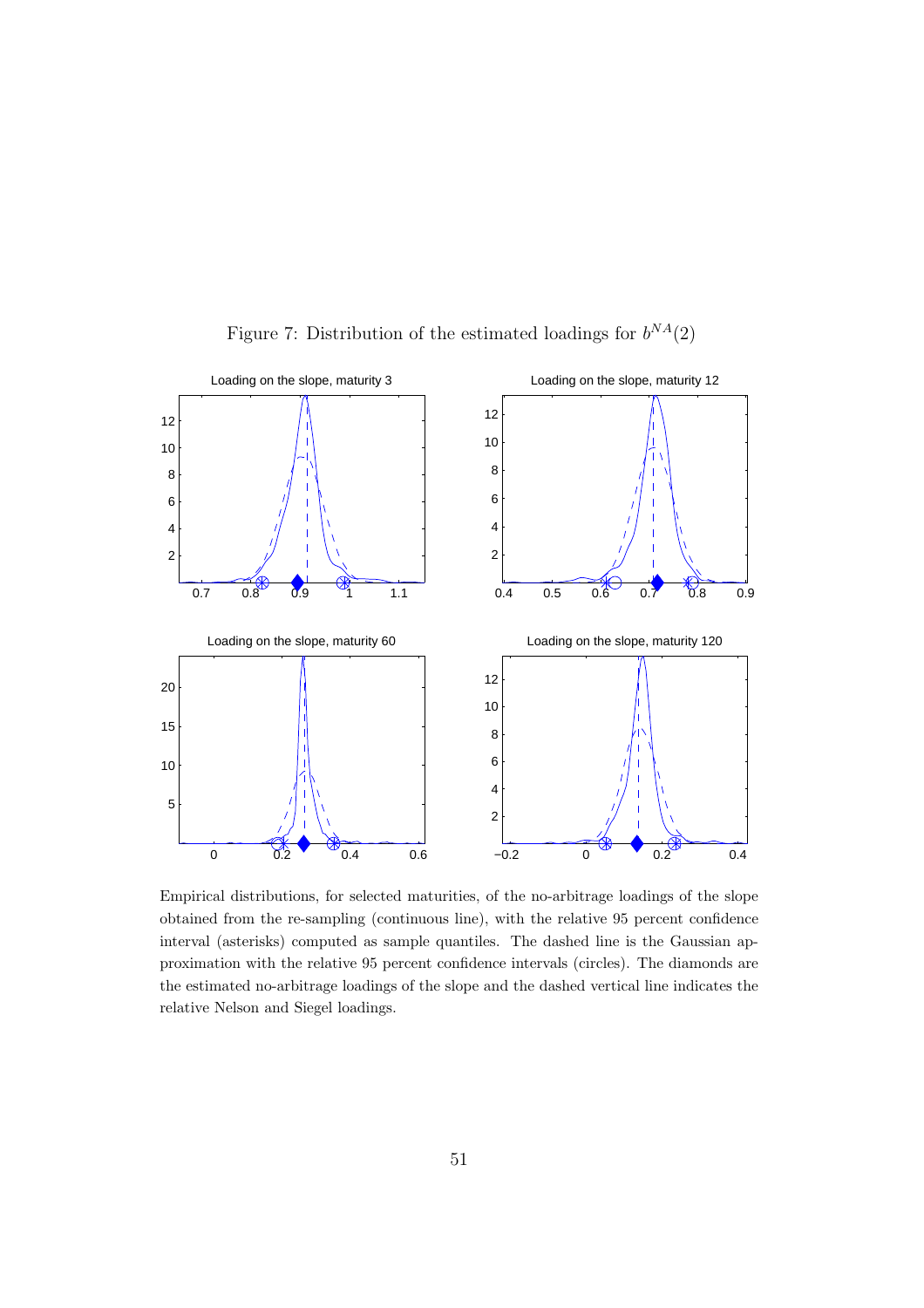

Figure 7: Distribution of the estimated loadings for  $b^{NA}(2)$ 

Empirical distributions, for selected maturities, of the no-arbitrage loadings of the slope obtained from the re-sampling (continuous line), with the relative 95 percent confidence interval (asterisks) computed as sample quantiles. The dashed line is the Gaussian approximation with the relative 95 percent confidence intervals (circles). The diamonds are the estimated no-arbitrage loadings of the slope and the dashed vertical line indicates the relative Nelson and Siegel loadings.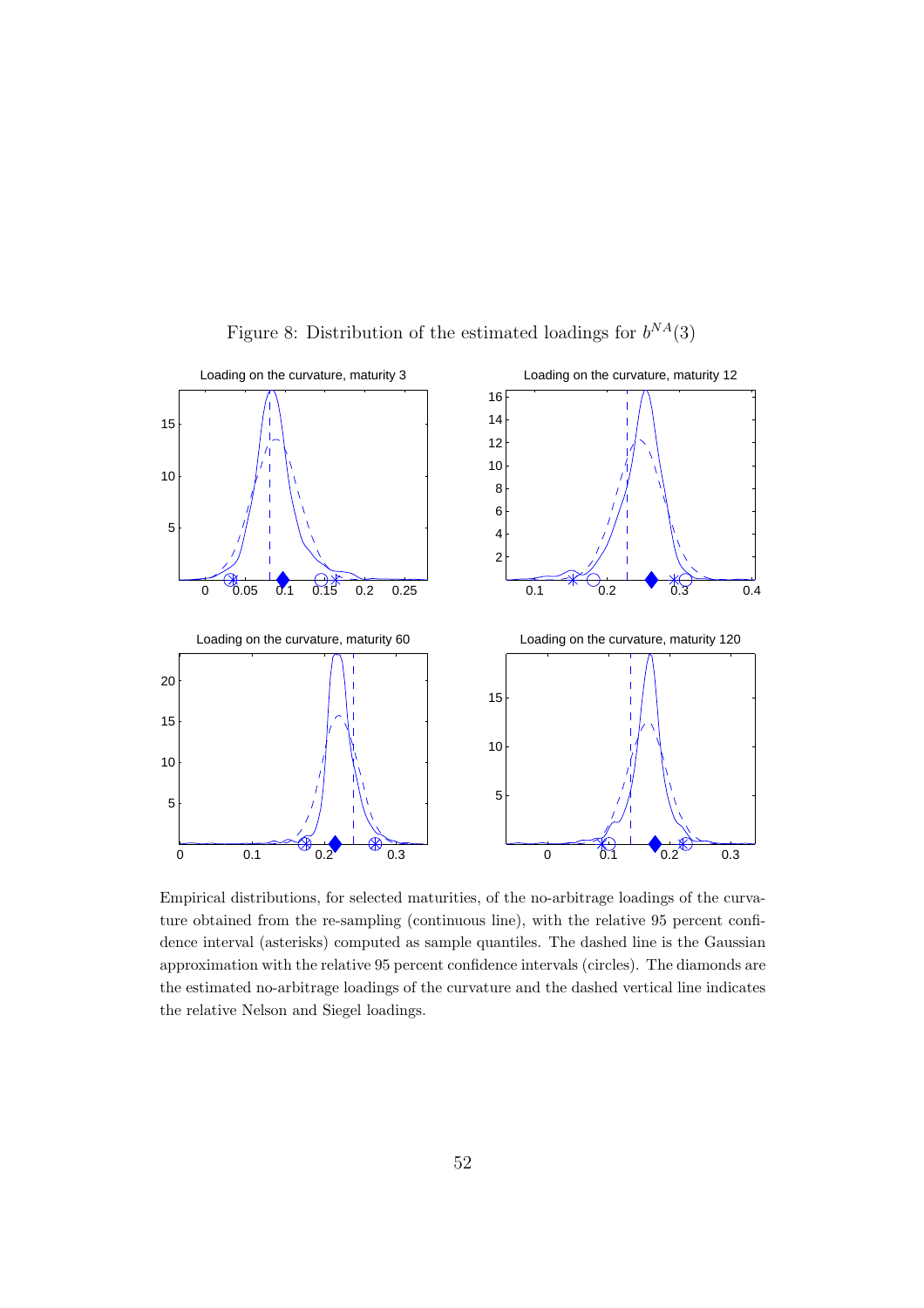

Figure 8: Distribution of the estimated loadings for  $b^{NA}(3)$ 

Empirical distributions, for selected maturities, of the no-arbitrage loadings of the curvature obtained from the re-sampling (continuous line), with the relative 95 percent confidence interval (asterisks) computed as sample quantiles. The dashed line is the Gaussian approximation with the relative 95 percent confidence intervals (circles). The diamonds are the estimated no-arbitrage loadings of the curvature and the dashed vertical line indicates the relative Nelson and Siegel loadings.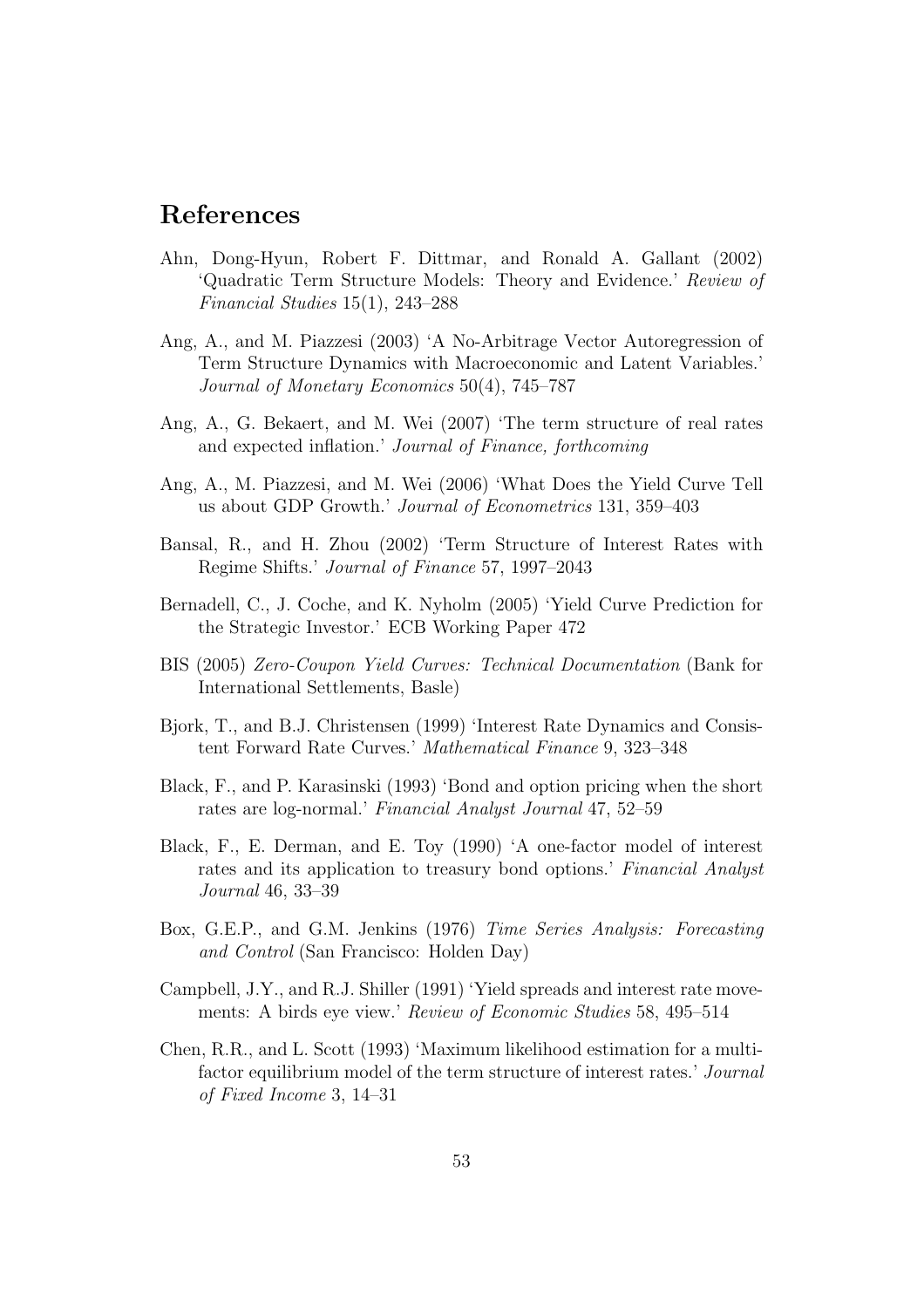## References

- Ahn, Dong-Hyun, Robert F. Dittmar, and Ronald A. Gallant (2002) 'Quadratic Term Structure Models: Theory and Evidence.' Review of Financial Studies 15(1), 243–288
- Ang, A., and M. Piazzesi (2003) 'A No-Arbitrage Vector Autoregression of Term Structure Dynamics with Macroeconomic and Latent Variables.' Journal of Monetary Economics 50(4), 745–787
- Ang, A., G. Bekaert, and M. Wei (2007) 'The term structure of real rates and expected inflation.' Journal of Finance, forthcoming
- Ang, A., M. Piazzesi, and M. Wei (2006) 'What Does the Yield Curve Tell us about GDP Growth.' Journal of Econometrics 131, 359–403
- Bansal, R., and H. Zhou (2002) 'Term Structure of Interest Rates with Regime Shifts.' Journal of Finance 57, 1997–2043
- Bernadell, C., J. Coche, and K. Nyholm (2005) 'Yield Curve Prediction for the Strategic Investor.' ECB Working Paper 472
- BIS (2005) Zero-Coupon Yield Curves: Technical Documentation (Bank for International Settlements, Basle)
- Bjork, T., and B.J. Christensen (1999) 'Interest Rate Dynamics and Consistent Forward Rate Curves.' Mathematical Finance 9, 323–348
- Black, F., and P. Karasinski (1993) 'Bond and option pricing when the short rates are log-normal.' Financial Analyst Journal 47, 52–59
- Black, F., E. Derman, and E. Toy (1990) 'A one-factor model of interest rates and its application to treasury bond options.' Financial Analyst Journal 46, 33–39
- Box, G.E.P., and G.M. Jenkins (1976) Time Series Analysis: Forecasting and Control (San Francisco: Holden Day)
- Campbell, J.Y., and R.J. Shiller (1991) 'Yield spreads and interest rate movements: A birds eye view.' Review of Economic Studies 58, 495–514
- Chen, R.R., and L. Scott (1993) 'Maximum likelihood estimation for a multifactor equilibrium model of the term structure of interest rates.' Journal of Fixed Income 3, 14–31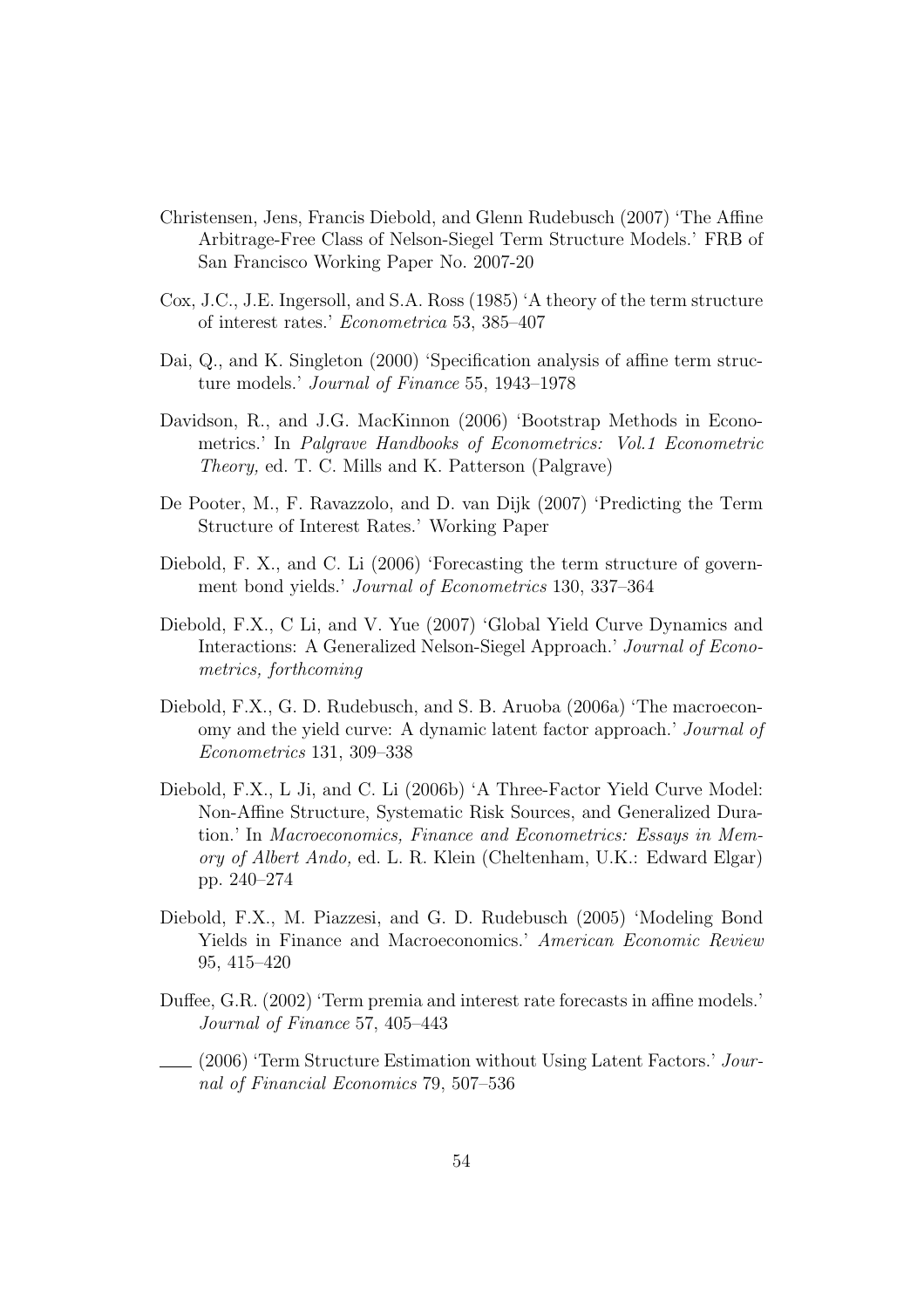- Christensen, Jens, Francis Diebold, and Glenn Rudebusch (2007) 'The Affine Arbitrage-Free Class of Nelson-Siegel Term Structure Models.' FRB of San Francisco Working Paper No. 2007-20
- Cox, J.C., J.E. Ingersoll, and S.A. Ross (1985) 'A theory of the term structure of interest rates.' Econometrica 53, 385–407
- Dai, Q., and K. Singleton (2000) 'Specification analysis of affine term structure models.' Journal of Finance 55, 1943–1978
- Davidson, R., and J.G. MacKinnon (2006) 'Bootstrap Methods in Econometrics.' In Palgrave Handbooks of Econometrics: Vol.1 Econometric Theory, ed. T. C. Mills and K. Patterson (Palgrave)
- De Pooter, M., F. Ravazzolo, and D. van Dijk (2007) 'Predicting the Term Structure of Interest Rates.' Working Paper
- Diebold, F. X., and C. Li (2006) 'Forecasting the term structure of government bond yields.' Journal of Econometrics 130, 337–364
- Diebold, F.X., C Li, and V. Yue (2007) 'Global Yield Curve Dynamics and Interactions: A Generalized Nelson-Siegel Approach.' Journal of Econometrics, forthcoming
- Diebold, F.X., G. D. Rudebusch, and S. B. Aruoba (2006a) 'The macroeconomy and the yield curve: A dynamic latent factor approach.' Journal of Econometrics 131, 309–338
- Diebold, F.X., L Ji, and C. Li (2006b) 'A Three-Factor Yield Curve Model: Non-Affine Structure, Systematic Risk Sources, and Generalized Duration.' In Macroeconomics, Finance and Econometrics: Essays in Memory of Albert Ando, ed. L. R. Klein (Cheltenham, U.K.: Edward Elgar) pp. 240–274
- Diebold, F.X., M. Piazzesi, and G. D. Rudebusch (2005) 'Modeling Bond Yields in Finance and Macroeconomics.' American Economic Review 95, 415–420
- Duffee, G.R. (2002) 'Term premia and interest rate forecasts in affine models.' Journal of Finance 57, 405–443
- (2006) 'Term Structure Estimation without Using Latent Factors.' Journal of Financial Economics 79, 507–536